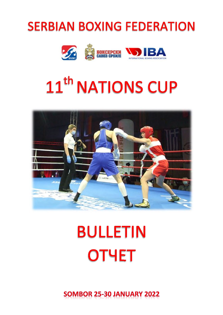# SOMBOR 25-30 JANUARY 2022

# **BULLETIN OTYET**



# 11<sup>th</sup> NATIONS CUP



# **SERBIAN BOXING FEDERATION**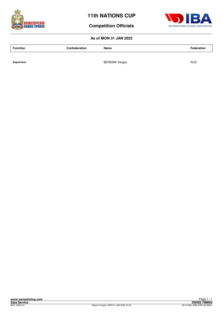



۲

## **Competition Officials**

#### **As of MON 31 JAN 2022**

| INTERNATIONAL BOXING ASSOCIATION |
|----------------------------------|

**Function Confederation Name Federation**

**Supervisor** RUS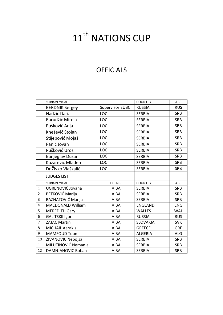# 11<sup>th</sup> NATIONS CUP

# **OFFICIALS**

|                | SURNAME/NAME             |                        | <b>COUNTRY</b>  | ABB        |
|----------------|--------------------------|------------------------|-----------------|------------|
|                | <b>BERDNIK Sergey</b>    | <b>Supervisor EUBC</b> | <b>RUSSIA</b>   | <b>RUS</b> |
|                | Hadžić Daria             | <b>LOC</b>             | <b>SERBIA</b>   | <b>SRB</b> |
|                | Barudžić Mirela          | LOC                    | <b>SERBIA</b>   | <b>SRB</b> |
|                | Pušković Anja            | LOC                    | <b>SERBIA</b>   | <b>SRB</b> |
|                | Knežević Stojan          | LOC                    | <b>SERBIA</b>   | <b>SRB</b> |
|                | Stijepović Mojaš         | LOC                    | <b>SERBIA</b>   | <b>SRB</b> |
|                | Panić Jovan              | LOC                    | <b>SERBIA</b>   | <b>SRB</b> |
|                | Pušković Uroš            | LOC                    | <b>SERBIA</b>   | <b>SRB</b> |
|                | Banjeglav Dušan          | LOC                    | <b>SERBIA</b>   | <b>SRB</b> |
|                | Kozarević Mladen         | LOC                    | <b>SERBIA</b>   | <b>SRB</b> |
|                | Dr Živko Vlaškalić       | LOC                    | <b>SERBIA</b>   | <b>SRB</b> |
|                | <b>JUDGES LIST</b>       |                        |                 |            |
|                | SURNAME/NAME             | <b>LICENCE</b>         | <b>COUNTRY</b>  | ABB        |
| $\mathbf{1}$   | UGRENOVIĆ Jovana         | <b>AIBA</b>            | <b>SERBIA</b>   | <b>SRB</b> |
| $\overline{2}$ | PETKOVIĆ Marija          | <b>AIBA</b>            | <b>SERBIA</b>   | <b>SRB</b> |
| 3              | RAZNATOVIĆ Marija        | <b>AIBA</b>            | <b>SERBIA</b>   | <b>SRB</b> |
| 4              | <b>MACDONALD William</b> | <b>AIBA</b>            | <b>ENGLAND</b>  | <b>ENG</b> |
| 5              | <b>MEREDITH Gary</b>     | <b>AIBA</b>            | <b>WALLES</b>   | <b>WAL</b> |
| 6              | <b>GALITSKII Igor</b>    | <b>AIBA</b>            | <b>RUSSIA</b>   | <b>RUS</b> |
| $\overline{7}$ | <b>ZAJAC Martin</b>      | <b>AIBA</b>            | <b>SLOVAKIA</b> | <b>SVK</b> |
| 8              | <b>MICHAIL Aerakis</b>   | <b>AIBA</b>            | <b>GREECE</b>   | <b>GRE</b> |
| 9              | <b>MAMFOUD Toumi</b>     | <b>AIBA</b>            | <b>ALGERIA</b>  | ALG        |
| 10             | ŽIVANOVIC Nebojsa        | <b>AIBA</b>            | <b>SERBIA</b>   | <b>SRB</b> |
| 11             | MILUTINOVIĆ Nemanja      | <b>AIBA</b>            | <b>SERBIA</b>   | <b>SRB</b> |
| 12             | DAMNJANOVIC Boban        | <b>AIBA</b>            | <b>SERBIA</b>   | <b>SRB</b> |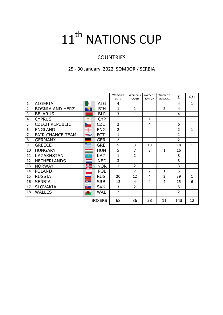# 11<sup>th</sup> NATIONS CUP

# **COUNTRIES**

# 25 - 30 January 2022, SOMBOR / SERBIA

|                |                         |              |               | Women's<br><b>ELITE</b> | Women's<br>YOUTH | Women's<br><b>JUNIOR</b> | Women's<br>SCHOOL. | Σ              | R/J          |
|----------------|-------------------------|--------------|---------------|-------------------------|------------------|--------------------------|--------------------|----------------|--------------|
| $\mathbf{1}$   | <b>ALGERIA</b>          |              | ALG           | 4                       |                  |                          |                    | 4              | $\mathbf{1}$ |
| $\overline{2}$ | BOSNIA AND HERZ.        |              | <b>BIH</b>    | 1                       | $\mathbf{1}$     |                          | $\overline{2}$     | 4              |              |
| 3              | <b>BELARUS</b>          |              | <b>BLR</b>    | 3                       | 1                |                          |                    | 4              |              |
| 4              | <b>CYPRUS</b>           |              | <b>CYP</b>    |                         |                  | $\mathbf{1}$             |                    | 1              |              |
| 5              | <b>CZECH REPUBLIC</b>   |              | <b>CZE</b>    | $\overline{2}$          |                  | 4                        |                    | 6              |              |
| 6              | <b>ENGLAND</b>          |              | <b>ENG</b>    | $\overline{2}$          |                  |                          |                    | $\overline{2}$ | $\mathbf{1}$ |
| $\overline{7}$ | <b>FAIR CHANCE TEAM</b> | <b>WIBA</b>  | FCT1          | $\mathbf{1}$            |                  |                          |                    | $\mathbf{1}$   |              |
| 8              | <b>GERMANY</b>          |              | <b>GER</b>    | $\overline{2}$          |                  |                          |                    | $\overline{2}$ |              |
| 9              | <b>GREECE</b>           | 医            | <b>GRE</b>    | 5                       | 3                | 10                       |                    | 18             | $\mathbf{1}$ |
| 10             | <b>HUNGARY</b>          |              | <b>HUN</b>    | 5                       | 7                | 3                        | 1                  | 16             |              |
| 11             | <b>KAZAKHSTAN</b>       | ٠            | <b>KAZ</b>    | $\mathbf{1}$            | $\overline{2}$   |                          |                    | 3              |              |
| 12             | <b>NETHERLANDS</b>      |              | <b>NED</b>    | 3                       |                  |                          |                    | 3              |              |
| 13             | <b>NORWAY</b>           | 鴨            | <b>NOR</b>    | $\mathbf{1}$            | 2                |                          |                    | 3              |              |
| 14             | <b>POLAND</b>           |              | <b>POL</b>    |                         | $\overline{2}$   | $\overline{2}$           | $\mathbf{1}$       | 5              |              |
| 15             | <b>RUSSIA</b>           |              | <b>RUS</b>    | 20                      | 12               | 4                        | 3                  | 39             | $\mathbf{1}$ |
| 16             | <b>SERBIA</b>           | <b>DOM:</b>  | <b>SRB</b>    | 13                      | 4                | 4                        | 4                  | 25             | 6            |
| 17             | <b>SLOVAKIA</b>         | <u> 19 m</u> | <b>SVK</b>    | 3                       | $\overline{2}$   |                          |                    | 5              | $\mathbf{1}$ |
| 18             | <b>WALLES</b>           | 獅            | <b>WAL</b>    | $\overline{2}$          |                  |                          |                    | $\overline{2}$ | $\mathbf{1}$ |
|                |                         |              | <b>BOXERS</b> | 68                      | 36               | 28                       | 11                 | 143            | 12           |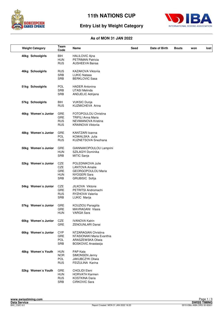



# **Entry List by Weight Category**

| <b>Weight Category</b> | Team<br>Code                                  | Name                                                                                                  | Seed | Date of Birth | <b>Bouts</b> | won | lost |
|------------------------|-----------------------------------------------|-------------------------------------------------------------------------------------------------------|------|---------------|--------------|-----|------|
| 40kg Schoolgirls       | <b>BIH</b><br><b>HUN</b><br><b>RUS</b>        | <b>HALILOVIC Ajna</b><br>PETRIMAN Patricia<br><b>AUSHEEVA Bairaa</b>                                  |      |               |              |     |      |
| 46kg Schoolgirls       | <b>RUS</b><br><b>SRB</b><br><b>SRB</b>        | KAZAKOVA Viktoriia<br><b>LUKIC Natasa</b><br><b>BERKLOVIC Sasa</b>                                    |      |               |              |     |      |
| 51kg Schoolgirls       | <b>POL</b><br><b>SRB</b><br><b>SRB</b>        | <b>HADER Antonina</b><br><b>UTASI Melinda</b><br>ANDJELIC Adrijana                                    |      |               |              |     |      |
| 57kg Schoolgirls       | BIH<br><b>RUS</b>                             | <b>VUKSIC Dunja</b><br>KUZMICHEVA Arina                                                               |      |               |              |     |      |
| 46kg Women's Junior    | <b>GRE</b><br>GRE<br><b>RUS</b><br><b>RUS</b> | FOTOPOULOU Christina<br><b>TRIFILI Anna Maria</b><br>NEVMIANOVA Kristina<br><b>KRAINOVA Viktoriia</b> |      |               |              |     |      |
| 48kg Women's Junior    | <b>GRE</b><br>POL<br><b>RUS</b>               | KANTZARI Ioanna<br>KOWALSKA Julia<br>KUZNETSOVA Snezhana                                              |      |               |              |     |      |
| 50kg Women's Junior    | GRE<br><b>HUN</b><br><b>SRB</b>               | GIANNAKOPOULOU Lamprini<br>SZILAGYI Dominika<br>MITIC Sanja                                           |      |               |              |     |      |
| 52kg Women's Junior    | CZE<br>CZE<br>GRE<br><b>HUN</b><br><b>SRB</b> | POLEDNIKOVA Julie<br><b>LANTOVA Amalie</b><br>GEORGOPOULOU Maria<br>NYOGERI Sara<br>GRUBISIC Sofija   |      |               |              |     |      |
| 54kg Women's Junior    | CZE<br>GRE<br><b>RUS</b><br>SRB               | JILKOVA Viktorie<br>PETRITSI Andromachi<br>RYZHOVA Valeriia<br>LUKIC Marija                           |      |               |              |     |      |
| 57kg Women's Junior    | GRE<br>GRE<br>HUN                             | KOUZIOU Panagiita<br>MAVRAGANI Vlasia<br>VARGA Sara                                                   |      |               |              |     |      |
| 60kg Women's Junior    | CZE<br>GRE                                    | <b>IVANOVA Katrin</b><br>ZENOUNLARI Danai                                                             |      |               |              |     |      |
| 66kg Women's Junior    | <b>CYP</b><br>GRE<br><b>POL</b><br>SRB        | NTZARAGIAN Christina<br>NTASIONAKI Maria Evanthia<br>ARASZEWSKA Oliwia<br>BOSKOVIC Anastasija         |      |               |              |     |      |
| 48kg Women's Youth     | <b>HUN</b><br><b>NOR</b><br>POL<br><b>RUS</b> | PAP Kata<br>SIMONSEN Jenny<br><b>JAKUBCZYK Oliwia</b><br>FEIZULINA Karina                             |      |               |              |     |      |
| 52kg Women's Youth     | GRE<br><b>HUN</b><br><b>RUS</b><br>SRB        | <b>CHOLIDI Eleni</b><br><b>HORVATH Karmen</b><br><b>KOSTKINA Daria</b><br>CIRKOVIC Sara               |      |               |              |     |      |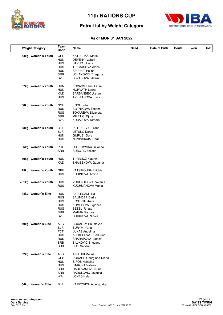



# **Entry List by Weight Category**

| <b>Weight Category</b> | Team<br>Code                                                                                   | Name                                                                                                                                                | Seed | Date of Birth | <b>Bouts</b> | won | lost |
|------------------------|------------------------------------------------------------------------------------------------|-----------------------------------------------------------------------------------------------------------------------------------------------------|------|---------------|--------------|-----|------|
| 54kg Women's Youth     | <b>GRE</b><br><b>HUN</b><br><b>RUS</b><br><b>RUS</b><br><b>RUS</b><br><b>SRB</b><br><b>SVK</b> | <b>KATECHAKI Maria</b><br>DEVENYI Izabeli<br>SAVRO Uliana<br><b>TREMASOVA Alena</b><br>SPIRINA Polina<br>JOVANOVIC Dragana<br>LOVASOVA Bibiana      |      |               |              |     |      |
| 57kg Women's Youth     | HUN<br><b>HUN</b><br>KAZ<br><b>RUS</b>                                                         | KOVACS Fanni Laura<br><b>HORVATH Laura</b><br>SARSANBEK Ulzhan<br><b>AVERIANOVA Evita</b>                                                           |      |               |              |     |      |
| 60kg Women's Youth     | <b>NOR</b><br><b>RUS</b><br><b>RUS</b><br><b>SRB</b><br><b>SVK</b>                             | <b>ENGE Julie</b><br>SOTNIKOVA Tatiana<br><b>TOKAREVA Elizaveta</b><br>MILETIC Djina<br><b>KUBALOVA Tamara</b>                                      |      |               |              |     |      |
| 63kg Women's Youth     | BIH<br><b>BLR</b><br><b>HUN</b><br><b>RUS</b>                                                  | PETRICEVIC Tijana<br>LETSKO Darya<br><b>GURUBI Dora</b><br>NOVINSKAIA Daria                                                                         |      |               |              |     |      |
| 66kg Women's Youth     | <b>POL</b><br><b>SRB</b>                                                                       | RUTKOWSKA Julianna<br>SUBOTIC Zeljana                                                                                                               |      |               |              |     |      |
| 70kg Women's Youth     | <b>HUN</b><br>KAZ                                                                              | <b>TURBUCZ Klaudia</b><br>SHAIBEKOVA Gaughar                                                                                                        |      |               |              |     |      |
| 75kg Women's Youth     | <b>GRE</b><br><b>RUS</b>                                                                       | <b>KATSIROUBA Eftichia</b><br>KUDINOVA Albina                                                                                                       |      |               |              |     |      |
| +81kg Women's Youth    | <b>RUS</b><br><b>RUS</b>                                                                       | <b>VORONTSOVA Valerija</b><br>KUCHMANOVA Mariia                                                                                                     |      |               |              |     |      |
| 48kg Women's Elite     | <b>HUN</b><br><b>RUS</b><br><b>RUS</b><br><b>RUS</b><br><b>RUS</b><br>SRB<br><b>SVK</b>        | SZELECZKI Lilla<br>SALINDER Dariia<br>KOSTINA Anna<br>KHMELEVA Evgeniia<br><b>BEZEL Rinata</b><br><b>MARAN Sandra</b><br><b>DURIKOVA Nicole</b>     |      |               |              |     |      |
| 50kg Women's Elite     | <b>ALG</b><br><b>BLR</b><br><b>FCT</b><br><b>RUS</b><br><b>RUS</b><br>SRB<br><b>SRB</b>        | <b>BOUALEM Roumaysa</b><br><b>BURYM Yana</b><br>LUKAS Angelina<br>ALEKSEEVA Kunduune<br>SHARAPOVA Liubov<br>SILJKOVIC Snezana<br><b>BRIL Sandra</b> |      |               |              |     |      |
| 52kg Women's Elite     | <b>ALG</b><br>GER<br><b>HUN</b><br><b>RUS</b><br><b>SRB</b><br><b>SRB</b><br>WAL               | AINAOUI Melina<br>PODARU Georgiana-Diana<br>SIPOS Hajnalka<br>LINKOVA Valeriia<br>RADOVANOVIC Nina<br>RADULOVIC Jovanka<br><b>JONES Helen</b>       |      |               |              |     |      |
| 54kg Women's Elite     | <b>BLR</b>                                                                                     | KARPOVICH Aliaksandra                                                                                                                               |      |               |              |     |      |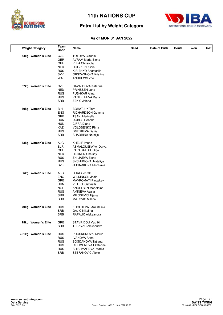



# **Entry List by Weight Category**

| <b>Weight Category</b> | Team<br>Code                                                                                          | Name                                                                                                                                                                                              | Seed | Date of Birth | <b>Bouts</b> | won | lost |
|------------------------|-------------------------------------------------------------------------------------------------------|---------------------------------------------------------------------------------------------------------------------------------------------------------------------------------------------------|------|---------------|--------------|-----|------|
| 54kg Women's Elite     | CZE<br><b>GER</b><br>GRE<br><b>NED</b><br><b>RUS</b><br><b>SVK</b><br>WAL                             | <b>TOTOVA Claudia</b><br><b>AVRAM Maria-Elena</b><br>PLEA Chrisoula<br><b>HOLZKEN Alicia</b><br>KIRIENKO Anastasiia<br>ORSZAGHOVA Kristina<br><b>ANDREWS Zoe</b>                                  |      |               |              |     |      |
| 57kg Women's Elite     | CZE<br><b>NED</b><br><b>RUS</b><br><b>RUS</b><br><b>SRB</b>                                           | CAVAJDOVA Katerina<br>PRINSSEN Juna<br>PUSHKAR Alina<br>PANTELEEVA Daria<br><b>ZEKIC Jelena</b>                                                                                                   |      |               |              |     |      |
| 60kg Women's Elite     | BIH<br><b>ENG</b><br>GRE<br><b>HUN</b><br><b>HUN</b><br><b>KAZ</b><br><b>RUS</b><br><b>SRB</b>        | <b>BOHATJUK Tara</b><br>RICHARDSON Gemma<br><b>TSANI Marinella</b><br>DOBOS Rebeka<br>CIFRA Diana<br><b>VOLOSENKO Rima</b><br><b>DMITRIEVA Darija</b><br>SHADRINA Natalija                        |      |               |              |     |      |
| 63kg Women's Elite     | <b>ALG</b><br><b>BLR</b><br>GRE<br><b>NED</b><br><b>RUS</b><br><b>RUS</b><br><b>SVK</b>               | <b>KHELIF Imane</b><br>ASMALOUSKAYA Darya<br>PAPADATOU Olga<br><b>HEIJNEN Chelsey</b><br>ZHILIAEVA Elena<br>SYCHUGOVA Nataliya<br>JEDINAKOVA Miroslava                                            |      |               |              |     |      |
| 66kg Women's Elite     | <b>ALG</b><br><b>ENG</b><br>GRE<br><b>HUN</b><br><b>NOR</b><br><b>RUS</b><br><b>SRB</b><br><b>SRB</b> | <b>CHAIB Ichrak</b><br><b>WILKINSON Jodie</b><br><b>MAVROMATI Paraskevi</b><br>VETRO Gabriella<br><b>ANGELSEN Madeleine</b><br><b>AMINEVA Azalia</b><br>MILOSEVIC Tijana<br><b>MATOVIC Milena</b> |      |               |              |     |      |
| 70kg Women's Elite     | <b>RUS</b><br><b>SRB</b><br><b>SRB</b>                                                                | KHOLUEVA Anastasiia<br><b>GAJIC Nikolina</b><br>RAPAJIC Aleksandra                                                                                                                                |      |               |              |     |      |
| 75kg Women's Elite     | <b>GRE</b><br><b>SRB</b>                                                                              | STAVRIDOU Vasiliki<br><b>TEPAVAC Aleksandra</b>                                                                                                                                                   |      |               |              |     |      |
| +81kg Women's Elite    | <b>RUS</b><br><b>RUS</b><br><b>RUS</b><br><b>RUS</b><br><b>RUS</b><br><b>SRB</b>                      | PROSKUNOVA Marija<br><b>IVANOVA Anna</b><br><b>BOGDANOVA Tatiana</b><br><b>IACHMENEVA Ekaterina</b><br>SHISHMAREVA Mariia<br>STEFANOVIC Alexei                                                    |      |               |              |     |      |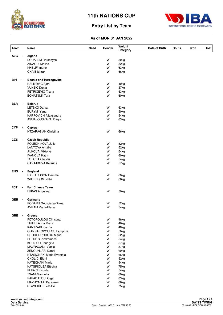



## **Entry List by Team**

| <b>Team</b> |                | Name                          | <b>Seed</b> | Gender | Weight<br>Category | Date of Birth | <b>Bouts</b> | won | lost |
|-------------|----------------|-------------------------------|-------------|--------|--------------------|---------------|--------------|-----|------|
| <b>ALG</b>  |                | Algeria                       |             |        |                    |               |              |     |      |
|             |                | <b>BOUALEM Roumaysa</b>       |             | W      | 50kg               |               |              |     |      |
|             |                | AINAOUI Melina                |             | W      | 52kg               |               |              |     |      |
|             |                | <b>KHELIF Imane</b>           |             | W      | 63kg               |               |              |     |      |
|             |                | CHAIB Ichrak                  |             | W      | 66kg               |               |              |     |      |
| <b>BIH</b>  | $\blacksquare$ | <b>Bosnia and Herzegovina</b> |             |        |                    |               |              |     |      |
|             |                | <b>HALILOVIC Ajna</b>         |             | W      | 40kg               |               |              |     |      |
|             |                | <b>VUKSIC Dunja</b>           |             | W      | 57kg               |               |              |     |      |
|             |                | PETRICEVIC Tijana             |             | W      | 63kg               |               |              |     |      |
|             |                | <b>BOHATJUK Tara</b>          |             | W      | 60kg               |               |              |     |      |
| <b>BLR</b>  | $\blacksquare$ | <b>Belarus</b>                |             |        |                    |               |              |     |      |
|             |                | LETSKO Darya                  |             | W      | 63kg               |               |              |     |      |
|             |                | <b>BURYM Yana</b>             |             | W      | 50kg               |               |              |     |      |
|             |                | <b>KARPOVICH Aliaksandra</b>  |             | W      |                    |               |              |     |      |
|             |                |                               |             | W      | 54kg               |               |              |     |      |
|             |                | ASMALOUSKAYA Darya            |             |        | 63kg               |               |              |     |      |
| <b>CYP</b>  |                | <b>Cyprus</b>                 |             |        |                    |               |              |     |      |
|             |                | NTZARAGIAN Christina          |             | W      | 66kg               |               |              |     |      |
| <b>CZE</b>  |                | <b>Czech Republic</b>         |             |        |                    |               |              |     |      |
|             |                | POLEDNIKOVA Julie             |             | W      | 52kg               |               |              |     |      |
|             |                | <b>LANTOVA Amalie</b>         |             | W      | 52kg               |               |              |     |      |
|             |                | JILKOVA Viktorie              |             | w      | 54kg               |               |              |     |      |
|             |                | <b>IVANOVA Katrin</b>         |             | W      | 60kg               |               |              |     |      |
|             |                | <b>TOTOVA Claudia</b>         |             | W      | 54kg               |               |              |     |      |
|             |                | CAVAJDOVA Katerina            |             | W      | 57kg               |               |              |     |      |
| <b>ENG</b>  |                | England                       |             |        |                    |               |              |     |      |
|             |                | RICHARDSON Gemma              |             | W      | 60kg               |               |              |     |      |
|             |                | <b>WILKINSON Jodie</b>        |             | W      | 66kg               |               |              |     |      |
|             |                |                               |             |        |                    |               |              |     |      |
| <b>FCT</b>  | $\blacksquare$ | <b>Fair Chance Team</b>       |             |        |                    |               |              |     |      |
|             |                | <b>LUKAS Angelina</b>         |             | W      | 50kg               |               |              |     |      |
| <b>GER</b>  |                | Germany                       |             |        |                    |               |              |     |      |
|             |                | PODARU Georgiana-Diana        |             | w      | 52kg               |               |              |     |      |
|             |                | <b>AVRAM Maria-Elena</b>      |             | W      | 54kg               |               |              |     |      |
| GRE -       |                | Greece                        |             |        |                    |               |              |     |      |
|             |                | FOTOPOULOU Christina          |             | W      | 46kg               |               |              |     |      |
|             |                | <b>TRIFILI Anna Maria</b>     |             | W      | 46kg               |               |              |     |      |
|             |                | KANTZARI Ioanna               |             | W      | 48kg               |               |              |     |      |
|             |                | GIANNAKOPOULOU Lamprini       |             | W      | 50kg               |               |              |     |      |
|             |                | GEORGOPOULOU Maria            |             | W      | 52kg               |               |              |     |      |
|             |                | PETRITSI Andromachi           |             | W      |                    |               |              |     |      |
|             |                |                               |             |        | 54kg               |               |              |     |      |
|             |                | KOUZIOU Panagiita             |             | W      | 57kg               |               |              |     |      |
|             |                | MAVRAGANI Vlasia              |             | W      | 57kg               |               |              |     |      |
|             |                | ZENOUNLARI Danai              |             | W      | 60kg               |               |              |     |      |
|             |                | NTASIONAKI Maria Evanthia     |             | W      | 66kg               |               |              |     |      |
|             |                | <b>CHOLIDI Eleni</b>          |             | W      | 52kg               |               |              |     |      |
|             |                | <b>KATECHAKI Maria</b>        |             | W      | 54kg               |               |              |     |      |
|             |                | <b>KATSIROUBA Eftichia</b>    |             | W      | 75kg               |               |              |     |      |
|             |                | PLEA Chrisoula                |             | W      | 54kg               |               |              |     |      |
|             |                | <b>TSANI Marinella</b>        |             | W      | 60kg               |               |              |     |      |
|             |                | PAPADATOU Olga                |             | W      | 63kg               |               |              |     |      |
|             |                | MAVROMATI Paraskevi           |             | W      | 66kg               |               |              |     |      |
|             |                | STAVRIDOU Vasiliki            |             | W      | 75kg               |               |              |     |      |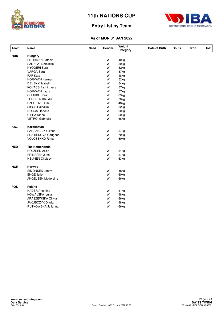



## **Entry List by Team**

| Team       |                | Name                      | Seed | Gender | Weight<br>Category | Date of Birth | <b>Bouts</b> | won | lost |
|------------|----------------|---------------------------|------|--------|--------------------|---------------|--------------|-----|------|
| <b>HUN</b> | $\blacksquare$ | Hungary                   |      |        |                    |               |              |     |      |
|            |                | PETRIMAN Patricia         |      | W      | 40kg               |               |              |     |      |
|            |                | SZILAGYI Dominika         |      | W      | 50kg               |               |              |     |      |
|            |                | NYOGERI Sara              |      | W      | 52kg               |               |              |     |      |
|            |                | <b>VARGA Sara</b>         |      | W      | 57kg               |               |              |     |      |
|            |                | PAP Kata                  |      | W      | 48kg               |               |              |     |      |
|            |                | <b>HORVATH Karmen</b>     |      | W      | 52kg               |               |              |     |      |
|            |                | <b>DEVENYI Izabeli</b>    |      | W      | 54 <sub>kg</sub>   |               |              |     |      |
|            |                | KOVACS Fanni Laura        |      | W      | 57kg               |               |              |     |      |
|            |                | <b>HORVATH Laura</b>      |      | W      | 57kg               |               |              |     |      |
|            |                | <b>GURUBI Dora</b>        |      | W      | 63kg               |               |              |     |      |
|            |                | <b>TURBUCZ Klaudia</b>    |      | W      | 70kg               |               |              |     |      |
|            |                | SZELECZKI Lilla           |      | W      | 48kg               |               |              |     |      |
|            |                | SIPOS Hajnalka            |      | W      | 52kg               |               |              |     |      |
|            |                | <b>DOBOS Rebeka</b>       |      | W      | 60kg               |               |              |     |      |
|            |                | CIFRA Diana               |      | W      | 60kg               |               |              |     |      |
|            |                | VETRO Gabriella           |      | W      | 66kg               |               |              |     |      |
| <b>KAZ</b> |                | Kazakhstan                |      |        |                    |               |              |     |      |
|            |                | SARSANBEK Ulzhan          |      | W      | 57kg               |               |              |     |      |
|            |                | SHAIBEKOVA Gaughar        |      | W      | 70kg               |               |              |     |      |
|            |                | <b>VOLOSENKO Rima</b>     |      | W      | 60kg               |               |              |     |      |
| <b>NED</b> | $\blacksquare$ | <b>The Netherlands</b>    |      |        |                    |               |              |     |      |
|            |                | <b>HOLZKEN Alicia</b>     |      | W      | 54 <sub>kg</sub>   |               |              |     |      |
|            |                | PRINSSEN Juna             |      | W      | 57kg               |               |              |     |      |
|            |                | <b>HEIJNEN Chelsey</b>    |      | W      | 63kg               |               |              |     |      |
| <b>NOR</b> | $\blacksquare$ | Norway                    |      |        |                    |               |              |     |      |
|            |                | SIMONSEN Jenny            |      | W      | 48kg               |               |              |     |      |
|            |                | <b>ENGE Julie</b>         |      | W      | 60kg               |               |              |     |      |
|            |                | <b>ANGELSEN Madeleine</b> |      | W      | 66kg               |               |              |     |      |
| <b>POL</b> | $\blacksquare$ | Poland                    |      |        |                    |               |              |     |      |
|            |                | <b>HADER Antonina</b>     |      | W      | 51kg               |               |              |     |      |
|            |                | KOWALSKA Julia            |      | W      | 48kg               |               |              |     |      |
|            |                | ARASZEWSKA Oliwia         |      | W      | 66kg               |               |              |     |      |
|            |                | <b>JAKUBCZYK Oliwia</b>   |      | W      | 48kg               |               |              |     |      |
|            |                | RUTKOWSKA Julianna        |      | W      | 66kg               |               |              |     |      |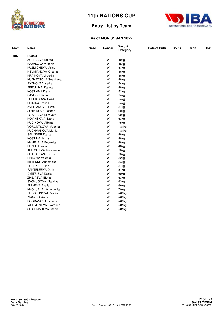



## **Entry List by Team**

| Team                         | Name                        | Seed | Gender | Weight<br>Category | Date of Birth | <b>Bouts</b> | won | lost |
|------------------------------|-----------------------------|------|--------|--------------------|---------------|--------------|-----|------|
| <b>RUS</b><br>$\blacksquare$ | <b>Russia</b>               |      |        |                    |               |              |     |      |
|                              | <b>AUSHEEVA Bairaa</b>      |      | W      | 40kg               |               |              |     |      |
|                              | KAZAKOVA Viktorija          |      | W      | 46kg               |               |              |     |      |
|                              | KUZMICHEVA Arina            |      | W      | 57kg               |               |              |     |      |
|                              | NEVMIANOVA Kristina         |      | W      | 46kg               |               |              |     |      |
|                              | <b>KRAINOVA Viktoriia</b>   |      | W      | 46kg               |               |              |     |      |
|                              | KUZNETSOVA Snezhana         |      | W      | 48kg               |               |              |     |      |
|                              | RYZHOVA Valerija            |      | W      | 54kg               |               |              |     |      |
|                              | FEIZULINA Karina            |      | W      | 48kg               |               |              |     |      |
|                              | <b>KOSTKINA Daria</b>       |      | W      | 52kg               |               |              |     |      |
|                              | SAVRO Uliana                |      | W      | 54 <sub>kg</sub>   |               |              |     |      |
|                              | <b>TREMASOVA Alena</b>      |      | W      | 54kg               |               |              |     |      |
|                              | <b>SPIRINA Polina</b>       |      | W      | 54 <sub>kg</sub>   |               |              |     |      |
|                              | <b>AVERIANOVA Evita</b>     |      | W      | 57kg               |               |              |     |      |
|                              | SOTNIKOVA Tatiana           |      | W      | 60kg               |               |              |     |      |
|                              | <b>TOKAREVA Elizaveta</b>   |      | W      | 60 <sub>kg</sub>   |               |              |     |      |
|                              | NOVINSKAIA Daria            |      | W      | 63kg               |               |              |     |      |
|                              | KUDINOVA Albina             |      | W      | 75kg               |               |              |     |      |
|                              | <b>VORONTSOVA Valerija</b>  |      | W      | $+81kg$            |               |              |     |      |
|                              | <b>KUCHMANOVA Marija</b>    |      | W      | $+81kg$            |               |              |     |      |
|                              | <b>SALINDER Dariia</b>      |      | W      | 48kg               |               |              |     |      |
|                              | KOSTINA Anna                |      | W      | 48kg               |               |              |     |      |
|                              | KHMELEVA Evgeniia           |      | W      | 48kg               |               |              |     |      |
|                              | <b>BEZEL Rinata</b>         |      | W      | 48kg               |               |              |     |      |
|                              | ALEKSEEVA Kunduune          |      | W      | 50 <sub>kg</sub>   |               |              |     |      |
|                              | SHARAPOVA Liubov            |      | W      | 50kg               |               |              |     |      |
|                              | LINKOVA Valerija            |      | W      | 52kg               |               |              |     |      |
|                              | KIRIENKO Anastasija         |      | W      | 54kg               |               |              |     |      |
|                              | <b>PUSHKAR Alina</b>        |      | W      | 57kg               |               |              |     |      |
|                              | PANTELEEVA Daria            |      | W      | 57kg               |               |              |     |      |
|                              | <b>DMITRIEVA Darija</b>     |      | W      | 60 <sub>kg</sub>   |               |              |     |      |
|                              | ZHILIAEVA Elena             |      | W      | 63kg               |               |              |     |      |
|                              | SYCHUGOVA Nataliya          |      | W      | 63kg               |               |              |     |      |
|                              | <b>AMINEVA Azalia</b>       |      | W      | 66kg               |               |              |     |      |
|                              | KHOLUEVA Anastasija         |      | W      | 70kg               |               |              |     |      |
|                              | PROSKUNOVA Mariia           |      | W      | $+81kg$            |               |              |     |      |
|                              | <b>IVANOVA Anna</b>         |      | W      | $+81kg$            |               |              |     |      |
|                              | <b>BOGDANOVA Tatiana</b>    |      | W      | $+81kg$            |               |              |     |      |
|                              | <b>IACHMENEVA Ekaterina</b> |      | W      | $+81kg$            |               |              |     |      |
|                              | SHISHMAREVA Mariia          |      | W      | $+81kg$            |               |              |     |      |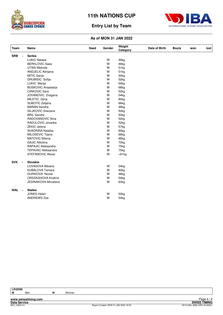



## **Entry List by Team**

#### **As of MON 31 JAN 2022**

| <b>Team</b>                  | Name                       | <b>Seed</b> | Gender | Weight<br>Category | Date of Birth | <b>Bouts</b> | won | lost |
|------------------------------|----------------------------|-------------|--------|--------------------|---------------|--------------|-----|------|
| <b>SRB</b><br>$\blacksquare$ | Serbia                     |             |        |                    |               |              |     |      |
|                              | <b>LUKIC Natasa</b>        |             | W      | 46kg               |               |              |     |      |
|                              | <b>BERKLOVIC Sasa</b>      |             | W      | 46kg               |               |              |     |      |
|                              | <b>UTASI Melinda</b>       |             | W      | 51kg               |               |              |     |      |
|                              | ANDJELIC Adrijana          |             | W      | 51kg               |               |              |     |      |
|                              | MITIC Sanja                |             | W      | 50kg               |               |              |     |      |
|                              | <b>GRUBISIC Sofija</b>     |             | W      | 52kg               |               |              |     |      |
|                              | LUKIC Marija               |             | W      | 54 <sub>kg</sub>   |               |              |     |      |
|                              | <b>BOSKOVIC Anastasija</b> |             | W      | 66kg               |               |              |     |      |
|                              | <b>CIRKOVIC Sara</b>       |             | W      | 52kg               |               |              |     |      |
|                              | JOVANOVIC Dragana          |             | W      | 54 <sub>kg</sub>   |               |              |     |      |
|                              | MILETIC Djina              |             | W      | 60kg               |               |              |     |      |
|                              | SUBOTIC Zeljana            |             | W      | 66kg               |               |              |     |      |
|                              | <b>MARAN Sandra</b>        |             | W      | 48kg               |               |              |     |      |
|                              | SILJKOVIC Snezana          |             | W      | 50 <sub>kg</sub>   |               |              |     |      |
|                              | <b>BRIL Sandra</b>         |             | W      | 50 <sub>kg</sub>   |               |              |     |      |
|                              | RADOVANOVIC Nina           |             | W      | 52kg               |               |              |     |      |
|                              | RADULOVIC Jovanka          |             | W      | 52kg               |               |              |     |      |
|                              | <b>ZEKIC Jelena</b>        |             | W      | 57kg               |               |              |     |      |
|                              | SHADRINA Natalija          |             | W      | 60kg               |               |              |     |      |
|                              | MILOSEVIC Tijana           |             | W      | 66kg               |               |              |     |      |
|                              | <b>MATOVIC Milena</b>      |             | W      | 66kg               |               |              |     |      |
|                              | <b>GAJIC Nikolina</b>      |             | W      | 70 <sub>kg</sub>   |               |              |     |      |
|                              | RAPAJIC Aleksandra         |             | W      | 70kg               |               |              |     |      |
|                              | <b>TEPAVAC Aleksandra</b>  |             | W      | 75kg               |               |              |     |      |
|                              | <b>STEFANOVIC Alexei</b>   |             | W      | $+81kg$            |               |              |     |      |
| <b>SVK</b><br>$\sim$         | Slovakia                   |             |        |                    |               |              |     |      |
|                              | LOVASOVA Bibiana           |             | W      | 54kg               |               |              |     |      |
|                              | <b>KUBALOVA Tamara</b>     |             | W      | 60kg               |               |              |     |      |
|                              | <b>DURIKOVA Nicole</b>     |             | W      | 48kg               |               |              |     |      |
|                              | ORSZAGHOVA Kristina        |             | W      | 54 <sub>kg</sub>   |               |              |     |      |
|                              | JEDINAKOVA Miroslava       |             | W      | 63kg               |               |              |     |      |
| <b>WAL</b><br>$\blacksquare$ | Walles                     |             |        |                    |               |              |     |      |
|                              | <b>JONES Helen</b>         |             | W      | 52kg               |               |              |     |      |
|                              | <b>ANDREWS Zoe</b>         |             | W      | 54kg               |               |              |     |      |

**LEGEND**

**M** Men **W** Women

**www.swisstiming.com**

**Data Service SWISS TIMING** Page 4 / 4<br>SWISS TIMING<br>0010-036c-AIBA.ORG-30-82601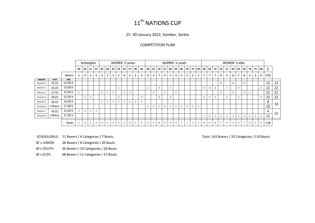# 11<sup>th</sup> NATIONS CUP

25 -30 January 2022, Sombor, Serbia

# COMPETITION PLAN

|                |               | Schoolgirls |                |                         |                         |                  | WOMEN'S junior |                |                |    |                | WOMEN'S youth           |                |                |                |                | WOMEN'S elite  |                |                |                         |                |                |                |                |                |                         |                |            |                |                |                |                |                |                |                |     |    |
|----------------|---------------|-------------|----------------|-------------------------|-------------------------|------------------|----------------|----------------|----------------|----|----------------|-------------------------|----------------|----------------|----------------|----------------|----------------|----------------|----------------|-------------------------|----------------|----------------|----------------|----------------|----------------|-------------------------|----------------|------------|----------------|----------------|----------------|----------------|----------------|----------------|----------------|-----|----|
|                |               |             | 40             | 46                      | 51                      | 57               | 46             | 48             | 50             | 52 | 54             | 57                      | 60             | 66             | 48             | 52             | 54             | 57             | 60             | 63                      | 66             | 70             | 75             | $+81$          | 48             | 50                      | 52             | 54         | 57             | 60             | 63             | 66             | 70             |                | $75$ +81       | Σ   |    |
|                |               | Boxers:     | 3              | $\overline{\mathbf{3}}$ | $\overline{\mathbf{3}}$ | n.<br>$\epsilon$ | 4              | 3              | 3              | 5  | 4              | $\overline{\mathbf{3}}$ | $\overline{2}$ | 4              | 4              | 4              | $\overline{7}$ | 4              | 5              | $\overline{a}$          | $\overline{2}$ | $\overline{2}$ | $\overline{2}$ | $\overline{2}$ | $\overline{7}$ | $\overline{\mathbf{z}}$ | $\overline{7}$ | 8          | 5              | 8              | $\overline{7}$ | 8              | $\mathbf{3}$   | $\overline{2}$ | 6              | 143 |    |
| <b>SESSION</b> | <b>DATE</b>   | <b>TIME</b> |                |                         |                         |                  |                |                |                |    |                |                         |                |                |                |                |                |                |                |                         |                |                |                |                |                |                         |                |            |                |                |                |                |                |                |                |     |    |
| Session 1      | 25.01         | 15.00 h     |                |                         |                         |                  |                |                |                |    |                |                         |                |                |                |                |                |                |                |                         |                |                |                |                |                |                         |                |            |                | $\overline{4}$ |                | $\overline{4}$ |                |                |                | 12  | 12 |
| Session 2      | 26.01         | 15.00 h     |                |                         |                         |                  |                |                |                |    |                |                         |                |                | $\overline{2}$ |                | 3              |                | $\overline{ }$ |                         |                |                |                |                | $\overline{3}$ | $\overline{3}$          | $\overline{3}$ |            | $\mathbf{1}$   |                | 3              |                |                |                | $\overline{2}$ | 22  | 22 |
| Session 3      | 27.01         | 15.00 h     |                |                         |                         |                  | $\overline{2}$ |                | $\mathbf{1}$   |    | $\overline{2}$ | ᆠ                       |                |                |                | $\overline{2}$ |                | $\overline{2}$ |                | $\overline{2}$          |                |                |                |                |                |                         |                | $\epsilon$ |                | $\overline{2}$ |                | $\overline{2}$ |                |                |                | 21  | 21 |
| Session 4      | 28.01         | 15.00 h     |                | $\mathbf{1}$            | $\mathbf{1}$            |                  |                |                |                | 2  |                |                         |                | $\overline{2}$ |                |                | $\overline{2}$ |                | $\overline{2}$ |                         |                |                |                |                | $\overline{2}$ | $\overline{2}$          | $\overline{2}$ |            | 2              |                | 2              |                |                |                | $\overline{2}$ | 22  | 22 |
| Session 5      | 29.01         | 14.00 h     |                |                         |                         |                  |                |                | $\mathbf{1}$   |    | $\mathbf{1}$   | ᆠ                       | ᆠ              | $\mathbf{1}$   |                |                |                |                |                |                         |                |                |                |                |                |                         |                |            |                |                |                |                |                |                |                | 8   |    |
| Session6       | <b>FINALS</b> | 17.00 h     |                |                         |                         |                  |                |                |                |    |                |                         |                |                | $\mathbf{1}$   |                | $\mathbf{1}$   |                |                | $\mathbf{1}$            |                | $\mathbf{1}$   |                | $\mathbf{1}$   |                |                         |                |            |                |                |                |                |                |                |                | 10  | 18 |
| Session 7      | 30.01         | 15.00 h     |                | $\mathbf{1}$            | $\mathbf{1}$            |                  |                |                |                |    |                |                         |                |                |                |                |                |                |                |                         |                |                |                |                |                |                         |                |            |                |                |                |                |                |                |                | 4   |    |
| Session 8      | <b>FINALS</b> | 17.00 h     |                |                         |                         |                  |                |                |                |    |                |                         |                |                |                |                |                |                |                |                         |                |                |                |                | $\overline{1}$ |                         |                |            | 1              | $\mathbf{1}$   |                |                | $\mathbf{1}$   | $\mathbf{1}$   | $\mathbf{1}$   | 11  | 15 |
|                |               |             |                |                         |                         |                  |                |                |                |    |                |                         |                |                |                |                |                |                |                |                         |                |                |                |                |                |                         |                |            |                |                |                |                |                |                |                |     |    |
|                |               | Bouts:      | $\overline{2}$ | $\overline{2}$          | $\overline{2}$          |                  | $\overline{3}$ | $\overline{2}$ | $\overline{2}$ | 4  | $\overline{3}$ | $\overline{2}$          |                | $\mathbf{3}$   | $\overline{3}$ | $\overline{3}$ | 6              | 3              | $\overline{4}$ | $\overline{\mathbf{3}}$ |                | $\mathbf{1}$   |                | $\mathbf{1}$   | 6              | 6                       | 6              |            | $\overline{4}$ | $\overline{7}$ | 6              | $\overline{7}$ | $\overline{2}$ | $\mathbf{1}$   | 5              | 110 |    |

- SCHOOLGIRLS: 11 Boxers / 4 Categories / 7 Bouts
- W`s JUNIOR: 28 Boxers / 8 Categories / 20 Bouts
- W`s YOUTH: 36 Boxers / 10 Categories / 26 Bouts
- W`s ELITE: 68 Boxers / 11 Categories / 57 Bouts

Total: 143 Boxers / 33 Categories / 110 Bouts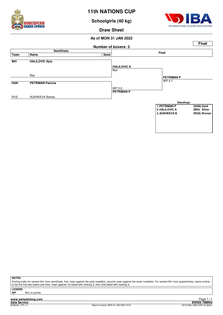

**Schoolgirls (40 kg)**



**Draw Sheet**

#### **As of MON 31 JAN 2022**



**NOTES**

Sorting order for ranked 3rd: from semifinals, first, loser against the gold medallist, second, loser against the silver medallist. For ranked 5th: from quarterfinals, same criteria to list the first two losers and then, loser against 1st listed with ranking 3, then 2nd listed with ranking 3.

**LEGEND**

**Win on points** 

**www.swisstiming.com Data Service SWISS TIMING**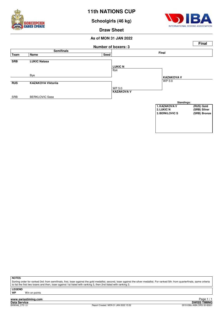

**Schoolgirls (46 kg)**



**Draw Sheet**

#### **As of MON 31 JAN 2022**



**NOTES**

Sorting order for ranked 3rd: from semifinals, first, loser against the gold medallist, second, loser against the silver medallist. For ranked 5th: from quarterfinals, same criteria to list the first two losers and then, loser against 1st listed with ranking 3, then 2nd listed with ranking 3.

**LEGEND**

**Win on points**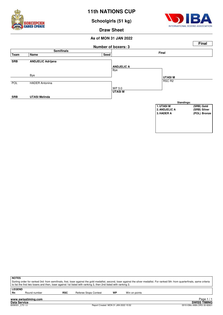

**Schoolgirls (51 kg)**



**Draw Sheet**



| <b>NOTES</b>  |                                                                                                                 |            |                       |    |                                                                                                                                                                                       |
|---------------|-----------------------------------------------------------------------------------------------------------------|------------|-----------------------|----|---------------------------------------------------------------------------------------------------------------------------------------------------------------------------------------|
|               |                                                                                                                 |            |                       |    | Sorting order for ranked 3rd: from semifinals, first, loser against the gold medallist, second, loser against the silver medallist. For ranked 5th: from quarterfinals, same criteria |
|               | to list the first two losers and then, loser against 1st listed with ranking 3, then 2nd listed with ranking 3. |            |                       |    |                                                                                                                                                                                       |
| <b>LEGEND</b> |                                                                                                                 |            |                       |    |                                                                                                                                                                                       |
| <b>Rn</b>     | Round number                                                                                                    | <b>RSC</b> | Referee Stops Contest | WP | Win on points                                                                                                                                                                         |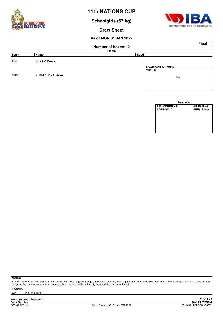

**Schoolgirls (57 kg)**



**Draw Sheet**

#### **As of MON 31 JAN 2022**

|            |                         |                            |                  | <b>Final</b> |
|------------|-------------------------|----------------------------|------------------|--------------|
|            |                         | <b>Number of boxers: 2</b> |                  |              |
|            |                         | <b>Finals</b>              |                  |              |
| Team       | Name                    | Seed                       |                  |              |
|            |                         |                            |                  |              |
| <b>BIH</b> | <b>VUKSIC Dunja</b>     |                            |                  |              |
|            |                         |                            | KUZMICHEVA Arina |              |
|            |                         |                            | WP 5:0           |              |
| <b>RUS</b> | <b>KUZMICHEVA Arina</b> |                            | Bout             |              |
|            |                         |                            |                  |              |
|            |                         |                            |                  |              |

| Standings:           |              |
|----------------------|--------------|
| <b>1. KUZMICHEVA</b> | (RUS) Gold   |
| 2. VUKSIC D          | (BIH) Silver |
|                      |              |
|                      |              |
|                      |              |
|                      |              |
|                      |              |
|                      |              |

**NOTES**

Sorting order for ranked 3rd: from semifinals, first, loser against the gold medallist, second, loser against the silver medallist. For ranked 5th: from quarterfinals, same criteria to list the first two losers and then, loser against 1st listed with ranking 3, then 2nd listed with ranking 3.

**LEGEND**

**Win on points** 

**www.swisstiming.com Data Service SWISS TIMING**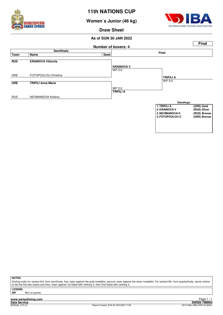

**Women`s Junior (46 kg)**



**Draw Sheet**

#### **As of SUN 30 JAN 2022**



#### **NOTES**

Sorting order for ranked 3rd: from semifinals, first, loser against the gold medallist, second, loser against the silver medallist. For ranked 5th: from quarterfinals, same criteria to list the first two losers and then, loser against 1st listed with ranking 3, then 2nd listed with ranking 3.

**LEGEND**

**Win on points** 

**www.swisstiming.com Data Service SWISS TIMING**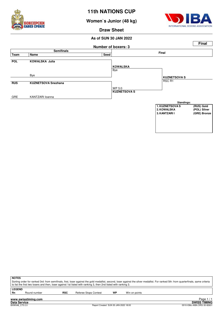

**Women`s Junior (48 kg)**



**Draw Sheet**

#### **As of SUN 30 JAN 2022**



| ∣ NOTES  |                                                                                                                                                                                       |     |                                                                                                                 |    |               |  |  |
|----------|---------------------------------------------------------------------------------------------------------------------------------------------------------------------------------------|-----|-----------------------------------------------------------------------------------------------------------------|----|---------------|--|--|
|          | Sorting order for ranked 3rd: from semifinals, first, loser against the gold medallist, second, loser against the silver medallist. For ranked 5th: from quarterfinals, same criteria |     |                                                                                                                 |    |               |  |  |
|          |                                                                                                                                                                                       |     | to list the first two losers and then, loser against 1st listed with ranking 3, then 2nd listed with ranking 3. |    |               |  |  |
| l LEGEND |                                                                                                                                                                                       |     |                                                                                                                 |    |               |  |  |
| ∣ Rn     | Round number                                                                                                                                                                          | RSC | Referee Stops Contest                                                                                           | WP | Win on points |  |  |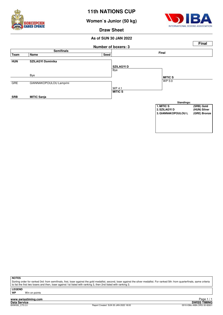

**Women`s Junior (50 kg)**



**Draw Sheet**

#### **As of SUN 30 JAN 2022**



**NOTES**

Sorting order for ranked 3rd: from semifinals, first, loser against the gold medallist, second, loser against the silver medallist. For ranked 5th: from quarterfinals, same criteria to list the first two losers and then, loser against 1st listed with ranking 3, then 2nd listed with ranking 3.

**LEGEND**

**Win on points** 

**www.swisstiming.com Data Service SWISS TIMING**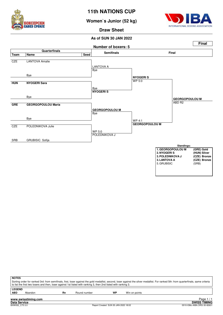

**Women`s Junior (52 kg)**



**Draw Sheet**

#### **As of SUN 30 JAN 2022**



| Sorting order for ranked 3rd: from semifinals, first, loser against the gold medallist, second, loser against the silver medallist. For ranked 5th: from quarterfinals, same criteria |
|---------------------------------------------------------------------------------------------------------------------------------------------------------------------------------------|
| to list the first two losers and then, loser against 1st listed with ranking 3, then 2nd listed with ranking 3.                                                                       |
|                                                                                                                                                                                       |
| Win on points                                                                                                                                                                         |
|                                                                                                                                                                                       |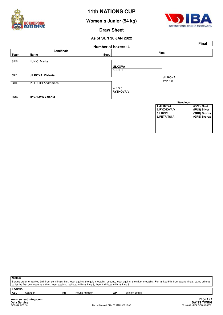

**Women`s Junior (54 kg)**



**Draw Sheet**

#### **As of SUN 30 JAN 2022**



| <b>NOTES</b>                                                                                                                                                                                                                                                                                             |
|----------------------------------------------------------------------------------------------------------------------------------------------------------------------------------------------------------------------------------------------------------------------------------------------------------|
| Sorting order for ranked 3rd: from semifinals, first, loser against the gold medallist, second, loser against the silver medallist. For ranked 5th: from quarterfinals, same criteria<br>to list the first two losers and then, loser against 1st listed with ranking 3, then 2nd listed with ranking 3. |
|                                                                                                                                                                                                                                                                                                          |
| <b>LEGEND</b>                                                                                                                                                                                                                                                                                            |

**ABD** Abandon **Rn** Round number **WP** Win on points

**www.swisstiming.com**

**Data Service SWISS TIMING** Exage 17 1.<br>SWISS TIMING<br>0010-036c-AIBA.ORG-30-82601 0010-036c-AIBA.ORG-30-82601 0010-036c-AIBA.ORG-30-82601 Page 1 / 1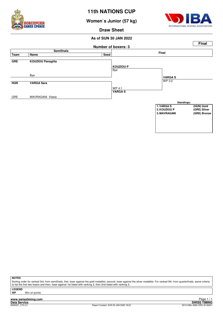

**Women`s Junior (57 kg)**



**Draw Sheet**

#### **As of SUN 30 JAN 2022**



**NOTES**

Sorting order for ranked 3rd: from semifinals, first, loser against the gold medallist, second, loser against the silver medallist. For ranked 5th: from quarterfinals, same criteria to list the first two losers and then, loser against 1st listed with ranking 3, then 2nd listed with ranking 3.

**LEGEND**

**Win on points**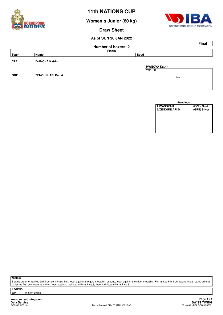

**Women`s Junior (60 kg)**



**Draw Sheet**

### **As of SUN 30 JAN 2022**

|            |                         |                            | <b>Final</b>          |
|------------|-------------------------|----------------------------|-----------------------|
|            |                         | <b>Number of boxers: 2</b> |                       |
|            |                         | <b>Finals</b>              |                       |
| Team       | Name                    | Seed                       |                       |
|            |                         |                            |                       |
| <b>CZE</b> | <b>IVANOVA Katrin</b>   |                            |                       |
|            |                         |                            | <b>IVANOVA Katrin</b> |
|            |                         |                            | WP 5:0                |
| <b>GRE</b> | <b>ZENOUNLARI Danai</b> |                            |                       |
|            |                         |                            | Bout                  |
|            |                         |                            |                       |

| Standings:             |              |
|------------------------|--------------|
| 1. IVANOVA K           | (CZE) Gold   |
| <b>2. ZENOUNLARI D</b> | (GRE) Silver |
|                        |              |
|                        |              |
|                        |              |
|                        |              |
|                        |              |
|                        |              |

**NOTES**

Sorting order for ranked 3rd: from semifinals, first, loser against the gold medallist, second, loser against the silver medallist. For ranked 5th: from quarterfinals, same criteria to list the first two losers and then, loser against 1st listed with ranking 3, then 2nd listed with ranking 3.

**LEGEND**

**Win on points** 

**www.swisstiming.com Data Service SWISS TIMING**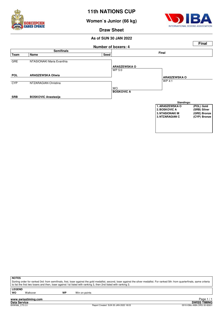

**Women`s Junior (66 kg)**



**Draw Sheet**

#### **As of SUN 30 JAN 2022**



**NOTES**

Sorting order for ranked 3rd: from semifinals, first, loser against the gold medallist, second, loser against the silver medallist. For ranked 5th: from quarterfinals, same criteria to list the first two losers and then, loser against 1st listed with ranking 3, then 2nd listed with ranking 3.

**LEGEND**

Walkover **WP** Win on points

**www.swisstiming.com**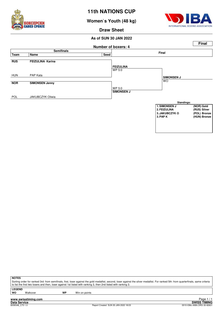

**Women`s Youth (48 kg)**



**Draw Sheet**

#### **As of SUN 30 JAN 2022**



**NOTES**

Sorting order for ranked 3rd: from semifinals, first, loser against the gold medallist, second, loser against the silver medallist. For ranked 5th: from quarterfinals, same criteria to list the first two losers and then, loser against 1st listed with ranking 3, then 2nd listed with ranking 3.

**LEGEND**

Walkover **WP** Win on points

**www.swisstiming.com**

**Data Service SWISS TIMING** ا 1 H aye 1 / 1<br>SWISS TIMING<br>0010-036c-AIBA.ORG-30-82601 0010-036c-AIBA.ORG-30-82601 0010-036c-AIBA.ORG-30-82601 Page 1 / 1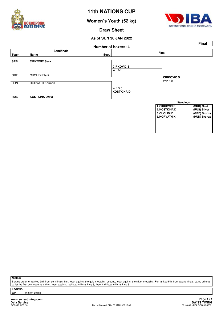

**Women`s Youth (52 kg)**



**Draw Sheet**

#### **As of SUN 30 JAN 2022**



**NOTES**

Sorting order for ranked 3rd: from semifinals, first, loser against the gold medallist, second, loser against the silver medallist. For ranked 5th: from quarterfinals, same criteria to list the first two losers and then, loser against 1st listed with ranking 3, then 2nd listed with ranking 3.

**LEGEND**

**Win on points** 

**www.swisstiming.com Data Service SWISS TIMING**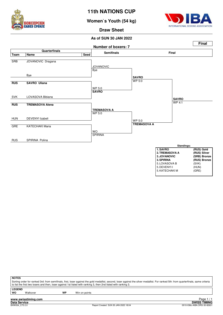

**Women`s Youth (54 kg)**



**Draw Sheet**

#### **As of SUN 30 JAN 2022**



| ×<br>۰,<br>۰. |  |
|---------------|--|
|               |  |

Sorting order for ranked 3rd: from semifinals, first, loser against the gold medallist, second, loser against the silver medallist. For ranked 5th: from quarterfinals, same criteria to list the first two losers and then, loser against 1st listed with ranking 3, then 2nd listed with ranking 3.

**LEGEND**

Walkover **WP** Win on points

**www.swisstiming.com**<br>Data Service<br>BXW054 C75 2.0

Report Created SUN 30 JAN 2022 18:04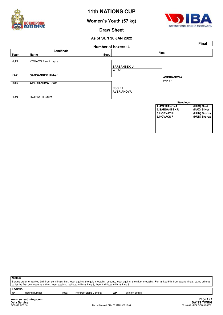

**Women`s Youth (57 kg)**



**Draw Sheet**

#### **As of SUN 30 JAN 2022**



**NOTES**

Sorting order for ranked 3rd: from semifinals, first, loser against the gold medallist, second, loser against the silver medallist. For ranked 5th: from quarterfinals, same criteria to list the first two losers and then, loser against 1st listed with ranking 3, then 2nd listed with ranking 3.

**LEGEND**<br>Rn

Round number **RSC** Referee Stops Contest **WP** Win on points

**www.swisstiming.com Data Service SWISS TIMING**

<u>r aye 1/1</u><br>SWISS TIMING<br>0010-036c-AIBA.ORG-30-82601 0010-036c-AIBA.ORG-30-82601 Page 1 / 1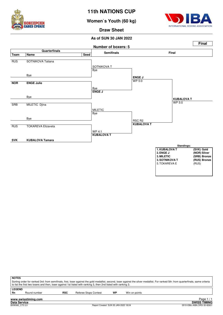

**Women`s Youth (60 kg)**



**Draw Sheet**

#### **As of SUN 30 JAN 2022**



| <b>NOTES</b>        |                     |            | to list the first two losers and then, loser against 1st listed with ranking 3, then 2nd listed with ranking 3. |    | Sorting order for ranked 3rd: from semifinals, first, loser against the gold medallist, second, loser against the silver medallist. For ranked 5th: from quarterfinals, same criteria |
|---------------------|---------------------|------------|-----------------------------------------------------------------------------------------------------------------|----|---------------------------------------------------------------------------------------------------------------------------------------------------------------------------------------|
| <b>LEGEND</b><br>Rn | Round number        | <b>RSC</b> | <b>Referee Stops Contest</b>                                                                                    | WP | Win on points                                                                                                                                                                         |
|                     | www.swisstiming.com |            |                                                                                                                 |    | Page 1                                                                                                                                                                                |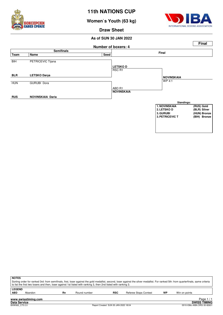

**Women`s Youth (63 kg)**



**Draw Sheet**

#### **As of SUN 30 JAN 2022**



| <b>NOTES</b>  |         |    |                                                                                                                 |            |                              |    |                                                                                                                                                                                       |
|---------------|---------|----|-----------------------------------------------------------------------------------------------------------------|------------|------------------------------|----|---------------------------------------------------------------------------------------------------------------------------------------------------------------------------------------|
|               |         |    |                                                                                                                 |            |                              |    | Sorting order for ranked 3rd: from semifinals, first, loser against the gold medallist, second, loser against the silver medallist. For ranked 5th: from quarterfinals, same criteria |
|               |         |    | to list the first two losers and then, loser against 1st listed with ranking 3, then 2nd listed with ranking 3. |            |                              |    |                                                                                                                                                                                       |
| <b>LEGEND</b> |         |    |                                                                                                                 |            |                              |    |                                                                                                                                                                                       |
| <b>ABD</b>    | Abandon | Rn | Round number                                                                                                    | <b>RSC</b> | <b>Referee Stops Contest</b> | WP | Win on points                                                                                                                                                                         |
|               |         |    |                                                                                                                 |            |                              |    |                                                                                                                                                                                       |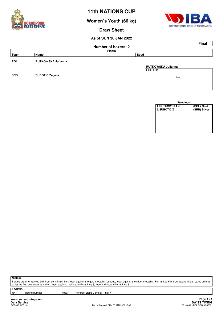

**Women`s Youth (66 kg)**



**Draw Sheet**

#### **As of SUN 30 JAN 2022**

|            |                           |                            | <b>Final</b>       |
|------------|---------------------------|----------------------------|--------------------|
|            |                           | <b>Number of boxers: 2</b> |                    |
|            |                           | <b>Finals</b>              |                    |
| Team       | Name                      | Seed                       |                    |
|            |                           |                            |                    |
| <b>POL</b> | <b>RUTKOWSKA Julianna</b> |                            |                    |
|            |                           |                            | RUTKOWSKA Julianna |
|            |                           |                            | RSC-I R1           |
| <b>SRB</b> | <b>SUBOTIC Zeljana</b>    |                            | Bout               |
|            |                           |                            |                    |
|            |                           |                            |                    |

| Standings:            |              |
|-----------------------|--------------|
| <b>1. RUTKOWSKA J</b> | (POL) Gold   |
| 2. SUBOTIC Z          | (SRB) Silver |
|                       |              |
|                       |              |
|                       |              |
|                       |              |
|                       |              |
|                       |              |

**NOTES**

Sorting order for ranked 3rd: from semifinals, first, loser against the gold medallist, second, loser against the silver medallist. For ranked 5th: from quarterfinals, same criteria to list the first two losers and then, loser against 1st listed with ranking 3, then 2nd listed with ranking 3.

**LEGEND**

Round number **RSC-I** Referee Stops Contest – Injury

**www.swisstiming.com**

**Data Service SWISS TIMING** ا 1 Paye 1 .<br>SWISS TIMING<br>0010-036c-AIBA.ORG-30-82601 0010-036c-AIBA.ORG-30-82601 0010-036c-AIBA.ORG-30-82601 Page 1 / 1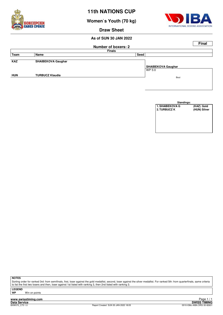

**Women`s Youth (70 kg)**



**Draw Sheet**

### **As of SUN 30 JAN 2022**

|            |                           |                            |                           | <b>Final</b> |
|------------|---------------------------|----------------------------|---------------------------|--------------|
|            |                           | <b>Number of boxers: 2</b> |                           |              |
|            |                           | <b>Finals</b>              |                           |              |
| Team       | Name                      | Seed                       |                           |              |
|            |                           |                            |                           |              |
| <b>KAZ</b> | <b>SHAIBEKOVA Gaughar</b> |                            |                           |              |
|            |                           |                            | <b>SHAIBEKOVA Gaughar</b> |              |
|            |                           |                            | WP 5:0                    |              |
| <b>HUN</b> | <b>TURBUCZ Klaudia</b>    |                            | Bout                      |              |
|            |                           |                            |                           |              |
|            |                           |                            |                           |              |

| Standings:             |              |
|------------------------|--------------|
| <b>1. SHAIBEKOVA G</b> | (KAZ) Gold   |
| 2. TURBUCZ K           | (HUN) Silver |
|                        |              |
|                        |              |
|                        |              |
|                        |              |
|                        |              |
|                        |              |

**NOTES**

Sorting order for ranked 3rd: from semifinals, first, loser against the gold medallist, second, loser against the silver medallist. For ranked 5th: from quarterfinals, same criteria to list the first two losers and then, loser against 1st listed with ranking 3, then 2nd listed with ranking 3.

**LEGEND**

**Win on points** 

**www.swisstiming.com Data Service SWISS TIMING**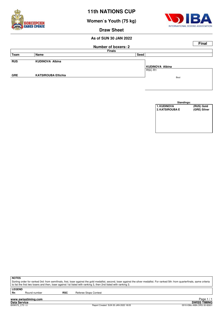

**Women`s Youth (75 kg)**



**Draw Sheet**

#### **As of SUN 30 JAN 2022**

|            |                            |                            |                 | <b>Final</b> |
|------------|----------------------------|----------------------------|-----------------|--------------|
|            |                            | <b>Number of boxers: 2</b> |                 |              |
|            |                            | <b>Finals</b>              |                 |              |
| Team       | Name                       | Seed                       |                 |              |
|            |                            |                            |                 |              |
| <b>RUS</b> | <b>KUDINOVA Albina</b>     |                            |                 |              |
|            |                            |                            | KUDINOVA Albina |              |
|            |                            |                            | RSC R1          |              |
| <b>GRE</b> | <b>KATSIROUBA Eftichia</b> |                            | Bout            |              |
|            |                            |                            |                 |              |
|            |                            |                            |                 |              |



**NOTES**

Sorting order for ranked 3rd: from semifinals, first, loser against the gold medallist, second, loser against the silver medallist. For ranked 5th: from quarterfinals, same criteria to list the first two losers and then, loser against 1st listed with ranking 3, then 2nd listed with ranking 3.

**LEGEND**

Round number **RSC** Referee Stops Contest

**www.swisstiming.com Data Service SWISS TIMING**

ا 1 Paye 1 .<br>SWISS TIMING<br>0010-036c-AIBA.ORG-30-82601 0010-036c-AIBA.ORG-30-82601 0010-036c-AIBA.ORG-30-82601 Page 1/1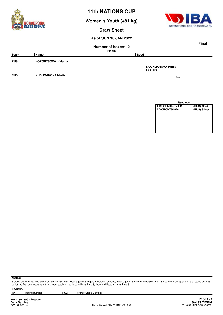

**Women`s Youth (+81 kg)**



**Draw Sheet**

#### **As of SUN 30 JAN 2022**

|                          |                            |                            | <b>Final</b> |  |  |  |  |
|--------------------------|----------------------------|----------------------------|--------------|--|--|--|--|
|                          |                            |                            |              |  |  |  |  |
| <b>Finals</b>            |                            |                            |              |  |  |  |  |
| Name                     |                            |                            |              |  |  |  |  |
|                          |                            |                            |              |  |  |  |  |
|                          |                            |                            |              |  |  |  |  |
|                          |                            | KUCHMANOVA Mariia          |              |  |  |  |  |
|                          |                            | RSC R3                     |              |  |  |  |  |
| <b>KUCHMANOVA Marija</b> |                            |                            |              |  |  |  |  |
|                          |                            |                            |              |  |  |  |  |
|                          |                            |                            |              |  |  |  |  |
|                          | <b>VORONTSOVA Valerija</b> | <b>Number of boxers: 2</b> | Seed<br>Bout |  |  |  |  |

| Standings:             |              |
|------------------------|--------------|
| <b>1. KUCHMANOVA M</b> | (RUS) Gold   |
| <b>2. VORONTSOVA</b>   | (RUS) Silver |
|                        |              |
|                        |              |
|                        |              |
|                        |              |
|                        |              |
|                        |              |

**NOTES**

Sorting order for ranked 3rd: from semifinals, first, loser against the gold medallist, second, loser against the silver medallist. For ranked 5th: from quarterfinals, same criteria to list the first two losers and then, loser against 1st listed with ranking 3, then 2nd listed with ranking 3.

**LEGEND**

Round number **RSC** Referee Stops Contest

**www.swisstiming.com Data Service SWISS TIMING**

ا 1 Age 1 1.<br>SWISS TIMING<br>0010-036c-AIBA.ORG-30-82601 0010-036c-AIBA.ORG-30-82601 0010-036c-AIBA.ORG-30-82601 Page 1 / 1

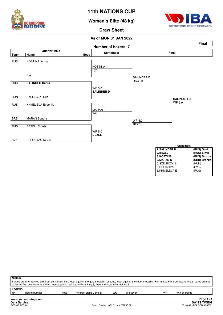

**Women`s Elite (48 kg)**



**Draw Sheet**

#### **As of MON 31 JAN 2022**



| <b>NOTES</b><br>Sorting order for ranked 3rd: from semifinals, first, loser against the gold medallist, second, loser against the silver medallist. For ranked 5th: from quarterfinals, same criteria<br>to list the first two losers and then, loser against 1st listed with ranking 3, then 2nd listed with ranking 3. |                                                                                                                      |  |  |  |  |  |  |  |
|--------------------------------------------------------------------------------------------------------------------------------------------------------------------------------------------------------------------------------------------------------------------------------------------------------------------------|----------------------------------------------------------------------------------------------------------------------|--|--|--|--|--|--|--|
| <b>Rn</b>                                                                                                                                                                                                                                                                                                                | <b>LEGEND</b><br><b>RSC</b><br>WO<br>WP<br><b>Referee Stops Contest</b><br>Round number<br>Walkover<br>Win on points |  |  |  |  |  |  |  |
| Page 1<br>www.swisstiming.com                                                                                                                                                                                                                                                                                            |                                                                                                                      |  |  |  |  |  |  |  |

**Data Service SWISS TIMING**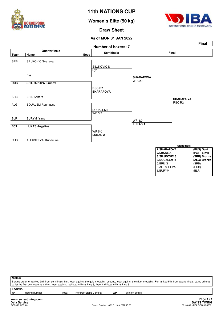

**Women`s Elite (50 kg)**



**Draw Sheet**



| <b>NOTES</b><br>Sorting order for ranked 3rd: from semifinals, first, loser against the gold medallist, second, loser against the silver medallist. For ranked 5th: from quarterfinals, same criteria<br>to list the first two losers and then, loser against 1st listed with ranking 3, then 2nd listed with ranking 3. |                                                                                             |  |  |  |  |  |  |
|--------------------------------------------------------------------------------------------------------------------------------------------------------------------------------------------------------------------------------------------------------------------------------------------------------------------------|---------------------------------------------------------------------------------------------|--|--|--|--|--|--|
| Rn                                                                                                                                                                                                                                                                                                                       | <b>LEGEND</b><br>WP<br><b>RSC</b><br>Win on points<br>Referee Stops Contest<br>Round number |  |  |  |  |  |  |
| Page<br>www.swisstiming.com                                                                                                                                                                                                                                                                                              |                                                                                             |  |  |  |  |  |  |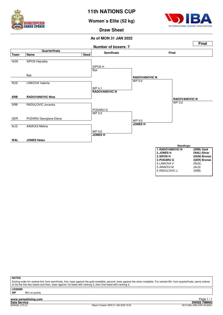

**Women`s Elite (52 kg)**



**Draw Sheet**

#### **As of MON 31 JAN 2022**



**NOTES**

Sorting order for ranked 3rd: from semifinals, first, loser against the gold medallist, second, loser against the silver medallist. For ranked 5th: from quarterfinals, same criteria to list the first two losers and then, loser against 1st listed with ranking 3, then 2nd listed with ranking 3.

**LEGEND**

**Win on points** 

**www.swisstiming.com**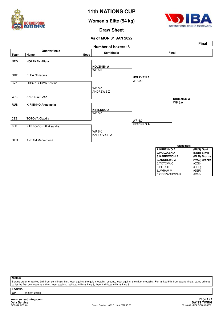

**Women`s Elite (54 kg)**



5. ORSZAGHOVA K

**Draw Sheet**

#### **As of MON 31 JAN 2022**



**NOTES**

Sorting order for ranked 3rd: from semifinals, first, loser against the gold medallist, second, loser against the silver medallist. For ranked 5th: from quarterfinals, same criteria to list the first two losers and then, loser against 1st listed with ranking 3, then 2nd listed with ranking 3.

**LEGEND**

**Win on points**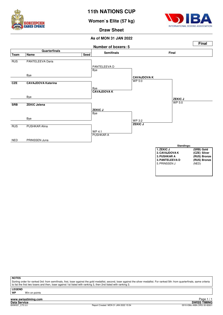

**Women`s Elite (57 kg)**



**Draw Sheet**

#### **As of MON 31 JAN 2022**



**NOTES**

Sorting order for ranked 3rd: from semifinals, first, loser against the gold medallist, second, loser against the silver medallist. For ranked 5th: from quarterfinals, same criteria to list the first two losers and then, loser against 1st listed with ranking 3, then 2nd listed with ranking 3.

**LEGEND**

**Win on points** 

**www.swisstiming.com**<br>Data Service<br>**BXW057** C75 3.0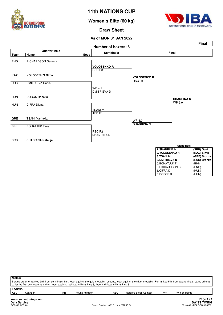

## **Women`s Elite (60 kg)**



**Draw Sheet**

#### **As of MON 31 JAN 2022**



| 3. TSANI M            | (GRE) Bronze |
|-----------------------|--------------|
| <b>3. DMITRIEVA D</b> | (RUS) Bronze |
| 5. BOHATJUK T         | (BIH)        |
| 5. RICHARDSON G       | (ENG)        |
| 5. CIFRA D            | (HUN)        |
| 5. DOBOS R            | (HUN)        |

| <b>NOTES</b>                                                                                                                                                                          |                                                                                                                 |    |              |            |                       |    |               |  |  |  |  |  |
|---------------------------------------------------------------------------------------------------------------------------------------------------------------------------------------|-----------------------------------------------------------------------------------------------------------------|----|--------------|------------|-----------------------|----|---------------|--|--|--|--|--|
| Sorting order for ranked 3rd: from semifinals, first, loser against the gold medallist, second, loser against the silver medallist. For ranked 5th: from quarterfinals, same criteria |                                                                                                                 |    |              |            |                       |    |               |  |  |  |  |  |
|                                                                                                                                                                                       | to list the first two losers and then, loser against 1st listed with ranking 3, then 2nd listed with ranking 3. |    |              |            |                       |    |               |  |  |  |  |  |
| <b>LEGEND</b>                                                                                                                                                                         |                                                                                                                 |    |              |            |                       |    |               |  |  |  |  |  |
| <b>ABD</b>                                                                                                                                                                            | Abandon                                                                                                         | Rn | Round number | <b>RSC</b> | Referee Stops Contest | WP | Win on points |  |  |  |  |  |
|                                                                                                                                                                                       |                                                                                                                 |    |              |            |                       |    |               |  |  |  |  |  |
|                                                                                                                                                                                       | Page $1/1$<br>www.swisstiming.com                                                                               |    |              |            |                       |    |               |  |  |  |  |  |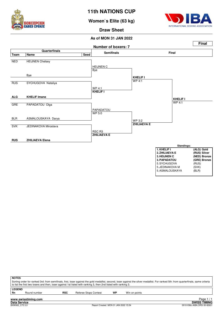

**Women`s Elite (63 kg)**



**Draw Sheet**

#### **As of MON 31 JAN 2022**



|                            | <b>NOTES</b><br>Sorting order for ranked 3rd: from semifinals, first, loser against the gold medallist, second, loser against the silver medallist. For ranked 5th: from quarterfinals, same criteria<br>to list the first two losers and then, loser against 1st listed with ranking 3, then 2nd listed with ranking 3. |            |                              |    |               |            |  |  |  |  |  |  |
|----------------------------|--------------------------------------------------------------------------------------------------------------------------------------------------------------------------------------------------------------------------------------------------------------------------------------------------------------------------|------------|------------------------------|----|---------------|------------|--|--|--|--|--|--|
| <b>LEGEND</b><br><b>Rn</b> | Round number                                                                                                                                                                                                                                                                                                             | <b>RSC</b> | <b>Referee Stops Contest</b> | WP | Win on points |            |  |  |  |  |  |  |
|                            | www.swisstiming.com                                                                                                                                                                                                                                                                                                      |            |                              |    |               | Page $1/1$ |  |  |  |  |  |  |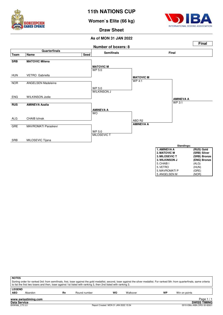

**Women`s Elite (66 kg)**



5. ANGELSEN M

**Draw Sheet**

#### **As of MON 31 JAN 2022**



| <b>NOTES</b>                                                                                                                                                                          |                                                                                                                 |    |              |    |          |    |               |  |  |  |  |
|---------------------------------------------------------------------------------------------------------------------------------------------------------------------------------------|-----------------------------------------------------------------------------------------------------------------|----|--------------|----|----------|----|---------------|--|--|--|--|
| Sorting order for ranked 3rd: from semifinals, first, loser against the gold medallist, second, loser against the silver medallist. For ranked 5th: from quarterfinals, same criteria |                                                                                                                 |    |              |    |          |    |               |  |  |  |  |
|                                                                                                                                                                                       | to list the first two losers and then, loser against 1st listed with ranking 3, then 2nd listed with ranking 3. |    |              |    |          |    |               |  |  |  |  |
| <b>LEGEND</b>                                                                                                                                                                         |                                                                                                                 |    |              |    |          |    |               |  |  |  |  |
| <b>ABD</b>                                                                                                                                                                            | Abandon                                                                                                         | Rn | Round number | WO | Walkover | WP | Win on points |  |  |  |  |
|                                                                                                                                                                                       |                                                                                                                 |    |              |    |          |    |               |  |  |  |  |
|                                                                                                                                                                                       | Page<br>www.swisstiming.com                                                                                     |    |              |    |          |    |               |  |  |  |  |

**Data Service SWISS TIMING**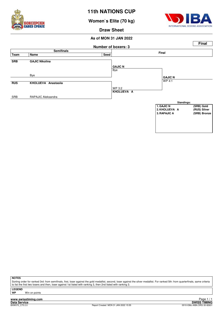

**Women`s Elite (70 kg)**



**Draw Sheet**

#### **As of MON 31 JAN 2022**



**NOTES**

Sorting order for ranked 3rd: from semifinals, first, loser against the gold medallist, second, loser against the silver medallist. For ranked 5th: from quarterfinals, same criteria to list the first two losers and then, loser against 1st listed with ranking 3, then 2nd listed with ranking 3.

**LEGEND**

**Win on points**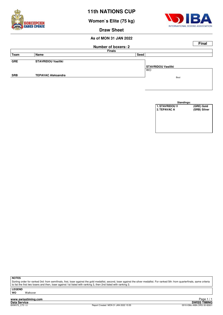

**Women`s Elite (75 kg)**



**Draw Sheet**

## **As of MON 31 JAN 2022**

|            |                           |                            |                                 | <b>Final</b> |
|------------|---------------------------|----------------------------|---------------------------------|--------------|
|            |                           | <b>Number of boxers: 2</b> |                                 |              |
|            |                           | <b>Finals</b>              |                                 |              |
| Team       | Name                      | Seed                       |                                 |              |
| <b>GRE</b> | <b>STAVRIDOU Vasiliki</b> |                            |                                 |              |
|            |                           |                            | STAVRIDOU Vasiliki<br><b>WO</b> |              |
|            |                           |                            |                                 |              |
| <b>SRB</b> | <b>TEPAVAC Aleksandra</b> |                            | Bout                            |              |
|            |                           |                            |                                 |              |
|            |                           |                            |                                 |              |



**NOTES**

Sorting order for ranked 3rd: from semifinals, first, loser against the gold medallist, second, loser against the silver medallist. For ranked 5th: from quarterfinals, same criteria to list the first two losers and then, loser against 1st listed with ranking 3, then 2nd listed with ranking 3.

**LEGEND Walkover** 

**www.swisstiming.com**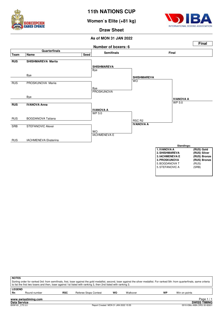

**Women`s Elite (+81 kg)**



**Draw Sheet**

#### **As of MON 31 JAN 2022**



|                                                                                                                            | <b>NOTES</b><br>Sorting order for ranked 3rd: from semifinals, first, loser against the gold medallist, second, loser against the silver medallist. For ranked 5th: from quarterfinals, same criteria<br>to list the first two losers and then, loser against 1st listed with ranking 3, then 2nd listed with ranking 3. |  |  |  |  |  |  |  |  |  |  |  |
|----------------------------------------------------------------------------------------------------------------------------|--------------------------------------------------------------------------------------------------------------------------------------------------------------------------------------------------------------------------------------------------------------------------------------------------------------------------|--|--|--|--|--|--|--|--|--|--|--|
| <b>LEGEND</b><br>wo<br>Rn<br><b>RSC</b><br>WP<br>Round number<br><b>Referee Stops Contest</b><br>Walkover<br>Win on points |                                                                                                                                                                                                                                                                                                                          |  |  |  |  |  |  |  |  |  |  |  |
|                                                                                                                            |                                                                                                                                                                                                                                                                                                                          |  |  |  |  |  |  |  |  |  |  |  |
|                                                                                                                            | Page $1/1$<br>www.swisstiming.com                                                                                                                                                                                                                                                                                        |  |  |  |  |  |  |  |  |  |  |  |
|                                                                                                                            | <b>SWISS TIMING</b><br><b>Data Service</b>                                                                                                                                                                                                                                                                               |  |  |  |  |  |  |  |  |  |  |  |
|                                                                                                                            | Report Created MON 31 JAN 2022 15:55<br>BXW181 C75 3.0<br>0010-036c-AIBA.ORG-30-82601                                                                                                                                                                                                                                    |  |  |  |  |  |  |  |  |  |  |  |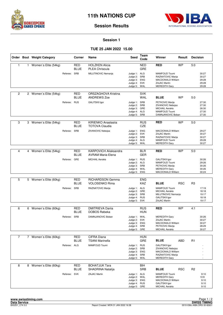



#### **Session 1**

#### **TUE 25 JAN 2022 15.00**

|                |              | Order Bout Weight Category |              | Corner                    | Name                                                     | <b>Seed</b>                                                                  | Team<br>Code                  | Winner                                                                                                        | Result     | <b>Decision</b> |                                           |
|----------------|--------------|----------------------------|--------------|---------------------------|----------------------------------------------------------|------------------------------------------------------------------------------|-------------------------------|---------------------------------------------------------------------------------------------------------------|------------|-----------------|-------------------------------------------|
| 1              | $\mathbf{1}$ | Women's Elite (54kg)       |              | <b>RED</b><br>BLUE        | <b>HOLZKEN Alicia</b><br><b>PLEA Chrisoula</b>           |                                                                              | <b>NED</b><br><b>GRE</b>      | <b>RED</b>                                                                                                    | <b>WP</b>  | 5:0             |                                           |
|                |              |                            | Referee: SRB |                           | MILUTINOVIC Nemanja                                      | Judge 1: ALG<br>Judge 2: SRB<br>Judge 3: ENG<br>Judge 4: SVK<br>Judge 5: WAL |                               | MAMFOUD Toumi<br>RAZNATOVIC Marija<br><b>MACDONALD William</b><br><b>ZAJAC Martin</b><br><b>MEREDITH Gary</b> |            |                 | 30:27<br>30:27<br>29:28<br>29:28<br>29:28 |
| 2              |              | 2 Women's Elite (54kg)     |              | <b>RED</b><br><b>BLUE</b> | ORSZAGHOVA Kristina<br><b>ANDREWS Zoe</b>                |                                                                              | <b>SVK</b><br><b>WAL</b>      | <b>BLUE</b>                                                                                                   | <b>WP</b>  | 5:0             |                                           |
|                |              |                            | Referee: RUS |                           | <b>GALITSKII Igor</b>                                    | Judge 1: SRB<br>Judge 2: SRB<br>Judge 3: GRE<br>Judge 4: ALG<br>Judge 5: SRB |                               | PETKOVIC Marija<br>ZIVANOVIC Nebojsa<br><b>MICHAIL Aerakis</b><br>MAMFOUD Toumi<br>DAMNJANOVIC Boban          |            |                 | 27:30<br>27:30<br>26:30<br>27:30<br>27:30 |
| 3              |              | 3 Women's Elite (54kg)     |              | <b>RED</b><br>BLUE        | KIRIENKO Anastasija<br><b>TOTOVA Claudia</b>             |                                                                              | <b>RUS</b><br><b>CZE</b>      | <b>RED</b>                                                                                                    | <b>WP</b>  | 5:0             |                                           |
|                |              |                            | Referee: SRB |                           | ZIVANOVIC Nebojsa                                        | Judge 1: ENG<br>Judge 2: SVK<br>Judge 3: SRB<br>Judge 4: ALG<br>Judge 5:     | WAL                           | MACDONALD William<br>ZAJAC Martin<br>RAZNATOVIC Marija<br>MAMFOUD Toumi<br><b>MEREDITH Gary</b>               |            |                 | 29:27<br>30:27<br>30:27<br>29:28<br>30:27 |
|                |              |                            |              |                           |                                                          |                                                                              |                               |                                                                                                               |            |                 |                                           |
| $\overline{4}$ |              | 4 Women's Elite (54kg)     |              | <b>RED</b><br><b>BLUE</b> | <b>KARPOVICH Aliaksandra</b><br><b>AVRAM Maria-Elena</b> |                                                                              | <b>BLR</b><br><b>GER</b>      | <b>RED</b>                                                                                                    | <b>WP</b>  | 5:0             |                                           |
|                |              |                            | Referee: GRE |                           | <b>MICHAIL Aerakis</b>                                   | Judge 1: RUS<br>Judge 2: ALG<br>Judge 3: SRB<br>Judge 4: WAL<br>Judge 5: ENG |                               | <b>GALITSKII Igor</b><br>MAMFOUD Toumi<br>PETKOVIC Marija<br><b>MEREDITH Gary</b><br>MACDONALD William        |            |                 | 30:26<br>29:26<br>30:26<br>30:26<br>30:24 |
|                |              |                            |              |                           |                                                          |                                                                              |                               |                                                                                                               |            |                 |                                           |
| 5              |              | 5 Women's Elite (60kg)     |              | <b>RED</b><br>BLUE        | <b>RICHARDSON Gemma</b><br><b>VOLOSENKO Rima</b>         |                                                                              | <b>ENG</b><br><b>KAZ</b>      | <b>BLUE</b>                                                                                                   | <b>RSC</b> | R <sub>3</sub>  |                                           |
|                |              |                            | Referee: SRB |                           | RAZNATOVIC Marija                                        | Judge 1: ALG<br>Judge 2:<br>Judge 3: SRB<br>Judge 4: RUS<br>Judge 5: SVK     | GRE                           | MAMFOUD Toumi<br><b>MICHAIL Aerakis</b><br>MILUTINOVIC Nemanja<br><b>GALITSKII Igor</b><br>ZAJAC Martin       |            |                 | 17:19<br>18:18<br>19:17<br>18:18<br>19:17 |
| 6              |              | 6 Women's Elite (60kg)     |              | <b>RED</b>                | <b>DMITRIEVA Darija</b>                                  |                                                                              | <b>RUS</b>                    | <b>RED</b>                                                                                                    | <b>WP</b>  | 4:1             |                                           |
|                |              |                            |              | <b>BLUE</b>               | DOBOS Rebeka                                             |                                                                              | HUN                           |                                                                                                               |            |                 |                                           |
|                |              |                            | Referee: SRB |                           | DAMNJANOVIC Boban                                        | Judge 1: WAL<br>Judge 2: SVK<br>Judge 3: ENG<br>Judge 4: SRB<br>Judge 5:     | GRE                           | <b>MEREDITH Gary</b><br><b>ZAJAC Martin</b><br>MACDONALD William<br>PETKOVIC Marija<br><b>MICHAIL Aerakis</b> |            |                 | 30:26<br>30:27<br>30:27<br>28:29<br>30:27 |
| $\overline{7}$ |              | 7 Women's Elite (60kg)     |              | <b>RED</b>                | CIFRA Diana                                              |                                                                              | <b>HUN</b>                    |                                                                                                               |            |                 |                                           |
|                |              |                            |              | BLUE                      | <b>TSANI Marinella</b>                                   |                                                                              | GRE                           | <b>BLUE</b>                                                                                                   | ABD        | R <sub>1</sub>  |                                           |
|                |              |                            | Referee: ALG |                           | MAMFOUD Toumi                                            | Judge 1: RUS<br>Judge 2: SRB<br>Judge 3: ENG<br>Judge 4: SRB<br>Judge 5:     | WAL                           | <b>GALITSKII Igor</b><br>ZIVANOVIC Nebojsa<br>MACDONALD William<br>RAZNATOVIC Marija<br><b>MEREDITH Gary</b>  |            |                 |                                           |
| 8              |              | 8 Women's Elite (60kg)     |              | RED<br><b>BLUE</b>        | <b>BOHATJUK Tara</b><br>SHADRINA Natalija                |                                                                              | $\overline{BH}$<br><b>SRB</b> | <b>BLUE</b>                                                                                                   | <b>RSC</b> | R <sub>2</sub>  |                                           |
|                |              |                            | Referee: SVK |                           | ZAJAC Martin                                             | Judge 1: ALG<br>Judge 2: WAL<br>Judge 3: ENG<br>Judge 4: RUS<br>Judge 5: GRE |                               | MAMFOUD Toumi<br><b>MEREDITH Gary</b><br>MACDONALD William<br><b>GALITSKII Igor</b><br><b>MICHAIL Aerakis</b> |            |                 | 9:10<br>10:9<br>9:10<br>9:10<br>9:10      |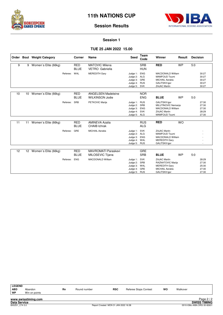



#### **Session 1**

#### **TUE 25 JAN 2022 15.00**

|    |                 | Order Bout Weight Category |          | Corner                    | Name                                                | <b>Seed</b>                                                              | Team<br>Code                           | Winner                                                                                                              | Result    | <b>Decision</b>                           |
|----|-----------------|----------------------------|----------|---------------------------|-----------------------------------------------------|--------------------------------------------------------------------------|----------------------------------------|---------------------------------------------------------------------------------------------------------------------|-----------|-------------------------------------------|
| 9  | 9               | Women's Elite (66kg)       |          | <b>RED</b><br><b>BLUE</b> | <b>MATOVIC Milena</b><br>VETRO Gabriella            |                                                                          | <b>SRB</b><br><b>HUN</b>               | <b>RED</b>                                                                                                          | <b>WP</b> | 5.0                                       |
|    |                 |                            | Referee: | WAL                       | <b>MEREDITH Gary</b>                                | Judge 1:<br>Judge 2: ALG<br>Judge 3: GRE<br>Judge 4:<br>Judge 5:         | <b>ENG</b><br><b>RUS</b><br>SVK        | MACDONALD William<br><b>MAMFOUD Toumi</b><br><b>MICHAIL Aerakis</b><br><b>GALITSKII Igor</b><br><b>ZAJAC Martin</b> |           | 30:27<br>30:27<br>30:27<br>30:27<br>30:27 |
| 10 | 10 <sup>°</sup> | Women's Elite (66kg)       |          | <b>RED</b><br><b>BLUE</b> | <b>ANGELSEN Madeleine</b><br><b>WILKINSON Jodie</b> |                                                                          | <b>NOR</b><br><b>ENG</b>               | <b>BLUE</b>                                                                                                         | <b>WP</b> | 5:0                                       |
|    |                 |                            | Referee: | <b>SRB</b>                | PETKOVIC Marija                                     | Judge 1:<br>Judge 2:<br>Judge 3:<br>Judge 4: SVK<br>Judge 5: ALG         | <b>RUS</b><br>SRB<br><b>ENG</b>        | <b>GALITSKII Igor</b><br>MILUTINOVIC Nemanja<br><b>MACDONALD William</b><br><b>ZAJAC Martin</b><br>MAMFOUD Toumi    |           | 27:30<br>27:30<br>27:30<br>28:29<br>27:30 |
| 11 | 11              | Women's Elite (66kg)       |          | <b>RED</b><br><b>BLUE</b> | <b>AMINEVA Azalia</b><br><b>CHAIB</b> Ichrak        |                                                                          | <b>RUS</b><br><b>ALG</b>               | <b>RED</b>                                                                                                          | <b>WO</b> |                                           |
|    |                 |                            | Referee: | GRE                       | <b>MICHAIL Aerakis</b>                              | Judge 1: SVK<br>Judge 2: ALG<br>Judge 3: ENG<br>Judge 4:<br>Judge 5: RUS | WAL                                    | ZAJAC Martin<br><b>MAMFOUD Toumi</b><br><b>MACDONALD William</b><br><b>MEREDITH Gary</b><br><b>GALITSKII Igor</b>   |           |                                           |
| 12 | 12 <sup>2</sup> | Women's Elite (66kg)       |          | <b>RED</b>                | <b>MAVROMATI Paraskevi</b>                          |                                                                          | <b>GRE</b>                             |                                                                                                                     |           |                                           |
|    |                 |                            |          | <b>BLUE</b>               | MILOSEVIC Tijana                                    |                                                                          | <b>SRB</b>                             | <b>BLUE</b>                                                                                                         | <b>WP</b> | 5:0                                       |
|    |                 |                            | Referee: | <b>ENG</b>                | <b>MACDONALD William</b>                            | Judge $1$ :<br>Judge 2:<br>Judge 3:<br>Judge 4:<br>Judge 5:              | SVK<br>SRB<br>WAL<br>GRE<br><b>RUS</b> | <b>ZAJAC Martin</b><br>RAZNATOVIC Marija<br><b>MEREDITH Gary</b><br><b>MICHAIL Aerakis</b><br><b>GALITSKII Igor</b> |           | 28:29<br>27:30<br>25:30<br>27:30<br>27:30 |

| <b>LEGEND</b>    |                          |    |              |            |                       |    |          |            |
|------------------|--------------------------|----|--------------|------------|-----------------------|----|----------|------------|
| <b>ABD</b><br>WP | Abandon<br>Win on points | Rn | Round number | <b>RSC</b> | Referee Stops Contest | WO | Walkover |            |
|                  | www.swisstiming.com      |    |              |            |                       |    |          | Page $2/2$ |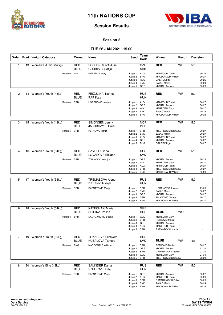



#### **Session 2**

## **TUE 26 JAN 2021 15.00**

|                |    | Order Bout Weight Category | Corner                    | Name                                        | Seed                                                                         | Team<br>Code             | Winner                                                                                                                     | Result    | <b>Decision</b>                           |
|----------------|----|----------------------------|---------------------------|---------------------------------------------|------------------------------------------------------------------------------|--------------------------|----------------------------------------------------------------------------------------------------------------------------|-----------|-------------------------------------------|
| $\mathbf{1}$   |    | 13 Women's Junior (52kg)   | <b>RED</b><br><b>BLUE</b> | POLEDNIKOVA Julie<br><b>GRUBISIC Sofija</b> |                                                                              | CZE<br><b>SRB</b>        | <b>RED</b>                                                                                                                 | <b>WP</b> | 5:0                                       |
|                |    | Referee: WAL               |                           | <b>MEREDITH Gary</b>                        | Judge 1: ALG<br>Judge 2: ENG<br>Judge 3: RUS<br>Judge 4: SVK<br>Judge 5: GRE |                          | <b>MAMFOUD Toumi</b><br><b>MACDONALD William</b><br><b>GALITSKII Igor</b><br><b>ZAJAC Martin</b><br><b>MICHAIL Aerakis</b> |           | 30:26<br>30:27<br>30:26<br>30:24<br>30:26 |
| $\overline{c}$ | 14 | Women's Youth (48kg)       | <b>RED</b><br><b>BLUE</b> | FEIZULINA Karina<br><b>PAP Kata</b>         |                                                                              | <b>RUS</b><br><b>HUN</b> | <b>RED</b>                                                                                                                 | <b>WP</b> | 5:0                                       |
|                |    | Referee: SRB               |                           | <b>UGRENOVIC Jovana</b>                     | Judge 1: ALG<br>Judge 2: GRE<br>Judge 3: WAL<br>Judge 4: SVK<br>Judge 5: ENG |                          | MAMFOUD Toumi<br><b>MICHAIL Aerakis</b><br><b>MEREDITH Gary</b><br><b>ZAJAC Martin</b><br>MACDONALD William                |           | 30:27<br>30:27<br>30:27<br>29:28<br>29:28 |
| 3              |    | 15 Women's Youth (48kg)    | RED<br><b>BLUE</b>        | SIMONSEN Jenny<br>JAKUBCZYK Oliwia          |                                                                              | <b>NOR</b><br>POL        | <b>RED</b>                                                                                                                 | <b>WP</b> | 5:0                                       |
|                |    | Referee:                   | SRB                       | PETKOVIC Marija                             | Judge 1: SRB<br>Judge 2: SVK<br>Judge 3: ALG<br>Judge 4: GRE<br>Judge 5: RUS |                          | MILUTINOVIC Nemanja<br><b>ZAJAC Martin</b><br>MAMFOUD Toumi<br><b>MICHAIL Aerakis</b><br><b>GALITSKII Igor</b>             |           | 30:27<br>30:27<br>30:27<br>30:27<br>30:27 |
| 4              | 16 | Women's Youth (54kg)       | <b>RED</b><br><b>BLUE</b> | SAVRO Uliana<br>LOVASOVA Bibiana            |                                                                              | <b>RUS</b><br><b>SVK</b> | <b>RED</b>                                                                                                                 | <b>WP</b> | 5:0                                       |
|                |    | Referee: SRB               |                           | ZIVANOVIC Nebojsa                           | Judge 1: GRE<br>Judge 2: WAL<br>Judge 3: ALG<br>Judge 4: SRB<br>Judge 5: ENG |                          | <b>MICHAIL Aerakis</b><br><b>MEREDITH Gary</b><br>MAMFOUD Toumi<br>MILUTINOVIC Nemanja<br>MACDONALD William                |           | 30:25<br>30:27<br>30:27<br>30:27<br>30:26 |
|                |    |                            |                           |                                             |                                                                              |                          |                                                                                                                            |           |                                           |
| 5              |    | 17 Women's Youth (54kg)    | <b>RED</b><br><b>BLUE</b> | <b>TREMASOVA Alena</b><br>DEVENYI Izabeli   |                                                                              | <b>RUS</b><br>HUN        | <b>RED</b>                                                                                                                 | <b>WP</b> | 5:0                                       |
|                |    | Referee: SRB               |                           | RAZNATOVIC Marija                           | Judge 1: SRB<br>Judge 2: SVK<br>Judge 3: GRE<br>Judge 4: SRB<br>Judge 5:     | <b>ENG</b>               | UGRENOVIC Jovana<br><b>ZAJAC Martin</b><br><b>MICHAIL Aerakis</b><br>ZIVANOVIC Nebojsa<br><b>MACDONALD William</b>         |           | 29:28<br>30:27<br>30:27<br>30:27<br>30:27 |
| 6              |    | 18 Women's Youth (54kg)    | RED                       | <b>KATECHAKI Maria</b>                      |                                                                              | GRE                      |                                                                                                                            |           |                                           |
|                |    |                            | <b>BLUE</b>               | SPIRINA Polina                              |                                                                              | <b>RUS</b>               | <b>BLUE</b>                                                                                                                | <b>WO</b> |                                           |
|                |    | Referee: SRB               |                           | DAMNJANOVIC Boban                           | Judge 1: WAL<br>Judge 2: SRB<br>Judge 3: GRE<br>Judge 4: ALG<br>Judge 5: SRB |                          | <b>MEREDITH Gary</b><br>PETKOVIC Marija<br><b>MICHAIL Aerakis</b><br>MAMFOUD Toumi<br>RAZNATOVIC Marija                    |           |                                           |
| $\overline{7}$ |    | 19 Women's Youth (60kg)    | RED                       | <b>TOKAREVA Elizaveta</b>                   |                                                                              | <b>RUS</b>               |                                                                                                                            |           |                                           |
|                |    |                            | <b>BLUE</b>               | <b>KUBALOVA Tamara</b>                      |                                                                              | <b>SVK</b>               | <b>BLUE</b>                                                                                                                | <b>WP</b> | 4:1                                       |
|                |    | Referee:                   | <b>ENG</b>                | MACDONALD William                           | Judge 1: SRB<br>Judge 2: GRE<br>Judge 3: SRB<br>Judge 4: WAL<br>Judge 5: SRB |                          | PETKOVIC Marija<br><b>MICHAIL Aerakis</b><br>DAMNJANOVIC Boban<br><b>MEREDITH Gary</b><br>MILUTINOVIC Nemanja              |           | 30:27<br>27:30<br>27:30<br>27:30<br>28:29 |
| 8              | 20 | Women's Elite (48kg)       | RED                       | <b>SALINDER Darija</b>                      |                                                                              | <b>RUS</b>               | <b>RED</b>                                                                                                                 | <b>WP</b> | 5:0                                       |
|                |    |                            | <b>BLUE</b>               | SZELECZKI Lilla                             |                                                                              | <b>HUN</b>               |                                                                                                                            |           |                                           |
|                |    | Referee: SRB               |                           | RAZNATOVIC Marija                           | Judge 1: GRE<br>Judge 2: ALG<br>Judge 3: SRB<br>Judge 4: SVK<br>Judge 5: ENG |                          | <b>MICHAIL Aerakis</b><br><b>MAMFOUD Toumi</b><br>DAMNJANOVIC Boban<br><b>ZAJAC Martin</b><br>MACDONALD William            |           | 30:27<br>30:26<br>30:26<br>30:24<br>30:26 |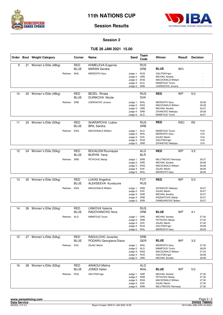



#### **Session 2**

## **TUE 26 JAN 2021 15.00**

|    |    | Order Bout Weight Category |              | Corner                    | Name                                                             | Seed                                                                         | <b>Team</b><br>Code      | Winner                                                                                                                   | Result     | <b>Decision</b> |                                           |
|----|----|----------------------------|--------------|---------------------------|------------------------------------------------------------------|------------------------------------------------------------------------------|--------------------------|--------------------------------------------------------------------------------------------------------------------------|------------|-----------------|-------------------------------------------|
| 9  |    | 21 Women's Elite (48kg)    | Referee: WAL | <b>RED</b><br><b>BLUE</b> | KHMELEVA Evgeniia<br><b>MARAN Sandra</b><br><b>MEREDITH Gary</b> | Judge 1: RUS                                                                 | <b>RUS</b><br><b>SRB</b> | <b>BLUE</b><br><b>GALITSKII Igor</b>                                                                                     | <b>WO</b>  |                 |                                           |
|    |    |                            |              |                           |                                                                  | Judge 2: GRE<br>Judge 3: ENG<br>Judge 4: ALG<br>Judge 5: SRB                 |                          | <b>MICHAIL Aerakis</b><br>MACDONALD William<br>MAMFOUD Toumi<br>UGRENOVIC Jovana                                         |            |                 |                                           |
| 10 |    | 22 Women's Elite (48kg)    |              | <b>RED</b><br>BLUE        | <b>BEZEL Rinata</b><br><b>DURIKOVA Nicole</b>                    |                                                                              | <b>RUS</b><br><b>SVK</b> | <b>RED</b>                                                                                                               | <b>WP</b>  | 5:0             |                                           |
|    |    |                            | Referee: SRB |                           | <b>UGRENOVIC Jovana</b>                                          | Judge 1: WAL<br>Judge 2: ENG<br>Judge 3: GRE<br>Judge 4: SRB<br>Judge 5: ALG |                          | <b>MEREDITH Gary</b><br>MACDONALD William<br><b>MICHAIL Aerakis</b><br>ZIVANOVIC Nebojsa<br>MAMFOUD Toumi                |            |                 | 29:28<br>29:28<br>30:27<br>29:28<br>30:27 |
| 11 |    | 23 Women's Elite (50kg)    |              | RED<br>BLUE               | SHARAPOVA Liubov<br><b>BRIL Sandra</b>                           |                                                                              | <b>RUS</b><br><b>SRB</b> | <b>RED</b>                                                                                                               | <b>RSC</b> | R <sub>2</sub>  |                                           |
|    |    |                            | Referee:     | <b>ENG</b>                | <b>MACDONALD William</b>                                         | Judge 1: ALG<br>Judge 2: WAL<br>Judge 3: SVK<br>Judge 4: RUS<br>Judge 5: SRB |                          | <b>MAMFOUD Toumi</b><br><b>MEREDITH Gary</b><br>ZAJAC Martin<br><b>GALITSKII Igor</b><br>ZIVANOVIC Nebojsa               |            |                 | 10:9<br>10:9<br>10:8<br>10:9<br>10:9      |
|    |    |                            |              |                           |                                                                  |                                                                              |                          |                                                                                                                          |            |                 |                                           |
| 12 | 24 | Women's Elite (50kg)       |              | <b>RED</b><br>BLUE        | <b>BOUALEM Roumaysa</b><br><b>BURYM Yana</b>                     |                                                                              | <b>ALG</b><br><b>BLR</b> | <b>RED</b>                                                                                                               | <b>WP</b>  | 3:2             |                                           |
|    |    |                            | Referee: SRB |                           | PETKOVIC Marija                                                  | Judge 1: SRB<br>Judge 2: GRE<br>Judge 3: ENG<br>Judge 4: SVK<br>Judge 5:     | WAL                      | MILUTINOVIC Nemanja<br><b>MICHAIL Aerakis</b><br><b>MACDONALD William</b><br><b>ZAJAC Martin</b><br><b>MEREDITH Gary</b> |            |                 | 30:27<br>29:28<br>29:28<br>28:29<br>28:29 |
|    |    |                            |              |                           |                                                                  |                                                                              |                          |                                                                                                                          |            |                 |                                           |
| 13 |    | 25 Women's Elite (50kg)    |              | <b>RED</b><br><b>BLUE</b> | <b>LUKAS Angelina</b><br>ALEKSEEVA Kunduune                      |                                                                              | <b>FCT</b><br><b>RUS</b> | <b>RED</b>                                                                                                               | <b>WP</b>  | 5:0             |                                           |
|    |    |                            | Referee:     | <b>ENG</b>                | MACDONALD William                                                | Judge 1: SRB<br>Judge 2: SVK<br>Judge 3: GRE<br>Judge 4: SRB<br>Judge 5: SRB |                          | ZIVANOVIC Nebojsa<br><b>ZAJAC Martin</b><br><b>MICHAIL Aerakis</b><br>RAZNATOVIC Marija<br>DAMNJANOVIC Boban             |            |                 | 30:27<br>30:27<br>30:27<br>30:27<br>30:27 |
|    |    |                            |              | <b>RED</b>                | <b>LINKOVA Valeriia</b>                                          |                                                                              |                          |                                                                                                                          |            |                 |                                           |
| 14 |    | 26 Women's Elite (52kg)    |              | <b>BLUE</b>               | RADOVANOVIC Nina                                                 |                                                                              | <b>RUS</b><br><b>SRB</b> | <b>BLUE</b>                                                                                                              | <b>WP</b>  | 4:1             |                                           |
|    |    |                            | Referee: ALG |                           | <b>MAMFOUD Toumi</b>                                             | Judge 1: GRE<br>Judge 2: SRB<br>Judge 3: SVK<br>Judge 4: RUS<br>Judge 5: WAL |                          | <b>MICHAIL Aerakis</b><br>PETKOVIC Marija<br>ZAJAC Martin<br><b>GALITSKII Igor</b><br><b>MEREDITH Gary</b>               |            |                 | 27:30<br>27:30<br>27:30<br>29:28<br>28:29 |
| 15 |    | 27 Women's Elite (52kg)    |              | RED                       | RADULOVIC Jovanka                                                |                                                                              | <b>SRB</b>               |                                                                                                                          |            |                 |                                           |
|    |    |                            |              | BLUE                      | PODARU Georgiana-Diana                                           |                                                                              | GER                      | <b>BLUE</b>                                                                                                              | <b>WP</b>  | 3:2             |                                           |
|    |    |                            | Referee: SVK |                           | ZAJAC Martin                                                     | Judge 1: WAL<br>Judge 2: ALG<br>Judge 3: ENG<br>Judge 4: RUS<br>Judge 5: GRE |                          | <b>MEREDITH Gary</b><br>MAMFOUD Toumi<br>MACDONALD William<br><b>GALITSKII Igor</b><br><b>MICHAIL Aerakis</b>            |            |                 | 27:30<br>28:29<br>27:30<br>29:28<br>29:28 |
| 16 | 28 | Women's Elite (52kg)       |              | <b>RED</b><br>BLUE        | <b>AINAOUI Melina</b><br><b>JONES Helen</b>                      |                                                                              | <b>ALG</b><br>WAL        | <b>BLUE</b>                                                                                                              | WP         | 5:0             |                                           |
|    |    |                            | Referee: RUS |                           | <b>GALITSKII Igor</b>                                            | Judge 1: GRE<br>Judge 2: SRB<br>Judge 3: ENG<br>Judge 4: SVK<br>Judge 5: SRB |                          | <b>MICHAIL Aerakis</b><br>PETKOVIC Marija<br>MACDONALD William<br>ZAJAC Martin<br>MILUTINOVIC Nemanja                    |            |                 | 27:30<br>27:30<br>27:30<br>27:30<br>27:30 |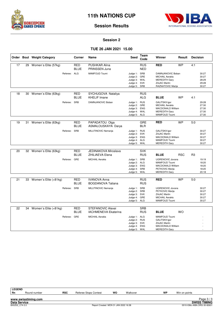



#### **Session 2**

### **TUE 26 JAN 2021 15.00**

|    |    | Order Bout Weight Category | Corner                    | Name                                                  | <b>Seed</b>                                                                  | Team<br>Code             | Winner                                                                                                               | Result     | <b>Decision</b> |                                           |
|----|----|----------------------------|---------------------------|-------------------------------------------------------|------------------------------------------------------------------------------|--------------------------|----------------------------------------------------------------------------------------------------------------------|------------|-----------------|-------------------------------------------|
| 17 | 29 | Women's Elite (57kg)       | <b>RED</b><br><b>BLUE</b> | <b>PUSHKAR Alina</b><br>PRINSSEN Juna                 |                                                                              | <b>RUS</b><br><b>NED</b> | <b>RED</b>                                                                                                           | <b>WP</b>  | 4:1             |                                           |
|    |    | Referee: ALG               |                           | <b>MAMFOUD Toumi</b>                                  | Judge 1: SRB<br>Judge 2: GRE<br>Judge 3: WAL<br>Judge 4: SVK<br>Judge 5: SRB |                          | DAMNJANOVIC Boban<br><b>MICHAIL Aerakis</b><br><b>MEREDITH Gary</b><br><b>ZAJAC Martin</b><br>RAZNATOVIC Marija      |            |                 | 30:27<br>30:27<br>28:29<br>29:28<br>30:27 |
| 18 | 30 |                            | <b>RED</b>                |                                                       |                                                                              |                          |                                                                                                                      |            |                 |                                           |
|    |    | Women's Elite (63kg)       | <b>BLUE</b>               | SYCHUGOVA Nataliya<br><b>KHELIF Imane</b>             |                                                                              | <b>RUS</b><br><b>ALG</b> | <b>BLUE</b>                                                                                                          | <b>WP</b>  | 4:1             |                                           |
|    |    | Referee: SRB               |                           | DAMNJANOVIC Boban                                     | Judge 1: RUS<br>Judge 2:<br>Judge 3: ENG<br>Judge 4: WAL<br>Judge 5: ALG     | GRE                      | <b>GALITSKII Igor</b><br><b>MICHAIL Aerakis</b><br><b>MACDONALD William</b><br><b>MEREDITH Gary</b><br>MAMFOUD Toumi |            |                 | 29:28<br>27:30<br>27:30<br>27:30<br>27:30 |
| 19 | 31 | Women's Elite (63kg)       | <b>RED</b><br><b>BLUE</b> | PAPADATOU Olga<br>ASMALOUSKAYA Darya                  |                                                                              | <b>GRE</b><br><b>BLR</b> | <b>RED</b>                                                                                                           | <b>WP</b>  | 5:0             |                                           |
|    |    | Referee: SRB               |                           | MILUTINOVIC Nemanja                                   | Judge 1: RUS<br>Judge 2: SVK<br>Judge 3: ENG<br>Judge 4: ALG<br>Judge 5:     | WAL                      | <b>GALITSKII Igor</b><br><b>ZAJAC Martin</b><br><b>MACDONALD William</b><br>MAMFOUD Toumi<br><b>MEREDITH Gary</b>    |            |                 | 30:27<br>30:27<br>30:27<br>30:27<br>30:27 |
|    |    |                            |                           |                                                       |                                                                              |                          |                                                                                                                      |            |                 |                                           |
| 20 |    | 32 Women's Elite (63kg)    | <b>RED</b><br><b>BLUE</b> | <b>JEDINAKOVA Miroslava</b><br><b>ZHILIAEVA Elena</b> |                                                                              | <b>SVK</b><br><b>RUS</b> | <b>BLUE</b>                                                                                                          | <b>RSC</b> | R3              |                                           |
|    |    |                            | Referee: GRE              | <b>MICHAIL Aerakis</b>                                | Judge 1: SRB<br>Judge 2: ALG<br>Judge 3: ENG<br>Judge 4: SRB<br>Judge 5: WAL |                          | <b>UGRENOVIC Jovana</b><br>MAMFOUD Toumi<br><b>MACDONALD William</b><br>PETKOVIC Marija<br><b>MEREDITH Gary</b>      |            |                 | 19:19<br>18:20<br>18:20<br>18:20<br>20:18 |
| 21 |    | 33 Women's Elite (+81kg)   | <b>RED</b><br><b>BLUE</b> | <b>IVANOVA Anna</b><br><b>BOGDANOVA Tatiana</b>       |                                                                              | <b>RUS</b><br><b>RUS</b> | <b>RED</b>                                                                                                           | <b>WP</b>  | 5.0             |                                           |
|    |    |                            | Referee: SRB              | MILUTINOVIC Nemanja                                   | Judge 1: SRB<br>Judge 2: SRB<br>Judge 3: SVK<br>Judge 4:<br>Judge 5: ALG     | GRE                      | UGRENOVIC Jovana<br>PETKOVIC Marija<br><b>ZAJAC Martin</b><br><b>MICHAIL Aerakis</b><br>MAMFOUD Toumi                |            |                 | 30:27<br>30:27<br>30:27<br>30:27<br>30:27 |
| 22 |    | 34 Women's Elite (+81kg)   | RED                       | <b>STEFANOVIC Alexei</b>                              |                                                                              | <b>SRB</b>               |                                                                                                                      |            |                 |                                           |
|    |    |                            | <b>BLUE</b>               | <b>IACHMENEVA Ekaterina</b>                           |                                                                              | <b>RUS</b>               | <b>BLUE</b>                                                                                                          | <b>WO</b>  |                 |                                           |
|    |    |                            | Referee: GRE              | <b>MICHAIL Aerakis</b>                                | Judge 1: ALG<br>Judge 2:<br>Judge 3: SVK<br>Judge 4: ENG<br>Judge 5: WAL     | <b>RUS</b>               | MAMFOUD Toumi<br><b>GALITSKII Igor</b><br><b>ZAJAC Martin</b><br><b>MACDONALD William</b><br><b>MEREDITH Gary</b>    |            |                 |                                           |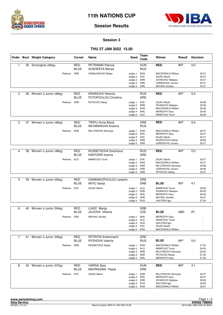



#### **Session 3**

### **THU 27 JAN 2022 15.00**

|                |    | Order Bout Weight Category | Corner                    | Name                                               | Seed                                                                         | Team<br>Code             | Winner                                                                                                                  | Result     | <b>Decision</b> |                                           |
|----------------|----|----------------------------|---------------------------|----------------------------------------------------|------------------------------------------------------------------------------|--------------------------|-------------------------------------------------------------------------------------------------------------------------|------------|-----------------|-------------------------------------------|
| $\mathbf{1}$   |    | 35 Schoolgirls (40kg)      | <b>RED</b><br><b>BLUE</b> | <b>PETRIMAN Patricia</b><br><b>AUSHEEVA Bairaa</b> |                                                                              | <b>HUN</b><br><b>RUS</b> | <b>RED</b>                                                                                                              | <b>WP</b>  | 5:0             |                                           |
|                |    | Referee:                   | SRB                       | DAMNJANOVIC Boban                                  | Judge 1: ENG<br>Judge 2: SVK<br>Judge 3: SRB<br>Judge 4: SRB<br>Judge 5:     | GRE                      | <b>MACDONALD William</b><br><b>ZAJAC Martin</b><br>ZIVANOVIC Nebojsa<br>UGRENOVIC Jovana<br><b>MICHAIL Aerakis</b>      |            |                 | 30:27<br>30:27<br>30:27<br>30:27<br>30:27 |
| 2              | 36 | Women's Junior (46kg)      | <b>RED</b><br><b>BLUE</b> | <b>KRAINOVA Viktorija</b><br>FOTOPOULOU Christina  |                                                                              | <b>RUS</b><br>GRE        | <b>RED</b>                                                                                                              | <b>WP</b>  | 5:0             |                                           |
|                |    | Referee: SRB               |                           | PETKOVIC Marija                                    | Judge 1: SVK<br>Judge 2: SRB<br>Judge 3: ENG<br>Judge 4: WAL<br>Judge 5: ALG |                          | <b>ZAJAC Martin</b><br>ZIVANOVIC Nebojsa<br>MACDONALD William<br><b>MEREDITH Gary</b><br>MAMFOUD Toumi                  |            |                 | 29:28<br>29:28<br>29:28<br>29:28<br>29:28 |
| 3              | 37 | Women's Junior (46kg)      | <b>RED</b><br><b>BLUE</b> | <b>TRIFILI Anna Maria</b><br>NEVMIANOVA Kristina   |                                                                              | <b>GRE</b><br><b>RUS</b> | <b>RED</b>                                                                                                              | <b>WP</b>  | 5:0             |                                           |
|                |    | Referee:                   | SRB                       | MILUTINOVIC Nemanja                                | Judge 1: ENG<br>Judge 2: WAL<br>Judge 3: SVK<br>Judge 4: SRB<br>Judge 5:     | <b>SRB</b>               | <b>MACDONALD William</b><br><b>MEREDITH Gary</b><br><b>ZAJAC Martin</b><br>RAZNATOVIC Marija<br><b>UGRENOVIC Jovana</b> |            |                 | 30:27<br>30:27<br>30:27<br>29:28<br>30:27 |
|                |    |                            |                           |                                                    |                                                                              |                          |                                                                                                                         |            |                 |                                           |
| $\overline{4}$ | 38 | Women's Junior (48kg)      | <b>RED</b><br><b>BLUE</b> | KUZNETSOVA Snezhana<br>KANTZARI loanna             |                                                                              | <b>RUS</b><br><b>GRE</b> | <b>RED</b>                                                                                                              | <b>WP</b>  | 5:0             |                                           |
|                |    | Referee: ALG               |                           | MAMFOUD Toumi                                      | Judge 1: SVK<br>Judge 2: ENG<br>Judge 3: SRB<br>Judge 4: SRB<br>Judge 5: SRB |                          | <b>ZAJAC Martin</b><br>MACDONALD William<br>MILUTINOVIC Nemanja<br>UGRENOVIC Jovana<br>PETKOVIC Marija                  |            |                 | 30:27<br>30:27<br>29:28<br>29:28<br>30:27 |
|                |    |                            |                           |                                                    |                                                                              |                          |                                                                                                                         |            |                 |                                           |
| 5              | 39 | Women's Junior (50kg)      | RED<br><b>BLUE</b>        | GIANNAKOPOULOU Lamprini<br><b>MITIC Sanja</b>      |                                                                              | GRE<br><b>SRB</b>        | <b>BLUE</b>                                                                                                             | <b>WP</b>  | 4:1             |                                           |
|                |    | Referee: SVK               |                           | <b>ZAJAC Martin</b>                                | Judge 1: ALG<br>Judge 2: SRB<br>Judge 3: WAL<br>Judge 4: GRE<br>Judge 5: RUS |                          | MAMFOUD Toumi<br>ZIVANOVIC Nebojsa<br><b>MEREDITH Gary</b><br><b>MICHAIL Aerakis</b><br><b>GALITSKII Igor</b>           |            |                 | 28:29<br>28:29<br>28:29<br>30:27<br>27:30 |
| 6              |    | 40 Women's Junior (54kg)   | <b>RED</b>                | LUKIC Marija                                       |                                                                              | <b>SRB</b>               |                                                                                                                         |            |                 |                                           |
|                |    |                            | <b>BLUE</b>               | <b>JILKOVA Viktorie</b>                            |                                                                              | CZE                      | <b>BLUE</b>                                                                                                             | <b>ABD</b> | R1              |                                           |
|                |    | Referee: GRE               |                           | <b>MICHAIL Aerakis</b>                             | Judge 1: WAL<br>Judge 2: ALG<br>Judge 3: RUS<br>Judge 4: SVK<br>Judge 5: ENG |                          | <b>MEREDITH Gary</b><br>MAMFOUD Toumi<br><b>GALITSKII Igor</b><br><b>ZAJAC Martin</b><br>MACDONALD William              |            |                 |                                           |
| $\overline{7}$ | 41 | Women's Junior (54kg)      | <b>RED</b>                | PETRITSI Andromachi                                |                                                                              | GRE                      |                                                                                                                         |            |                 |                                           |
|                |    |                            | BLUE                      | RYZHOVA Valerija                                   |                                                                              | <b>RUS</b>               | <b>BLUE</b>                                                                                                             | WP         | 5:0             |                                           |
|                |    | Referee: SRB               |                           | RAZNATOVIC Marija                                  | Judge 1: ENG<br>Judge 2: ALG<br>Judge 3: SRB<br>Judge 4: SRB<br>Judge 5: WAL |                          | <b>MACDONALD William</b><br>MAMFOUD Toumi<br>MILUTINOVIC Nemanja<br>PETKOVIC Marija<br><b>MEREDITH Gary</b>             |            |                 | 27:30<br>26:30<br>26:30<br>27:30<br>27:30 |
| 8              |    | 42 Women's Junior (57kg)   | RED<br><b>BLUE</b>        | <b>VARGA Sara</b><br>MAVRAGANI Vlasia              |                                                                              | <b>HUN</b><br>GRE        | <b>RED</b>                                                                                                              | <b>WP</b>  | 4:1             |                                           |
|                |    | Referee: SVK               |                           | <b>ZAJAC Martin</b>                                | Judge 1: SRB<br>Judge 2: WAL<br>Judge 3: SRB<br>Judge 4: RUS<br>Judge 5: ENG |                          | MILUTINOVIC Nemanja<br><b>MEREDITH Gary</b><br>ZIVANOVIC Nebojsa<br><b>GALITSKII Igor</b><br>MACDONALD William          |            |                 | 30:27<br>30:27<br>29:28<br>28:29<br>30:27 |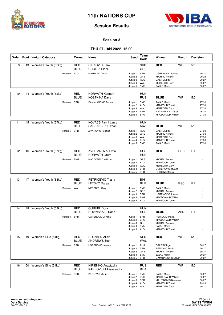



#### **Session 3**

### **THU 27 JAN 2022 15.00**

|    |    | Order Bout Weight Category | Corner                    | Name                                                       | Seed                         | Team<br>Code             | Winner                                            | Result     | <b>Decision</b> |                |
|----|----|----------------------------|---------------------------|------------------------------------------------------------|------------------------------|--------------------------|---------------------------------------------------|------------|-----------------|----------------|
| 9  |    | 43 Women's Youth (52kg)    | <b>RED</b><br><b>BLUE</b> | <b>CIRKOVIC Sara</b><br><b>CHOLIDI Eleni</b>               |                              | <b>SRB</b><br><b>GRE</b> | <b>RED</b>                                        | <b>WP</b>  | 5:0             |                |
|    |    | Referee: ALG               |                           | MAMFOUD Toumi                                              | Judge 1: SRB                 |                          | <b>UGRENOVIC Jovana</b>                           |            |                 | 30:27          |
|    |    |                            |                           |                                                            | Judge 2: GRE<br>Judge 3: RUS |                          | <b>MICHAIL Aerakis</b><br><b>GALITSKII Igor</b>   |            |                 | 29:28<br>30:27 |
|    |    |                            |                           |                                                            | Judge 4: WAL                 |                          | <b>MEREDITH Gary</b>                              |            |                 | 30:27          |
|    |    |                            |                           |                                                            | Judge 5: SVK                 |                          | <b>ZAJAC Martin</b>                               |            |                 | 30:27          |
| 10 | 44 | Women's Youth (52kg)       | <b>RED</b><br><b>BLUE</b> | <b>HORVATH Karmen</b><br><b>KOSTKINA Daria</b>             |                              | <b>HUN</b><br><b>RUS</b> | <b>BLUE</b>                                       | <b>WP</b>  | 5:0             |                |
|    |    | Referee: SRB               |                           | DAMNJANOVIC Boban                                          | Judge 1: SVK                 |                          | <b>ZAJAC Martin</b>                               |            |                 | 27:30          |
|    |    |                            |                           |                                                            | Judge 2: ALG<br>Judge 3: WAL |                          | MAMFOUD Toumi<br><b>MEREDITH Gary</b>             |            |                 | 27:30<br>27:30 |
|    |    |                            |                           |                                                            | Judge 4: SRB                 |                          | RAZNATOVIC Marija                                 |            |                 | 26:30          |
|    |    |                            |                           |                                                            | Judge 5: ENG                 |                          | MACDONALD William                                 |            |                 | 27:30          |
| 11 |    | 45 Women's Youth (57kg)    | <b>RED</b><br><b>BLUE</b> | <b>KOVACS Fanni Laura</b><br>SARSANBEK Ulzhan              |                              | <b>HUN</b><br>KAZ        | <b>BLUE</b>                                       | <b>WP</b>  | 5:0             |                |
|    |    | Referee: SRB               |                           | ZIVANOVIC Nebojsa                                          | Judge 1: RUS                 |                          | <b>GALITSKII Igor</b>                             |            |                 | 27:30          |
|    |    |                            |                           |                                                            | Judge 2: GRE                 |                          | <b>MICHAIL Aerakis</b>                            |            |                 | 27:30          |
|    |    |                            |                           |                                                            | Judge 3: WAL<br>Judge 4: ALG |                          | <b>MEREDITH Gary</b><br>MAMFOUD Toumi             |            |                 | 27:30<br>27:30 |
|    |    |                            |                           |                                                            | Judge 5: SVK                 |                          | <b>ZAJAC Martin</b>                               |            |                 | 27:30          |
| 12 |    | 46 Women's Youth (57kg)    | <b>RED</b>                | <b>AVERIANOVA Evita</b>                                    |                              | <b>RUS</b>               | <b>RED</b>                                        | <b>RSC</b> | R1              |                |
|    |    |                            | <b>BLUE</b>               | <b>HORVATH Laura</b>                                       |                              | <b>HUN</b>               |                                                   |            |                 |                |
|    |    | Referee: ENG               |                           | <b>MACDONALD William</b>                                   | Judge 1: GRE<br>Judge 2: ALG |                          | <b>MICHAIL Aerakis</b><br>MAMFOUD Toumi           |            |                 |                |
|    |    |                            |                           |                                                            | Judge 3: WAL                 |                          | <b>MEREDITH Gary</b>                              |            |                 |                |
|    |    |                            |                           |                                                            | Judge 4: SRB<br>Judge 5: SRB |                          | UGRENOVIC Jovana<br>PETKOVIC Marija               |            |                 |                |
|    |    |                            |                           |                                                            |                              |                          |                                                   |            |                 |                |
| 13 |    | 47 Women's Youth (63kg)    | <b>RED</b><br><b>BLUE</b> | PETRICEVIC Tijana<br>LETSKO Darya                          |                              | <b>BIH</b><br><b>BLR</b> | <b>BLUE</b>                                       | <b>RSC</b> | R1              |                |
|    |    | Referee: WAL               |                           | <b>MEREDITH Gary</b>                                       | Judge 1: SVK                 |                          | <b>ZAJAC Martin</b>                               |            |                 |                |
|    |    |                            |                           |                                                            | Judge 2: GRE<br>Judge 3: SRB |                          | <b>MICHAIL Aerakis</b><br><b>UGRENOVIC Jovana</b> |            |                 |                |
|    |    |                            |                           |                                                            | Judge 4: ENG                 |                          | <b>MACDONALD William</b>                          |            |                 |                |
|    |    |                            |                           |                                                            | Judge 5: ALG                 |                          | MAMFOUD Toumi                                     |            |                 |                |
| 14 |    | 48 Women's Youth (63kg)    | <b>RED</b>                | <b>GURUBI Dora</b>                                         |                              | <b>HUN</b>               |                                                   |            |                 |                |
|    |    |                            | <b>BLUE</b>               | NOVINSKAIA Daria                                           |                              | <b>RUS</b>               | <b>BLUE</b>                                       | <b>ABD</b> | R1              |                |
|    |    | Referee: SRB               |                           | <b>UGRENOVIC Jovana</b>                                    | Judge 1: SRB                 |                          | PETKOVIC Marija                                   |            |                 |                |
|    |    |                            |                           |                                                            | Judge 2: ENG<br>Judge 3: GRE |                          | MACDONALD William<br><b>MICHAIL Aerakis</b>       |            |                 |                |
|    |    |                            |                           |                                                            | Judge 4: SVK                 |                          | <b>ZAJAC Martin</b>                               |            |                 |                |
|    |    |                            |                           |                                                            | Judge 5: ALG                 |                          | MAMFOUD Toumi                                     |            |                 |                |
| 15 |    | 49 Women's Elite (54kg)    | <b>RED</b>                | <b>HOLZKEN Alicia</b>                                      |                              | <b>NED</b>               | <b>RED</b>                                        | <b>WP</b>  | 5:0             |                |
|    |    |                            | BLUE                      | <b>ANDREWS Zoe</b>                                         |                              | WAL                      |                                                   |            |                 |                |
|    |    | Referee: SRB               |                           | <b>UGRENOVIC Jovana</b>                                    | Judge 1: RUS                 |                          | <b>GALITSKII Igor</b>                             |            |                 | 30:27          |
|    |    |                            |                           |                                                            | Judge 2: SRB<br>Judge 3: GRE |                          | PETKOVIC Marija<br><b>MICHAIL Aerakis</b>         |            |                 | 30:27<br>30:27 |
|    |    |                            |                           |                                                            | Judge 4: SVK                 |                          | <b>ZAJAC Martin</b>                               |            |                 | 30:27          |
|    |    |                            |                           |                                                            | Judge 5: SRB                 |                          | DAMNJANOVIC Boban                                 |            |                 | 30:27          |
| 16 |    | 50 Women's Elite (54kg)    | RED<br><b>BLUE</b>        | <b>KIRIENKO Anastasija</b><br><b>KARPOVICH Aliaksandra</b> |                              | <b>RUS</b><br><b>BLR</b> | <b>RED</b>                                        | <b>WP</b>  | 5:0             |                |
|    |    | Referee: SRB               |                           | PETKOVIC Marija                                            | Judge 1: SVK                 |                          | <b>ZAJAC Martin</b>                               |            |                 | 30:27          |
|    |    |                            |                           |                                                            | Judge 2: ENG                 |                          | MACDONALD William                                 |            |                 | 30:27          |
|    |    |                            |                           |                                                            | Judge 3: SRB<br>Judge 4: ALG |                          | MILUTINOVIC Nemanja<br>MAMFOUD Toumi              |            |                 | 30:27<br>29:28 |
|    |    |                            |                           |                                                            | Judge 5: WAL                 |                          | <b>MEREDITH Gary</b>                              |            |                 | 30:27          |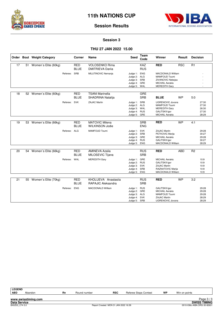



#### **Session 3**

#### **THU 27 JAN 2022 15.00**

|    |    | Order Bout Weight Category |              | Corner                    | Name                                             | Seed                                                                         | <b>Team</b><br>Code      | Winner                                                                                                                     | Result     | <b>Decision</b> |                                           |
|----|----|----------------------------|--------------|---------------------------|--------------------------------------------------|------------------------------------------------------------------------------|--------------------------|----------------------------------------------------------------------------------------------------------------------------|------------|-----------------|-------------------------------------------|
| 17 |    | 51 Women's Elite (60kg)    |              | <b>RED</b><br><b>BLUE</b> | <b>VOLOSENKO Rima</b><br><b>DMITRIEVA Darija</b> |                                                                              | KAZ<br><b>RUS</b>        | <b>RED</b>                                                                                                                 | <b>RSC</b> | R1              |                                           |
|    |    |                            | Referee: SRB |                           | MILUTINOVIC Nemanja                              | Judge 1: ENG<br>Judge 2: ALG<br>Judge 3: SRB<br>Judge 4: GRE<br>Judge 5: WAL |                          | <b>MACDONALD William</b><br><b>MAMFOUD Toumi</b><br>ZIVANOVIC Nebojsa<br><b>MICHAIL Aerakis</b><br><b>MEREDITH Gary</b>    |            |                 |                                           |
| 18 | 52 | Women's Elite (60kg)       |              | <b>RED</b><br><b>BLUE</b> | <b>TSANI Marinella</b><br>SHADRINA Natalija      |                                                                              | GRE<br><b>SRB</b>        | <b>BLUE</b>                                                                                                                | <b>WP</b>  | 5:0             |                                           |
|    |    |                            | Referee:     | <b>SVK</b>                | ZAJAC Martin                                     | Judge 1: SRB<br>Judge 2: ALG<br>Judge 3: WAL<br>Judge 4: RUS<br>Judge 5:     | GRE                      | <b>UGRENOVIC Jovana</b><br><b>MAMFOUD Toumi</b><br><b>MEREDITH Gary</b><br><b>GALITSKII Igor</b><br><b>MICHAIL Aerakis</b> |            |                 | 27:30<br>27:30<br>26:30<br>27:30<br>28:29 |
| 19 | 53 | Women's Elite (66kg)       |              | <b>RED</b><br><b>BLUE</b> | <b>MATOVIC Milena</b><br><b>WILKINSON Jodie</b>  |                                                                              | <b>SRB</b><br><b>ENG</b> | <b>RED</b>                                                                                                                 | <b>WP</b>  | 4:1             |                                           |
|    |    |                            | Referee: ALG |                           | <b>MAMFOUD Toumi</b>                             | Judge 1: SVK<br>Judge 2: SRB<br>Judge 3: GRE<br>Judge 4: RUS<br>Judge 5: ENG |                          | <b>ZAJAC Martin</b><br>PETKOVIC Marija<br><b>MICHAIL Aerakis</b><br><b>GALITSKII Igor</b><br>MACDONALD William             |            |                 | 29:28<br>30:27<br>29:28<br>30:27<br>28:29 |
| 20 | 54 | Women's Elite (66kg)       |              | <b>RED</b><br><b>BLUE</b> | <b>AMINEVA Azalia</b><br>MILOSEVIC Tijana        |                                                                              | <b>RUS</b><br><b>SRB</b> | <b>RED</b>                                                                                                                 | <b>ABD</b> | R <sub>2</sub>  |                                           |
|    |    |                            | Referee: WAL |                           | <b>MEREDITH Gary</b>                             | Judge 1: GRE<br>Judge 2: RUS<br>Judge 3: SVK<br>Judge 4: SRB<br>Judge 5: ENG |                          | <b>MICHAIL Aerakis</b><br><b>GALITSKII Igor</b><br><b>ZAJAC Martin</b><br>RAZNATOVIC Marija<br><b>MACDONALD William</b>    |            |                 | 10:9<br>10:9<br>10:9<br>10:9<br>10:9      |
| 21 | 55 | Women's Elite (70kg)       |              | <b>RED</b><br><b>BLUE</b> | KHOLUEVA Anastasija<br>RAPAJIC Aleksandra        |                                                                              | <b>RUS</b><br><b>SRB</b> | <b>RED</b>                                                                                                                 | <b>WP</b>  | 3:2             |                                           |
|    |    |                            | Referee: ENG |                           | <b>MACDONALD William</b>                         | Judge 1: RUS<br>Judge 2: GRE<br>Judge 3: ALG<br>Judge 4: SVK<br>Judge 5: SRB |                          | <b>GALITSKII Igor</b><br><b>MICHAIL Aerakis</b><br>MAMFOUD Toumi<br><b>ZAJAC Martin</b><br><b>UGRENOVIC Jovana</b>         |            |                 | 29:28<br>29:28<br>29:28<br>28:29<br>28:29 |

| <b>LEGEND</b>       |                     |    |              |                                      |                       |    |               |                             |
|---------------------|---------------------|----|--------------|--------------------------------------|-----------------------|----|---------------|-----------------------------|
| <b>ABD</b>          | Abandon             | Rn | Round number | <b>RSC</b>                           | Referee Stops Contest | WP | Win on points |                             |
|                     |                     |    |              |                                      |                       |    |               |                             |
|                     | www.swisstiming.com |    |              |                                      |                       |    |               | Page $3/3$                  |
| <b>Data Service</b> |                     |    |              |                                      |                       |    |               | <b>SWISS TIMING</b>         |
| BX0Z03 C74 3.0      |                     |    |              | Report Created MON 31 JAN 2022 16:39 |                       |    |               | 0010-036c-AIBA.ORG-30-82601 |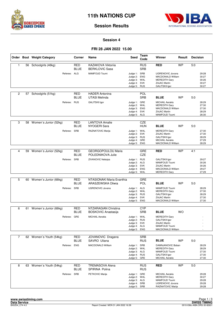



#### **Session 4**

#### **FRI 28 JAN 2022 15.00**

|                |    | Order Bout Weight Category | Corner                    | Name                                               | <b>Seed</b>                                                                  | Team<br>Code             | Winner                                                                                                               | Result    | <b>Decision</b> |                                           |
|----------------|----|----------------------------|---------------------------|----------------------------------------------------|------------------------------------------------------------------------------|--------------------------|----------------------------------------------------------------------------------------------------------------------|-----------|-----------------|-------------------------------------------|
| $\mathbf{1}$   |    | 56 Schoolgirls (46kg)      | <b>RED</b><br>BLUE        | <b>KAZAKOVA Viktorija</b><br><b>BERKLOVIC Sasa</b> |                                                                              | <b>RUS</b><br><b>SRB</b> | <b>RED</b>                                                                                                           | <b>WP</b> | 5:0             |                                           |
|                |    | Referee: ALG               |                           | <b>MAMFOUD Toumi</b>                               | Judge 1: SRB<br>Judge 2:<br>Judge 3: WAL<br>Judge 4:<br>Judge 5: RUS         | <b>ENG</b><br><b>SVK</b> | <b>UGRENOVIC Jovana</b><br><b>MACDONALD William</b><br><b>MEREDITH Gary</b><br>ZAJAC Martin<br><b>GALITSKII Igor</b> |           |                 | 29:28<br>30:27<br>30:26<br>30:27<br>30:27 |
| 2              | 57 | Schoolgirls (51kg)         | <b>RED</b><br>BLUE        | <b>HADER Antonina</b><br><b>UTASI Melinda</b>      |                                                                              | POL<br><b>SRB</b>        | <b>BLUE</b>                                                                                                          | WP        | 5:0             |                                           |
|                |    | Referee: RUS               |                           | <b>GALITSKII Igor</b>                              | Judge 1: GRE<br>Judge 2:<br>Judge 3: ENG<br>Judge 4: SVK<br>Judge 5: ALG     | WAL                      | <b>MICHAIL Aerakis</b><br><b>MEREDITH Gary</b><br><b>MACDONALD William</b><br><b>ZAJAC Martin</b><br>MAMFOUD Toumi   |           |                 | 28:29<br>27:30<br>27:30<br>28:29<br>26:30 |
| 3              | 58 | Women's Junior (52kg)      | <b>RED</b><br>BLUE        | <b>LANTOVA Amalie</b><br>NYOGERI Sara              |                                                                              | CZE<br><b>HUN</b>        | <b>BLUE</b>                                                                                                          | <b>WP</b> | 5:0             |                                           |
|                |    | Referee: SRB               |                           | RAZNATOVIC Marija                                  | Judge 1: WAL<br>Judge 2: SVK<br>Judge 3: RUS<br>Judge 4: GRE<br>Judge 5:     | ENG                      | <b>MEREDITH Gary</b><br><b>ZAJAC Martin</b><br><b>GALITSKII Igor</b><br><b>MICHAIL Aerakis</b><br>MACDONALD William  |           |                 | 27:30<br>27:30<br>28:29<br>27:29<br>28:29 |
| 4              | 59 | Women's Junior (52kg)      | <b>RED</b>                | <b>GEORGOPOULOU Maria</b>                          |                                                                              | GRE                      | <b>RED</b>                                                                                                           | <b>WP</b> | 4:1             |                                           |
|                |    | Referee: SRB               | BLUE                      | POLEDNIKOVA Julie<br>ZIVANOVIC Nebojsa             | Judge 1: RUS<br>Judge 2: ALG<br>Judge 3: SVK<br>Judge 4: ENG<br>Judge 5: WAL | <b>CZE</b>               | <b>GALITSKII Igor</b><br>MAMFOUD Toumi<br><b>ZAJAC Martin</b><br>MACDONALD William<br><b>MEREDITH Gary</b>           |           |                 | 29:27<br>30:26<br>30:26<br>29:27<br>27:29 |
|                |    |                            |                           |                                                    |                                                                              |                          |                                                                                                                      |           |                 |                                           |
| 5              | 60 | Women's Junior (66kg)      | RED<br>BLUE               | NTASIONAKI Maria Evanthia<br>ARASZEWSKA Oliwia     |                                                                              | GRE<br><b>POL</b>        | <b>BLUE</b>                                                                                                          | <b>WP</b> | 5:0             |                                           |
|                |    | Referee:                   | SRB                       | <b>UGRENOVIC Jovana</b>                            | Judge 1: ALG<br>Judge 2:<br>Judge 3: RUS<br>Judge 4: SVK<br>Judge 5: ENG     | WAL                      | MAMFOUD Toumi<br><b>MEREDITH Gary</b><br><b>GALITSKII Igor</b><br><b>ZAJAC Martin</b><br>MACDONALD William           |           |                 | 28:29<br>27:30<br>28:29<br>27:30<br>27:30 |
| 6              | 61 | Women's Junior (66kg)      | <b>RED</b>                | NTZARAGIAN Christina                               |                                                                              | <b>CYP</b>               |                                                                                                                      |           |                 |                                           |
|                |    |                            | BLUE                      | <b>BOSKOVIC Anastasija</b>                         |                                                                              | <b>SRB</b>               | <b>BLUE</b>                                                                                                          | <b>WO</b> |                 |                                           |
|                |    | Referee: GRE               |                           | <b>MICHAIL Aerakis</b>                             | Judge 1: WAL<br>Judge 2: RUS<br>Judge 3: SVK<br>Judge 4: ALG<br>Judge 5:     | ENG                      | <b>MEREDITH Gary</b><br><b>GALITSKII Igor</b><br>ZAJAC Martin<br>MAMFOUD Toumi<br>MACDONALD William                  |           |                 |                                           |
| $\overline{7}$ |    | 62 Women's Youth (54kg)    | <b>RED</b>                | JOVANOVIC Dragana                                  |                                                                              | <b>SRB</b>               |                                                                                                                      |           |                 |                                           |
|                |    |                            | <b>BLUE</b>               | SAVRO Uliana                                       |                                                                              | <b>RUS</b>               | <b>BLUE</b>                                                                                                          | <b>WP</b> | 5:0             |                                           |
|                |    | Referee: ENG               |                           | MACDONALD William                                  | Judge 1: SRB<br>Judge 2: WAL<br>Judge 3: ALG<br>Judge 4: RUS<br>Judge 5:     | GRE                      | DAMNJANOVIC Boban<br><b>MEREDITH Gary</b><br>MAMFOUD Toumi<br><b>GALITSKII Igor</b><br><b>MICHAIL Aerakis</b>        |           |                 | 28:29<br>28:29<br>27:30<br>27:30<br>27:30 |
| 8              |    | 63 Women's Youth (54kg)    | <b>RED</b><br><b>BLUE</b> | <b>TREMASOVA Alena</b><br>SPIRINA Polina           |                                                                              | <b>RUS</b><br><b>RUS</b> | <b>RED</b>                                                                                                           | <b>WP</b> | 5.0             |                                           |
|                |    | Referee: SRB               |                           | PETKOVIC Marija                                    | Judge 1: GRE<br>Judge 2: WAL<br>Judge 3: ALG<br>Judge 4: SRB<br>Judge 5: SRB |                          | <b>MICHAIL Aerakis</b><br><b>MEREDITH Gary</b><br>MAMFOUD Toumi<br>UGRENOVIC Jovana<br>RAZNATOVIC Marija             |           |                 | 29:28<br>30:27<br>29:28<br>29:28<br>29:28 |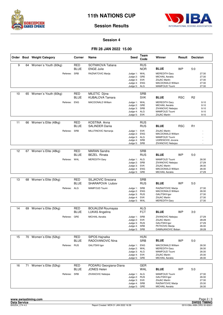



#### **Session 4**

#### **FRI 28 JAN 2022 15.00**

|    |    | Order Bout Weight Category | Corner                    | Name                                         | Seed                                                                         | Team<br>Code             | Winner                                                                                                                      | Result     | <b>Decision</b> |                                           |
|----|----|----------------------------|---------------------------|----------------------------------------------|------------------------------------------------------------------------------|--------------------------|-----------------------------------------------------------------------------------------------------------------------------|------------|-----------------|-------------------------------------------|
| 9  | 64 | Women's Youth (60kg)       | <b>RED</b><br><b>BLUE</b> | SOTNIKOVA Tatiana<br><b>ENGE Julie</b>       |                                                                              | <b>RUS</b><br><b>NOR</b> | <b>BLUE</b>                                                                                                                 | <b>WP</b>  | 5:0             |                                           |
|    |    | Referee:                   | SRB                       | RAZNATOVIC Marija                            | Judge 1: WAL<br>Judge 2:<br>Judge 3: SVK<br>Judge 4: ENG<br>Judge 5: ALG     | GRE                      | <b>MEREDITH Gary</b><br><b>MICHAIL Aerakis</b><br><b>ZAJAC Martin</b><br><b>MACDONALD William</b><br>MAMFOUD Toumi          |            |                 | 27:30<br>27:30<br>27:30<br>27:30<br>27:30 |
| 10 | 65 | Women's Youth (60kg)       | <b>RED</b><br><b>BLUE</b> | MILETIC Djina<br><b>KUBALOVA Tamara</b>      |                                                                              | <b>SRB</b><br><b>SVK</b> | <b>BLUE</b>                                                                                                                 | <b>RSC</b> | R <sub>2</sub>  |                                           |
|    |    | Referee: ENG               |                           | <b>MACDONALD William</b>                     | Judge 1: WAL<br>Judge 2:<br>Judge 3: SRB<br>Judge 4: ALG<br>Judge 5: SVK     | GRE                      | <b>MEREDITH Gary</b><br><b>MICHAIL Aerakis</b><br>ZIVANOVIC Nebojsa<br>MAMFOUD Toumi<br>ZAJAC Martin                        |            |                 | 9:10<br>9:10<br>9:10<br>9:10<br>9:10      |
| 11 | 66 | Women's Elite (48kg)       | <b>RED</b><br><b>BLUE</b> | KOSTINA Anna<br><b>SALINDER Darija</b>       |                                                                              | <b>RUS</b><br><b>RUS</b> | <b>BLUE</b>                                                                                                                 | <b>RSC</b> | R1              |                                           |
|    |    | Referee:                   | SRB                       | MILUTINOVIC Nemanja                          | Judge 1: SVK<br>Judge 2: ENG<br>Judge 3: ALG<br>Judge 4: SRB<br>Judge 5:     | SRB                      | <b>ZAJAC Martin</b><br><b>MACDONALD William</b><br>MAMFOUD Toumi<br>UGRENOVIC Jovana<br>ZIVANOVIC Nebojsa                   |            |                 |                                           |
| 12 | 67 | Women's Elite (48kg)       | <b>RED</b>                | <b>MARAN Sandra</b>                          |                                                                              | <b>SRB</b>               |                                                                                                                             |            |                 |                                           |
|    |    |                            | <b>BLUE</b>               | <b>BEZEL Rinata</b>                          |                                                                              | <b>RUS</b>               | <b>BLUE</b>                                                                                                                 | <b>WP</b>  | 5.0             |                                           |
|    |    | Referee: WAL               |                           | <b>MEREDITH Gary</b>                         | Judge 1: ALG<br>Judge 2: SRB<br>Judge 3: SVK<br>Judge 4: ENG<br>Judge 5: GRE |                          | MAMFOUD Toumi<br>ZIVANOVIC Nebojsa<br><b>ZAJAC Martin</b><br>MACDONALD William<br><b>MICHAIL Aerakis</b>                    |            |                 | 26:30<br>27:29<br>26:30<br>26:30<br>27:29 |
|    |    |                            |                           |                                              |                                                                              |                          |                                                                                                                             |            |                 |                                           |
| 13 | 68 | Women's Elite (50kg)       | RED<br><b>BLUE</b>        | SILJKOVIC Snezana<br>SHARAPOVA Liubov        |                                                                              | <b>SRB</b><br><b>RUS</b> | <b>BLUE</b>                                                                                                                 | <b>WP</b>  | 5:0             |                                           |
|    |    | Referee: ALG               |                           | MAMFOUD Toumi                                | Judge 1: SRB<br>Judge 2:<br>Judge 3: RUS<br>Judge 4: SVK<br>Judge 5: WAL     | <b>ENG</b>               | RAZNATOVIC Marija<br>MACDONALD William<br><b>GALITSKII Igor</b><br><b>ZAJAC Martin</b><br><b>MEREDITH Gary</b>              |            |                 | 27:30<br>26:30<br>27:30<br>27:30<br>27:30 |
| 14 | 69 | Women's Elite (50kg)       | <b>RED</b>                | <b>BOUALEM Roumaysa</b>                      |                                                                              | <b>ALG</b>               |                                                                                                                             |            |                 |                                           |
|    |    |                            | <b>BLUE</b>               | <b>LUKAS Angelina</b>                        |                                                                              | <b>FCT</b>               | <b>BLUE</b>                                                                                                                 | <b>WP</b>  | 3:0             |                                           |
|    |    | Referee: GRE               |                           | <b>MICHAIL Aerakis</b>                       | Judge 1: SRB<br>Judge 2: SVK<br>Judge 3: RUS<br>Judge 4: SRB<br>Judge 5:     | SRB                      | ZIVANOVIC Neboisa<br><b>ZAJAC Martin</b><br><b>GALITSKII Igor</b><br>PETKOVIC Marija<br>DAMNJANOVIC Boban                   |            |                 | 27:29<br>28:28<br>27:29<br>26:30<br>28:28 |
| 15 | 70 | Women's Elite (52kg)       | <b>RED</b>                | SIPOS Hajnalka                               |                                                                              | <b>HUN</b>               |                                                                                                                             |            |                 |                                           |
|    |    |                            | <b>BLUE</b>               | RADOVANOVIC Nina                             |                                                                              | <b>SRB</b>               | <b>BLUE</b>                                                                                                                 | WP         | 5.0             |                                           |
|    |    | Referee: RUS               |                           | <b>GALITSKII Igor</b>                        | Judge 1: ENG<br>Judge 2: WAL<br>Judge 3: ALG<br>Judge 4: SVK<br>Judge 5: GRE |                          | <b>MACDONALD William</b><br><b>MEREDITH Gary</b><br><b>MAMFOUD Toumi</b><br>ZAJAC Martin<br><b>MICHAIL Aerakis</b>          |            |                 | 26:30<br>26:30<br>26:30<br>25:30<br>26:30 |
| 16 | 71 | Women's Elite (52kg)       | <b>RED</b>                | PODARU Georgiana-Diana<br><b>JONES Helen</b> |                                                                              | <b>GER</b>               |                                                                                                                             | WP         |                 |                                           |
|    |    | Referee: SRB               | <b>BLUE</b>               | ZIVANOVIC Nebojsa                            | Judge 1: ALG<br>Judge 2: RUS<br>Judge 3: SVK<br>Judge 4: SRB<br>Judge 5: GRE | WAL                      | <b>BLUE</b><br>MAMFOUD Toumi<br><b>GALITSKII Igor</b><br><b>ZAJAC Martin</b><br>RAZNATOVIC Marija<br><b>MICHAIL Aerakis</b> |            | 5:0             | 27:30<br>26:30<br>27:30<br>25:30<br>26:30 |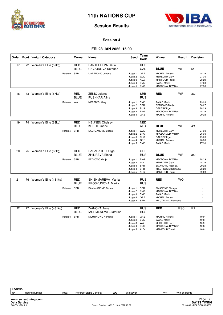



#### **Session 4**

#### **FRI 28 JAN 2022 15.00**

|    | Order Bout Weight Category | Corner                                    | Name                                                              | <b>Seed</b>                                                                  | Team<br>Code             | Winner                                                                                                                     | Result     | <b>Decision</b> |                                           |
|----|----------------------------|-------------------------------------------|-------------------------------------------------------------------|------------------------------------------------------------------------------|--------------------------|----------------------------------------------------------------------------------------------------------------------------|------------|-----------------|-------------------------------------------|
| 17 | 72 Women's Elite (57kg)    | <b>RED</b><br><b>BLUE</b><br>Referee: SRB | PANTELEEVA Daria<br>CAVAJDOVA Katerina<br><b>UGRENOVIC Jovana</b> | Judge 1: GRE                                                                 | <b>RUS</b><br><b>CZE</b> | <b>BLUE</b><br><b>MICHAIL Aerakis</b>                                                                                      | <b>WP</b>  | 5:0             | 28:29                                     |
|    |                            |                                           |                                                                   | Judge 2: WAL<br>Judge 3: ALG<br>Judge 4: SVK<br>Judge 5: ENG                 |                          | <b>MEREDITH Gary</b><br>MAMFOUD Toumi<br><b>ZAJAC Martin</b><br><b>MACDONALD William</b>                                   |            |                 | 27:30<br>28:29<br>27:30<br>27:30          |
| 18 | 73 Women's Elite (57kg)    | <b>RED</b><br><b>BLUE</b>                 | <b>ZEKIC Jelena</b><br><b>PUSHKAR Alina</b>                       |                                                                              | <b>SRB</b><br><b>RUS</b> | <b>RED</b>                                                                                                                 | <b>WP</b>  | 3:2             |                                           |
|    |                            | Referee: WAL                              | <b>MEREDITH Gary</b>                                              | Judge 1: SVK<br>Judge 2: SRB<br>Judge 3: RUS<br>Judge 4: ENG<br>Judge 5: GRE |                          | <b>ZAJAC Martin</b><br>PETKOVIC Marija<br><b>GALITSKII Igor</b><br><b>MACDONALD William</b><br><b>MICHAIL Aerakis</b>      |            |                 | 29:28<br>30:27<br>28:29<br>28:29<br>29:28 |
| 19 | 74 Women's Elite (63kg)    | RED<br><b>BLUE</b>                        | <b>HEIJNEN Chelsey</b><br><b>KHELIF Imane</b>                     |                                                                              | <b>NED</b><br><b>ALG</b> | <b>BLUE</b>                                                                                                                | <b>WP</b>  | 4:1             |                                           |
|    |                            | Referee: SRB                              | DAMNJANOVIC Boban                                                 | Judge 1: WAL<br>Judge 2: ENG<br>Judge 3: RUS<br>Judge 4: GRE<br>Judge 5:     | SVK                      | <b>MEREDITH Gary</b><br><b>MACDONALD William</b><br><b>GALITSKII Igor</b><br><b>MICHAIL Aerakis</b><br><b>ZAJAC Martin</b> |            |                 | 27:30<br>26:30<br>29:28<br>26:30<br>27:30 |
| 20 | 75 Women's Elite (63kg)    | <b>RED</b><br><b>BLUE</b>                 | PAPADATOU Olga<br>ZHILIAEVA Elena                                 |                                                                              | <b>GRE</b><br><b>RUS</b> | <b>BLUE</b>                                                                                                                | <b>WP</b>  | 3:2             |                                           |
|    |                            | Referee: SRB                              | PETKOVIC Marija                                                   | Judge 1: ENG<br>Judge 2:<br>Judge 3: SRB<br>Judge 4: SRB<br>Judge 5: ALG     | WAL                      | MACDONALD William<br><b>MEREDITH Gary</b><br>ZIVANOVIC Nebojsa<br>MILUTINOVIC Nemanja<br>MAMFOUD Toumi                     |            |                 | 28:29<br>28:29<br>29:28<br>28:29<br>29:28 |
| 21 | 76 Women's Elite (+81kg)   | <b>RED</b><br><b>BLUE</b>                 | SHISHMAREVA Marija<br>PROSKUNOVA Marija                           |                                                                              | <b>RUS</b><br><b>RUS</b> | <b>RED</b>                                                                                                                 | <b>WO</b>  |                 |                                           |
|    |                            | Referee: SRB                              | DAMNJANOVIC Boban                                                 | Judge 1: SRB<br>Judge 2: ENG<br>Judge 3: SVK<br>Judge 4:<br>Judge 5: SRB     | GRE                      | ZIVANOVIC Nebojsa<br><b>MACDONALD William</b><br><b>ZAJAC Martin</b><br><b>MICHAIL Aerakis</b><br>MILUTINOVIC Nemanja      |            |                 |                                           |
| 22 | 77 Women's Elite (+81kg)   | RED<br><b>BLUE</b>                        | <b>IVANOVA Anna</b><br><b>IACHMENEVA Ekaterina</b>                |                                                                              | <b>RUS</b><br><b>RUS</b> | <b>RED</b>                                                                                                                 | <b>RSC</b> | R <sub>2</sub>  |                                           |
|    |                            | Referee: SRB                              | MILUTINOVIC Nemanja                                               | Judge 1: GRE<br>Judge 2:<br>Judge 3: WAL<br>Judge 4: ENG<br>Judge 5: ALG     | SVK                      | <b>MICHAIL Aerakis</b><br><b>ZAJAC Martin</b><br><b>MEREDITH Gary</b><br><b>MACDONALD William</b><br>MAMFOUD Toumi         |            |                 | 10:9<br>10:8<br>10:9<br>10:8<br>10:8      |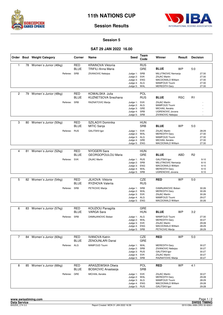



#### **Session 5**

#### **SAT 29 JAN 2022 16.00**

|                |    | Order Bout Weight Category | Corner                    | Name                                                   | Seed                                                                         | Team<br>Code             | Winner                                                                                                                    | Result     | <b>Decision</b> |                                           |
|----------------|----|----------------------------|---------------------------|--------------------------------------------------------|------------------------------------------------------------------------------|--------------------------|---------------------------------------------------------------------------------------------------------------------------|------------|-----------------|-------------------------------------------|
| $\mathbf{1}$   |    | 78 Women's Junior (46kg)   | <b>RED</b><br><b>BLUE</b> | <b>KRAINOVA Viktoriia</b><br><b>TRIFILI Anna Maria</b> |                                                                              | <b>RUS</b><br>GRE        | <b>BLUE</b>                                                                                                               | <b>WP</b>  | 5:0             |                                           |
|                |    | Referee:                   | SRB                       | ZIVANOVIC Nebojsa                                      | Judge 1: SRB<br>Judge 2: SVK<br>Judge 3: ENG<br>Judge 4: ALG<br>Judge 5:     | WAL                      | MILUTINOVIC Nemanja<br><b>ZAJAC Martin</b><br>MACDONALD William<br>MAMFOUD Toumi<br><b>MEREDITH Gary</b>                  |            |                 | 27:30<br>27:30<br>27:30<br>27:30<br>27:30 |
| 2              | 79 | Women's Junior (48kg)      | <b>RED</b><br><b>BLUE</b> | KOWALSKA Julia<br><b>KUZNETSOVA Snezhana</b>           |                                                                              | POL<br><b>RUS</b>        | <b>BLUE</b>                                                                                                               | <b>RSC</b> | R <sub>1</sub>  |                                           |
|                |    | Referee: SRB               |                           | RAZNATOVIC Marija                                      | Judge 1: SVK<br>Judge 2: ALG<br>Judge 3: GRE<br>Judge 4: SRB<br>Judge 5: SRB |                          | <b>ZAJAC Martin</b><br><b>MAMFOUD Toumi</b><br><b>MICHAIL Aerakis</b><br>UGRENOVIC Jovana<br>ZIVANOVIC Nebojsa            |            |                 |                                           |
| 3              | 80 | Women's Junior (50kg)      | <b>RED</b><br>BLUE        | SZILAGYI Dominika<br>MITIC Sanja                       |                                                                              | <b>HUN</b><br><b>SRB</b> | <b>BLUE</b>                                                                                                               | <b>WP</b>  | 5.0             |                                           |
|                |    | Referee:                   | <b>RUS</b>                | <b>GALITSKII Igor</b>                                  | Judge 1: SVK<br>Judge 2: WAL<br>Judge 3: ALG<br>Judge 4: GRE<br>Judge 5:     | ENG                      | <b>ZAJAC Martin</b><br><b>MEREDITH Gary</b><br><b>MAMFOUD Toumi</b><br><b>MICHAIL Aerakis</b><br><b>MACDONALD William</b> |            |                 | 28:29<br>27:30<br>27:30<br>27:30<br>27:30 |
| 4              | 81 | Women's Junior (52kg)      | RED                       | NYOGERI Sara                                           |                                                                              | <b>HUN</b>               |                                                                                                                           |            |                 |                                           |
|                |    |                            | <b>BLUE</b>               | <b>GEORGOPOULOU Maria</b>                              |                                                                              | GRE                      | <b>BLUE</b>                                                                                                               | <b>ABD</b> | R <sub>2</sub>  |                                           |
|                |    | Referee: SVK               |                           | <b>ZAJAC Martin</b>                                    | Judge 1: RUS<br>Judge 2: SRB<br>Judge 3: ENG<br>Judge 4: WAL<br>Judge 5: SRB |                          | <b>GALITSKII Igor</b><br>MILUTINOVIC Nemanja<br><b>MACDONALD William</b><br><b>MEREDITH Gary</b><br>UGRENOVIC Jovana      |            |                 | 9:10<br>8:10<br>9:10<br>9:10<br>9:10      |
|                |    |                            |                           |                                                        |                                                                              |                          |                                                                                                                           |            |                 |                                           |
| 5              |    | 82 Women's Junior (54kg)   | <b>RED</b><br><b>BLUE</b> | JILKOVA Viktorie<br>RYZHOVA Valerija                   |                                                                              | CZE<br><b>RUS</b>        | <b>RED</b>                                                                                                                | <b>WP</b>  | 5:0             |                                           |
|                |    | Referee: SRB               |                           | PETKOVIC Marija                                        | Judge 1: SRB<br>Judge 2: WAL<br>Judge 3: SVK<br>Judge 4: ALG<br>Judge 5: ENG |                          | DAMNJANOVIC Boban<br><b>MEREDITH Gary</b><br><b>ZAJAC Martin</b><br>MAMFOUD Toumi<br>MACDONALD William                    |            |                 | 30:26<br>30:26<br>30:26<br>29:27<br>30:26 |
| 6              |    | 83 Women's Junior (57kg)   | <b>RED</b>                | KOUZIOU Panagiita                                      |                                                                              | <b>GRE</b>               |                                                                                                                           |            |                 |                                           |
|                |    |                            | <b>BLUE</b>               | <b>VARGA Sara</b>                                      |                                                                              | HUN                      | <b>BLUE</b>                                                                                                               | <b>WP</b>  | 3:2             |                                           |
|                |    | Referee: SRB               |                           | DAMNJANOVIC Boban                                      | Judge 1: ALG<br>Judge 2: WAL<br>Judge 3: SVK<br>Judge 4: ENG<br>Judge 5: SRB |                          | MAMFOUD Toumi<br><b>MEREDITH Gary</b><br>ZAJAC Martin<br>MACDONALD William<br>PETKOVIC Marija                             |            |                 | 27:30<br>30:27<br>29:28<br>28:29<br>28:29 |
| $\overline{7}$ | 84 | Women's Junior (60kg)      | <b>RED</b>                | <b>IVANOVA Katrin</b>                                  |                                                                              | CZE                      | <b>RED</b>                                                                                                                | <b>WP</b>  | 5:0             |                                           |
|                |    |                            | BLUE                      | <b>ZENOUNLARI Danai</b>                                |                                                                              | <b>GRE</b>               |                                                                                                                           |            |                 |                                           |
|                |    | Referee: ALG               |                           | MAMFOUD Toumi                                          | Judge 1: WAL<br>Judge 2: SRB<br>Judge 3: RUS<br>Judge 4: SVK<br>Judge 5: SRB |                          | <b>MEREDITH Gary</b><br>ZIVANOVIC Nebojsa<br><b>GALITSKII Igor</b><br>ZAJAC Martin<br>RAZNATOVIC Marija                   |            |                 | 30:27<br>30:27<br>30:27<br>30:27<br>30:27 |
| 8              |    | 85 Women's Junior (66kg)   | <b>RED</b><br><b>BLUE</b> | ARASZEWSKA Oliwia<br><b>BOSKOVIC Anastasija</b>        |                                                                              | POL<br><b>SRB</b>        | <b>RED</b>                                                                                                                | <b>WP</b>  | 4:1             |                                           |
|                |    | Referee: GRE               |                           | <b>MICHAIL Aerakis</b>                                 | Judge 1: SVK<br>Judge 2: WAL<br>Judge 3: ALG<br>Judge 4: ENG<br>Judge 5: RUS |                          | <b>ZAJAC Martin</b><br><b>MEREDITH Gary</b><br>MAMFOUD Toumi<br>MACDONALD William<br><b>GALITSKII Igor</b>                |            |                 | 30:27<br>29:28<br>28:29<br>29:28<br>29:28 |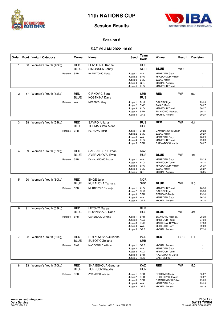



#### **Session 6**

#### **SAT 29 JAN 2022 18.00**

|                |    | Order Bout Weight Category | Corner                    | Name                                               | <b>Seed</b>                                                                  | Team<br>Code             | Winner                                                                                                             | Result    | <b>Decision</b> |                                           |
|----------------|----|----------------------------|---------------------------|----------------------------------------------------|------------------------------------------------------------------------------|--------------------------|--------------------------------------------------------------------------------------------------------------------|-----------|-----------------|-------------------------------------------|
| 1              |    | 86 Women's Youth (48kg)    | <b>RED</b><br>BLUE        | FEIZULINA Karina<br>SIMONSEN Jenny                 |                                                                              | <b>RUS</b><br><b>NOR</b> | <b>BLUE</b>                                                                                                        | <b>WO</b> |                 |                                           |
|                |    | Referee: SRB               |                           | RAZNATOVIC Marija                                  | Judge 1: WAL<br>Judge 2: ENG<br>Judge 3: SVK<br>Judge 4: GRE<br>Judge 5: ALG |                          | <b>MEREDITH Gary</b><br><b>MACDONALD William</b><br><b>ZAJAC Martin</b><br><b>MICHAIL Aerakis</b><br>MAMFOUD Toumi |           |                 |                                           |
| 2              |    | 87 Women's Youth (52kg)    | <b>RED</b><br><b>BLUE</b> | <b>CIRKOVIC Sara</b><br><b>KOSTKINA Daria</b>      |                                                                              | <b>SRB</b><br><b>RUS</b> | <b>RED</b>                                                                                                         | <b>WP</b> | 5:0             |                                           |
|                |    | Referee: WAL               |                           | <b>MEREDITH Gary</b>                               | Judge 1: RUS<br>Judge 2: SVK<br>Judge 3: ALG<br>Judge 4: SRB<br>Judge 5: GRE |                          | <b>GALITSKII Igor</b><br>ZAJAC Martin<br>MAMFOUD Toumi<br>ZIVANOVIC Nebojsa<br><b>MICHAIL Aerakis</b>              |           |                 | 29:28<br>30:27<br>30:27<br>30:27<br>30:27 |
| 3              | 88 | Women's Youth (54kg)       | <b>RED</b><br>BLUE        | SAVRO Uliana<br><b>TREMASOVA Alena</b>             |                                                                              | <b>RUS</b><br><b>RUS</b> | <b>RED</b>                                                                                                         | <b>WP</b> | 4:1             |                                           |
|                |    | Referee: SRB               |                           | PETKOVIC Marija                                    | Judge 1: SRB<br>Judge 2: SVK<br>Judge 3: WAL<br>Judge 4: ALG<br>Judge 5: SRB |                          | DAMNJANOVIC Boban<br>ZAJAC Martin<br><b>MEREDITH Gary</b><br>MAMFOUD Toumi<br>RAZNATOVIC Marija                    |           |                 | 29:28<br>30:27<br>28:29<br>29:28<br>30:27 |
|                |    |                            |                           |                                                    |                                                                              |                          |                                                                                                                    |           |                 |                                           |
| 4              | 89 | Women's Youth (57kg)       | <b>RED</b><br><b>BLUE</b> | <b>SARSANBEK Ulzhan</b><br><b>AVERIANOVA Evita</b> |                                                                              | <b>KAZ</b><br><b>RUS</b> | <b>BLUE</b>                                                                                                        | <b>WP</b> | 4:1             |                                           |
|                |    | Referee: SRB               |                           | DAMNJANOVIC Boban                                  | Judge 1: WAL<br>Judge 2: ALG<br>Judge 3: ENG<br>Judge 4: SVK<br>Judge 5: GRE |                          | <b>MEREDITH Gary</b><br>MAMFOUD Toumi<br>MACDONALD William<br><b>ZAJAC Martin</b><br><b>MICHAIL Aerakis</b>        |           |                 | 25:28<br>25:27<br>26:27<br>26:27<br>28:25 |
|                |    |                            |                           |                                                    |                                                                              |                          |                                                                                                                    |           |                 |                                           |
| 5              |    | 90 Women's Youth (60kg)    | <b>RED</b><br>BLUE        | <b>ENGE Julie</b><br><b>KUBALOVA Tamara</b>        |                                                                              | <b>NOR</b><br><b>SVK</b> | <b>BLUE</b>                                                                                                        | <b>WP</b> | 5:0             |                                           |
|                |    | Referee: SRB               |                           | MILUTINOVIC Nemanja                                | Judge 1: ALG<br>Judge 2: RUS<br>Judge 3: SRB<br>Judge 4: WAL<br>Judge 5: GRE |                          | MAMFOUD Toumi<br><b>GALITSKII Igor</b><br>PETKOVIC Marija<br><b>MEREDITH Gary</b><br><b>MICHAIL Aerakis</b>        |           |                 | 26:30<br>25:30<br>25:30<br>26:30<br>26:30 |
| 6              |    | 91 Women's Youth (63kg)    | <b>RED</b>                | <b>LETSKO Darya</b>                                |                                                                              | <b>BLR</b>               |                                                                                                                    |           |                 |                                           |
|                |    |                            | <b>BLUE</b>               | NOVINSKAIA Daria                                   |                                                                              | <b>RUS</b>               | <b>BLUE</b>                                                                                                        | <b>WP</b> | 4:1             |                                           |
|                |    | Referee: SRB               |                           | <b>UGRENOVIC Jovana</b>                            | Judge 1: SRB<br>Judge 2: ALG<br>Judge 3: ENG<br>Judge 4: WAL<br>Judge 5:     | GRE                      | ZIVANOVIC Nebojsa<br>MAMFOUD Toumi<br>MACDONALD William<br><b>MEREDITH Gary</b><br><b>MICHAIL Aerakis</b>          |           |                 | 28:29<br>27:30<br>27:30<br>29:28<br>27:30 |
| $\overline{7}$ |    | 92 Women's Youth (66kg)    | <b>RED</b>                | RUTKOWSKA Julianna                                 |                                                                              | POL                      | <b>RED</b>                                                                                                         | RSC-I     | R1              |                                           |
|                |    |                            | <b>BLUE</b>               | SUBOTIC Zeljana                                    |                                                                              | <b>SRB</b>               |                                                                                                                    |           |                 |                                           |
|                |    | Referee: ENG               |                           | <b>MACDONALD William</b>                           | Judge 1: GRE<br>Judge 2: WAL<br>Judge 3: ALG<br>Judge 4: SRB<br>Judge 5: RUS |                          | <b>MICHAIL Aerakis</b><br><b>MEREDITH Gary</b><br>MAMFOUD Toumi<br>RAZNATOVIC Marija<br><b>GALITSKII Igor</b>      |           |                 |                                           |
| 8              |    | 93 Women's Youth (70kg)    | RED<br><b>BLUE</b>        | SHAIBEKOVA Gaughar<br><b>TURBUCZ Klaudia</b>       |                                                                              | <b>KAZ</b><br><b>HUN</b> | <b>RED</b>                                                                                                         | <b>WP</b> | 5:0             |                                           |
|                |    | Referee: SRB               |                           | ZIVANOVIC Nebojsa                                  | Judge 1: SRB<br>Judge 2: SRB<br>Judge 3: SRB<br>Judge 4: WAL<br>Judge 5: GRE |                          | PETKOVIC Marija<br>UGRENOVIC Jovana<br>DAMNJANOVIC Boban<br><b>MEREDITH Gary</b><br><b>MICHAIL Aerakis</b>         |           |                 | 30:27<br>30:27<br>29:28<br>29:28<br>29:28 |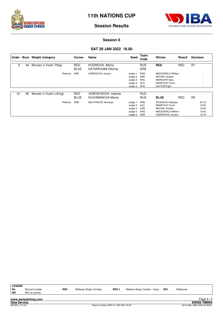



### **Session Results**

#### **Session 6**

#### **SAT 29 JAN 2022 18.00**

| Order |    | <b>Bout</b> Weight Category | Corner                    | Name                                            | Seed                                                                     | Team<br>Code             | Winner                                                                                                                     | Result     | <b>Decision</b>                           |
|-------|----|-----------------------------|---------------------------|-------------------------------------------------|--------------------------------------------------------------------------|--------------------------|----------------------------------------------------------------------------------------------------------------------------|------------|-------------------------------------------|
| 9     | 94 | Women's Youth (75kg)        | <b>RED</b><br><b>BLUE</b> | KUDINOVA Albina<br><b>KATSIROUBA Effichia</b>   |                                                                          | <b>RUS</b><br><b>GRE</b> | <b>RED</b>                                                                                                                 | <b>RSC</b> | R1                                        |
|       |    | Referee:                    | SRB                       | <b>UGRENOVIC Jovana</b>                         | Judge 1: ENG<br>Judge 2: GRE<br>Judge 3:<br>Judge 4: ALG<br>Judge 5: RUS | WAL                      | <b>MACDONALD William</b><br><b>MICHAIL Aerakis</b><br><b>MEREDITH Gary</b><br>MAMFOUD Toumi<br><b>GALITSKII Igor</b>       |            | $\overline{\phantom{0}}$<br>۰             |
| 10    | 95 | Women's Youth (+81kg)       | <b>RED</b><br><b>BLUE</b> | <b>VORONTSOVA Valerija</b><br>KUCHMANOVA Marija |                                                                          | <b>RUS</b><br><b>RUS</b> | <b>BLUE</b>                                                                                                                | <b>RSC</b> | R <sub>3</sub>                            |
|       |    | Referee:                    | SRB                       | MILUTINOVIC Nemanja                             | Judge 1: SRB<br>Judge 2: ALG<br>Judge 3:<br>Judge 4:<br>Judge 5:         | GRE<br>ENG<br>SRB        | ZIVANOVIC Nebojsa<br><b>MAMFOUD Toumi</b><br><b>MICHAIL Aerakis</b><br><b>MACDONALD William</b><br><b>UGRENOVIC Jovana</b> |            | 20:18<br>18:20<br>18:20<br>18:20<br>19:19 |

| <b>LEGEND</b> |               |
|---------------|---------------|
| Rn            | Round number  |
| <b>WP</b>     | Win on points |

**Rn** Round number **RSC** Referee Stops Contest **RSC-I** Referee Stops Contest – Injury **WO** Walkover **WIRE WALKOVER**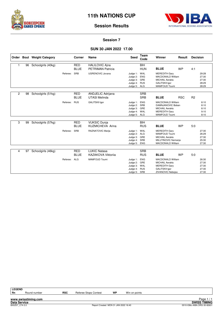



#### **Session 7**

#### **SUN 30 JAN 2022 17.00**

|                |    | Order Bout Weight Category |          | Corner                    | <b>Name</b>                                       | <b>Seed</b>                                                              | Team<br>Code                                  | Winner                                                                                                                    | Result     | <b>Decision</b> |                                           |
|----------------|----|----------------------------|----------|---------------------------|---------------------------------------------------|--------------------------------------------------------------------------|-----------------------------------------------|---------------------------------------------------------------------------------------------------------------------------|------------|-----------------|-------------------------------------------|
|                | 96 | Schoolgirls (40kg)         |          | <b>RED</b><br><b>BLUE</b> | <b>HALILOVIC Aina</b><br><b>PETRIMAN Patricia</b> |                                                                          | <b>BIH</b><br><b>HUN</b>                      | <b>BLUE</b>                                                                                                               | <b>WP</b>  | 4:1             |                                           |
|                |    |                            | Referee: | SRB                       | <b>UGRENOVIC Jovana</b>                           | Judge 1:<br>Judge 2:<br>Judge 3:<br>Judge 4:<br>Judge 5: ALG             | WAL<br><b>ENG</b><br>GRE<br><b>RUS</b>        | <b>MEREDITH Gary</b><br><b>MACDONALD William</b><br><b>MICHAIL Aerakis</b><br><b>GALITSKII Igor</b><br>MAMFOUD Toumi      |            |                 | 29:28<br>27:30<br>27:30<br>28:29<br>28:29 |
| $\overline{c}$ | 98 | Schoolgirls (51kg)         |          | <b>RED</b><br><b>BLUE</b> | ANDJELIC Adrijana<br><b>UTASI Melinda</b>         |                                                                          | <b>SRB</b><br><b>SRB</b>                      | <b>BLUE</b>                                                                                                               | <b>RSC</b> | R <sub>2</sub>  |                                           |
|                |    |                            | Referee: | <b>RUS</b>                | <b>GALITSKII Igor</b>                             | Judge 1:<br>Judge 2: SRB<br>Judge 3: GRE<br>Judge 4: WAL<br>Judge 5: ALG | <b>ENG</b>                                    | <b>MACDONALD William</b><br>DAMNJANOVIC Boban<br><b>MICHAIL Aerakis</b><br><b>MEREDITH Gary</b><br>MAMFOUD Toumi          |            |                 | 8:10<br>8:10<br>8:10<br>9:10<br>8:10      |
| 3              | 99 | Schoolgirls (57kg)         |          | <b>RED</b><br><b>BLUE</b> | <b>VUKSIC Dunja</b><br><b>KUZMICHEVA Arina</b>    |                                                                          | <b>BIH</b><br><b>RUS</b>                      | <b>BLUE</b>                                                                                                               | <b>WP</b>  | 5:0             |                                           |
|                |    |                            | Referee: | <b>SRB</b>                | RAZNATOVIC Marija                                 | Judge 1:<br>Judge 2:<br>Judge 3:<br>Judge 4:<br>Judge 5: ENG             | WAL<br>ALG<br>GRE<br>SRB                      | <b>MEREDITH Gary</b><br><b>MAMFOUD Toumi</b><br><b>MICHAIL Aerakis</b><br>MILUTINOVIC Nemanja<br><b>MACDONALD William</b> |            |                 | 27:30<br>26:29<br>27:30<br>25:30<br>27:30 |
| 4              | 97 | Schoolgirls (46kg)         |          | <b>RED</b>                | <b>LUKIC Natasa</b>                               |                                                                          | <b>SRB</b>                                    |                                                                                                                           |            |                 |                                           |
|                |    |                            |          | <b>BLUE</b>               | <b>KAZAKOVA Viktorija</b>                         |                                                                          | <b>RUS</b>                                    | <b>BLUE</b>                                                                                                               | <b>WP</b>  | 5.0             |                                           |
|                |    |                            | Referee: | <b>ALG</b>                | <b>MAMFOUD Toumi</b>                              | Judge 1:<br>Judge 2:<br>Judge 3:<br>Judge 4:<br>Judge 5:                 | <b>ENG</b><br>GRE<br>WAL<br><b>RUS</b><br>SRB | <b>MACDONALD William</b><br><b>MICHAIL Aerakis</b><br><b>MEREDITH Gary</b><br><b>GALITSKII Igor</b><br>ZIVANOVIC Nebojsa  |            |                 | 26:30<br>27:30<br>27:30<br>27:30<br>27:30 |

**LEGEND**

**www.swisstiming.com**

Round number **RSC** Referee Stops Contest **WP** Win on points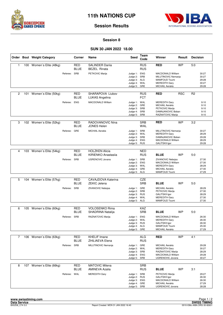



#### **Session 8**

#### **SUN 30 JAN 2022 18.00**

|                |     | Order Bout Weight Category |              | Corner                    | Name                                           | <b>Seed</b>                                                                  | Team<br>Code             | Winner                                                                                                                            | Result     | <b>Decision</b> |                                           |
|----------------|-----|----------------------------|--------------|---------------------------|------------------------------------------------|------------------------------------------------------------------------------|--------------------------|-----------------------------------------------------------------------------------------------------------------------------------|------------|-----------------|-------------------------------------------|
| $\mathbf{1}$   |     | 100 Women's Elite (48kg)   |              | RED<br><b>BLUE</b>        | <b>SALINDER Darija</b><br><b>BEZEL Rinata</b>  |                                                                              | <b>RUS</b><br><b>RUS</b> | <b>RED</b>                                                                                                                        | <b>WP</b>  | 5:0             |                                           |
|                |     |                            | Referee: SRB |                           | PETKOVIC Marija                                | Judge 1: ENG<br>Judge 2: SRB<br>Judge 3: ALG<br>Judge 4: WAL<br>Judge 5:     | GRE                      | <b>MACDONALD William</b><br>MILUTINOVIC Nemanja<br>MAMFOUD Toumi<br><b>MEREDITH Gary</b><br><b>MICHAIL Aerakis</b>                |            |                 | 30:27<br>30:27<br>29:28<br>30:27<br>29:28 |
| $\overline{c}$ | 101 | Women's Elite (50kg)       |              | RED<br>BLUE               | SHARAPOVA Liubov<br>LUKAS Angelina             |                                                                              | <b>RUS</b><br><b>FCT</b> | <b>RED</b>                                                                                                                        | <b>RSC</b> | R <sub>2</sub>  |                                           |
|                |     |                            | Referee:     | <b>ENG</b>                | <b>MACDONALD William</b>                       | Judge 1: WAL<br>Judge 2:<br>Judge 3: SRB<br>Judge 4: SRB<br>Judge 5: SRB     | GRE                      | <b>MEREDITH Gary</b><br><b>MICHAIL Aerakis</b><br>PETKOVIC Marija<br>DAMNJANOVIC Boban<br>RAZNATOVIC Marija                       |            |                 | 9:10<br>9:10<br>9:10<br>9:10<br>9:10      |
| 3              |     | 102 Women's Elite (52kg)   |              | <b>RED</b><br><b>BLUE</b> | RADOVANOVIC Nina<br><b>JONES Helen</b>         |                                                                              | <b>SRB</b><br>WAL        | <b>RED</b>                                                                                                                        | <b>WP</b>  | 3:2             |                                           |
|                |     |                            | Referee:     | GRE                       | <b>MICHAIL Aerakis</b>                         | Judge 1: SRB<br>Judge 2: WAL<br>Judge 3: SRB<br>Judge 4: ENG<br>Judge 5:     | RUS                      | MILUTINOVIC Nemanja<br><b>MEREDITH Gary</b><br>DAMNJANOVIC Boban<br><b>MACDONALD William</b><br><b>GALITSKII Igor</b>             |            |                 | 30:27<br>28:29<br>29:28<br>28:29<br>29:28 |
| $\overline{4}$ | 103 | Women's Elite (54kg)       |              | <b>RED</b>                | <b>HOLZKEN Alicia</b>                          |                                                                              | <b>NED</b>               |                                                                                                                                   |            |                 |                                           |
|                |     |                            | Referee: SRB | <b>BLUE</b>               | KIRIENKO Anastasija<br><b>UGRENOVIC Jovana</b> | Judge 1: SRB<br>Judge 2: ENG<br>Judge 3: WAL<br>Judge 4: GRE<br>Judge 5: ALG | <b>RUS</b>               | <b>BLUE</b><br>ZIVANOVIC Nebojsa<br>MACDONALD William<br><b>MEREDITH Gary</b><br><b>MICHAIL Aerakis</b><br>MAMFOUD Toumi          | <b>WP</b>  | 5:0             | 27:30<br>27:30<br>28:29<br>27:30<br>27:29 |
| 5              |     |                            |              |                           |                                                |                                                                              |                          |                                                                                                                                   |            |                 |                                           |
|                |     | 104 Women's Elite (57kg)   |              | <b>RED</b><br><b>BLUE</b> | CAVAJDOVA Katerina<br><b>ZEKIC Jelena</b>      |                                                                              | CZE<br><b>SRB</b>        | <b>BLUE</b>                                                                                                                       | <b>WP</b>  | 5:0             |                                           |
|                |     |                            | Referee: SRB |                           | ZIVANOVIC Nebojsa                              | Judge 1: GRE<br>Judge 2: SRB<br>Judge 3: RUS<br>Judge 4: WAL<br>Judge 5: ALG |                          | <b>MICHAIL Aerakis</b><br>PETKOVIC Marija<br><b>GALITSKII Igor</b><br><b>MEREDITH Gary</b><br><b>MAMFOUD Toumi</b>                |            |                 | 28:29<br>27:30<br>28:29<br>27:30<br>27:30 |
| 6              | 105 | Women's Elite (60kg)       |              | RED                       | <b>VOLOSENKO Rima</b>                          |                                                                              | KAZ                      |                                                                                                                                   |            |                 |                                           |
|                |     |                            |              | <b>BLUE</b>               | SHADRINA Natalija                              |                                                                              | <b>SRB</b>               | <b>BLUE</b>                                                                                                                       | <b>WP</b>  | 5:0             |                                           |
|                |     |                            | Referee: SRB |                           | RAZNATOVIC Marija                              | Judge 1: ENG<br>Judge 2: WAL<br>Judge 3: RUS<br>Judge 4: ALG<br>Judge 5: GRE |                          | MACDONALD William<br><b>MEREDITH Gary</b><br><b>GALITSKII Igor</b><br>MAMFOUD Toumi<br><b>MICHAIL Aerakis</b>                     |            |                 | 26:30<br>26:30<br>26:30<br>25:30<br>27:29 |
| $\overline{7}$ |     | 106 Women's Elite (63kg)   |              | <b>RED</b><br><b>BLUE</b> | <b>KHELIF Imane</b><br><b>ZHILIAEVA Elena</b>  |                                                                              | <b>ALG</b><br><b>RUS</b> | <b>RED</b>                                                                                                                        | <b>WP</b>  | 4:1             |                                           |
|                |     |                            | Referee: SRB |                           | MILUTINOVIC Nemanja                            | Judge 1: GRE<br>Judge 2: WAL<br>Judge 3: SRB<br>Judge 4: ENG<br>Judge 5: SRB |                          | <b>MICHAIL Aerakis</b><br><b>MEREDITH Gary</b><br>RAZNATOVIC Marija<br>MACDONALD William<br><b>UGRENOVIC Jovana</b>               |            |                 | 29:28<br>30:27<br>28:29<br>29:28<br>30:27 |
| 8              |     | 107 Women's Elite (66kg)   |              | <b>RED</b>                | <b>MATOVIC Milena</b>                          |                                                                              | <b>SRB</b>               |                                                                                                                                   |            |                 |                                           |
|                |     |                            | Referee: WAL | BLUE                      | AMINEVA Azalia<br><b>MEREDITH Gary</b>         | Judge 1: SRB<br>Judge 2: RUS<br>Judge 3: ENG<br>Judge 4: GRE<br>Judge 5: SRB | <b>RUS</b>               | <b>BLUE</b><br>PETKOVIC Marija<br><b>GALITSKII Igor</b><br><b>MACDONALD William</b><br><b>MICHAIL Aerakis</b><br>UGRENOVIC Jovana | <b>WP</b>  | 3:1             | 29:27<br>26:30<br>26:30<br>27:29<br>28:28 |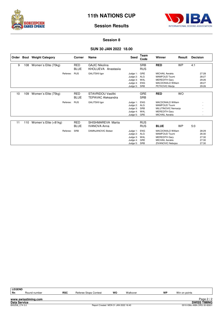



#### **Session 8**

#### **SUN 30 JAN 2022 18.00**

| Order |     | <b>Bout</b> Weight Category |          | Corner             | <b>Name</b>                                     | Seed                                                             | Team<br>Code                    | Winner                                                                                                                | Result    | <b>Decision</b>                           |
|-------|-----|-----------------------------|----------|--------------------|-------------------------------------------------|------------------------------------------------------------------|---------------------------------|-----------------------------------------------------------------------------------------------------------------------|-----------|-------------------------------------------|
| 9     | 108 | Women's Elite (70kg)        |          | RED<br><b>BLUE</b> | <b>GAJIC Nikolina</b><br>KHOLUEVA Anastasiia    |                                                                  | <b>SRB</b><br><b>RUS</b>        | <b>RED</b>                                                                                                            | <b>WP</b> | 4:1                                       |
|       |     |                             | Referee: | <b>RUS</b>         | <b>GALITSKII Igor</b>                           | Judge 1:<br>Judge 2: ALG<br>Judge 3:<br>Judge 4:<br>Judge 5: SRB | GRE<br>WAL<br><b>ENG</b>        | <b>MICHAIL Aerakis</b><br><b>MAMFOUD Toumi</b><br><b>MEREDITH Gary</b><br><b>MACDONALD William</b><br>PETKOVIC Marija |           | 27:28<br>28:27<br>29:26<br>28:27<br>29:26 |
| 10    | 109 | Women's Elite (75kg)        |          | RED<br><b>BLUE</b> | STAVRIDOU Vasiliki<br><b>TEPAVAC Aleksandra</b> |                                                                  | <b>GRE</b><br><b>SRB</b>        | <b>RED</b>                                                                                                            | <b>WO</b> |                                           |
|       |     |                             | Referee: | <b>RUS</b>         | <b>GALITSKII Igor</b>                           | Judge 1:<br>Judge 2: ALG<br>Judge 3: SRB<br>Judge 4:<br>Judge 5: | <b>ENG</b><br>WAL<br>GRE        | MACDONALD William<br><b>MAMFOUD Toumi</b><br>MILUTINOVIC Nemanja<br><b>MEREDITH Gary</b><br><b>MICHAIL Aerakis</b>    |           |                                           |
| 11    | 110 | Women's Elite (+81kg)       |          | RED<br><b>BLUE</b> | SHISHMAREVA Marija<br><b>IVANOVA Anna</b>       |                                                                  | <b>RUS</b><br><b>RUS</b>        | <b>BLUE</b>                                                                                                           | <b>WP</b> | 5:0                                       |
|       |     |                             | Referee: | SRB                | DAMNJANOVIC Boban                               | Judge 1:<br>Judge 2:<br>Judge 3:<br>Judge 4:<br>Judge 5: SRB     | <b>ENG</b><br>ALG<br>WAL<br>GRE | MACDONALD William<br><b>MAMFOUD Toumi</b><br><b>MEREDITH Gary</b><br><b>MICHAIL Aerakis</b><br>ZIVANOVIC Nebojsa      |           | 28:29<br>26:30<br>27:30<br>27:30<br>27:30 |

| <b>LEGEND</b>       |                     |            |                                      |    |          |    |                             |                     |
|---------------------|---------------------|------------|--------------------------------------|----|----------|----|-----------------------------|---------------------|
| <b>Rn</b>           | Round number        | <b>RSC</b> | Referee Stops Contest                | wo | Walkover | WP | Win on points               |                     |
|                     |                     |            |                                      |    |          |    |                             |                     |
|                     | www.swisstiming.com |            |                                      |    |          |    |                             | Page $2/2$          |
| <b>Data Service</b> |                     |            |                                      |    |          |    |                             | <b>SWISS TIMING</b> |
| BX0Z08 C74 3.0      |                     |            | Report Created MON 31 JAN 2022 16:40 |    |          |    | 0010-036c-AIBA.ORG-30-82601 |                     |
|                     |                     |            |                                      |    |          |    |                             |                     |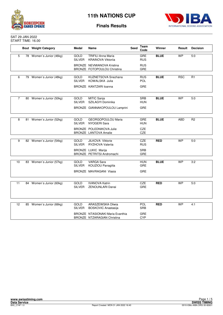



#### SAT 29 JAN 2022 START TIME: 16.00

|                |    | <b>Bout</b> Weight Category | Medal                        | Name                                                                   | Seed | Team<br>Code             | Winner      | Result     | <b>Decision</b> |
|----------------|----|-----------------------------|------------------------------|------------------------------------------------------------------------|------|--------------------------|-------------|------------|-----------------|
| 5              |    | 78 Women's Junior (46kg)    | <b>GOLD</b><br><b>SILVER</b> | <b>TRIFILI Anna Maria</b><br><b>KRAINOVA Viktoriia</b>                 |      | <b>GRE</b><br><b>RUS</b> | <b>BLUE</b> | <b>WP</b>  | 5:0             |
|                |    |                             |                              | BRONZE NEVMIANOVA Kristina<br>BRONZE FOTOPOULOU Christina              |      | <b>RUS</b><br>GRE        |             |            |                 |
| 6              |    | 79 Women's Junior (48kg)    | <b>GOLD</b>                  | KUZNETSOVA Snezhana                                                    |      | <b>RUS</b>               | <b>BLUE</b> | <b>RSC</b> | R <sub>1</sub>  |
|                |    |                             | <b>SILVER</b>                | KOWALSKA Julia                                                         |      | POL                      |             |            |                 |
|                |    |                             |                              | BRONZE KANTZARI Ioanna                                                 |      | GRE                      |             |            |                 |
|                |    |                             |                              |                                                                        |      |                          |             |            |                 |
| $\overline{7}$ |    | 80 Women's Junior (50kg)    | GOLD<br><b>SILVER</b>        | MITIC Sanja<br>SZILAGYI Dominika                                       |      | <b>SRB</b><br><b>HUN</b> | <b>BLUE</b> | <b>WP</b>  | 5:0             |
|                |    |                             |                              | BRONZE GIANNAKOPOULOU Lamprini                                         |      | <b>GRE</b>               |             |            |                 |
|                |    |                             |                              |                                                                        |      |                          |             |            |                 |
| 8              | 81 | Women's Junior (52kg)       | <b>GOLD</b><br><b>SILVER</b> | <b>GEORGOPOULOU Maria</b><br>NYOGERI Sara                              |      | GRE<br><b>HUN</b>        | <b>BLUE</b> | <b>ABD</b> | R <sub>2</sub>  |
|                |    |                             |                              | <b>BRONZE POLEDNIKOVA Julie</b><br><b>BRONZE LANTOVA Amalie</b>        |      | CZE<br><b>CZE</b>        |             |            |                 |
|                |    |                             |                              |                                                                        |      |                          |             |            |                 |
| 9              |    | 82 Women's Junior (54kg)    | <b>GOLD</b><br><b>SILVER</b> | <b>JILKOVA Viktorie</b><br>RYZHOVA Valeriia                            |      | CZE<br><b>RUS</b>        | <b>RED</b>  | <b>WP</b>  | 5:0             |
|                |    |                             |                              | <b>BRONZE LUKIC Marija</b>                                             |      | <b>SRB</b>               |             |            |                 |
|                |    |                             |                              | BRONZE PETRITSI Andromachi                                             |      | GRE                      |             |            |                 |
| 10             |    | 83 Women's Junior (57kg)    | <b>GOLD</b><br><b>SILVER</b> | <b>VARGA Sara</b><br>KOUZIOU Panagiita                                 |      | <b>HUN</b><br>GRE        | <b>BLUE</b> | <b>WP</b>  | 3:2             |
|                |    |                             |                              | BRONZE MAVRAGANI Vlasia                                                |      | GRE                      |             |            |                 |
|                |    |                             |                              |                                                                        |      |                          |             |            |                 |
| 11             |    | 84 Women's Junior (60kg)    | GOLD<br><b>SILVER</b>        | <b>IVANOVA Katrin</b><br>ZENOUNLARI Danai                              |      | CZE<br>GRE               | <b>RED</b>  | <b>WP</b>  | 5:0             |
|                |    |                             |                              |                                                                        |      |                          |             |            |                 |
| 12             |    | 85 Women's Junior (66kg)    | <b>GOLD</b>                  | ARASZEWSKA Oliwia                                                      |      | POL                      | <b>RED</b>  | <b>WP</b>  | 4:1             |
|                |    |                             | <b>SILVER</b>                | <b>BOSKOVIC Anastasija</b>                                             |      | SRB                      |             |            |                 |
|                |    |                             |                              | BRONZE NTASIONAKI Maria Evanthia<br><b>BRONZE NTZARAGIAN Christina</b> |      | <b>GRE</b><br><b>CYP</b> |             |            |                 |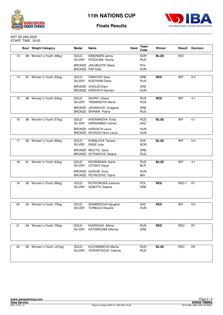



#### SAT 29 JAN 2022 START TIME: 18.00

|    |    | <b>Bout</b> Weight Category | <b>Medal</b>                 | Name                                                            | <b>Seed</b> | Team<br>Code             | Winner      | Result     | <b>Decision</b> |
|----|----|-----------------------------|------------------------------|-----------------------------------------------------------------|-------------|--------------------------|-------------|------------|-----------------|
| 13 |    | 86 Women's Youth (48kg)     | GOLD<br><b>SILVER</b>        | SIMONSEN Jenny<br>FEIZULINA Karina                              |             | <b>NOR</b><br><b>RUS</b> | <b>BLUE</b> | <b>WO</b>  |                 |
|    |    |                             |                              | BRONZE JAKUBCZYK Oliwia<br>BRONZE PAP Kata                      |             | POL<br><b>HUN</b>        |             |            |                 |
|    |    |                             |                              |                                                                 |             |                          |             |            |                 |
| 14 |    | 87 Women's Youth (52kg)     | GOLD<br><b>SILVER</b>        | <b>CIRKOVIC Sara</b><br><b>KOSTKINA Daria</b>                   |             | <b>SRB</b><br><b>RUS</b> | <b>RED</b>  | <b>WP</b>  | 5:0             |
|    |    |                             |                              | <b>BRONZE CHOLIDI Eleni</b><br>BRONZE HORVATH Karmen            |             | <b>GRE</b><br>HUN        |             |            |                 |
|    |    |                             |                              |                                                                 |             |                          |             |            |                 |
| 15 |    | 88 Women's Youth (54kg)     | GOLD<br><b>SILVER</b>        | SAVRO Uliana<br><b>TREMASOVA Alena</b>                          |             | <b>RUS</b><br><b>RUS</b> | <b>RED</b>  | <b>WP</b>  | 4:1             |
|    |    |                             |                              | BRONZE JOVANOVIC Dragana<br>BRONZE SPIRINA Polina               |             | <b>SRB</b><br><b>RUS</b> |             |            |                 |
|    |    |                             |                              |                                                                 |             |                          |             |            |                 |
| 16 | 89 | Women's Youth (57kg)        | <b>GOLD</b><br><b>SILVER</b> | <b>AVERIANOVA Evita</b><br>SARSANBEK Ulzhan                     |             | <b>RUS</b><br><b>KAZ</b> | <b>BLUE</b> | <b>WP</b>  | 4:1             |
|    |    |                             |                              | <b>BRONZE HORVATH Laura</b><br><b>BRONZE KOVACS Fanni Laura</b> |             | <b>HUN</b><br><b>HUN</b> |             |            |                 |
|    |    |                             |                              |                                                                 |             |                          |             |            |                 |
| 17 | 90 | Women's Youth (60kg)        | <b>GOLD</b><br><b>SILVER</b> | <b>KUBALOVA Tamara</b><br><b>ENGE Julie</b>                     |             | <b>SVK</b><br><b>NOR</b> | <b>BLUE</b> | <b>WP</b>  | 5:0             |
|    |    |                             |                              | BRONZE MILETIC Djina<br>BRONZE SOTNIKOVA Tatiana                |             | <b>SRB</b><br><b>RUS</b> |             |            |                 |
|    |    |                             | <b>GOLD</b>                  | NOVINSKAIA Daria                                                |             | <b>RUS</b>               | <b>BLUE</b> | <b>WP</b>  | 4:1             |
| 18 | 91 | Women's Youth (63kg)        | <b>SILVER</b>                | LETSKO Darya                                                    |             | <b>BLR</b>               |             |            |                 |
|    |    |                             |                              | <b>BRONZE GURUBI Dora</b><br>BRONZE PETRICEVIC Tijana           |             | <b>HUN</b><br>BIH        |             |            |                 |
|    |    |                             |                              |                                                                 |             |                          |             |            |                 |
| 19 |    | 92 Women's Youth (66kg)     | <b>GOLD</b><br><b>SILVER</b> | RUTKOWSKA Julianna<br>SUBOTIC Zeljana                           |             | POL<br><b>SRB</b>        | <b>RED</b>  | RSC-I      | R1              |
|    |    |                             |                              |                                                                 |             |                          |             |            |                 |
| 20 |    | 93 Women's Youth (70kg)     | GOLD                         | SHAIBEKOVA Gaughar                                              |             | <b>KAZ</b>               | <b>RED</b>  | <b>WP</b>  | 5:0             |
|    |    |                             | <b>SILVER</b>                | <b>TURBUCZ Klaudia</b>                                          |             | <b>HUN</b>               |             |            |                 |
|    |    |                             |                              |                                                                 |             |                          |             |            |                 |
|    |    |                             |                              |                                                                 |             |                          |             |            |                 |
| 21 |    | 94 Women's Youth (75kg)     | GOLD<br><b>SILVER</b>        | KUDINOVA Albina<br><b>KATSIROUBA Eftichia</b>                   |             | <b>RUS</b><br>GRE        | <b>RED</b>  | <b>RSC</b> | R1              |
|    |    |                             |                              |                                                                 |             |                          |             |            |                 |
| 22 |    | 95 Women's Youth (+81kg)    | GOLD<br>SILVER               | <b>KUCHMANOVA Marija</b><br><b>VORONTSOVA Valerija</b>          |             | <b>RUS</b><br><b>RUS</b> | <b>BLUE</b> | <b>RSC</b> | R <sub>3</sub>  |
|    |    |                             |                              |                                                                 |             |                          |             |            |                 |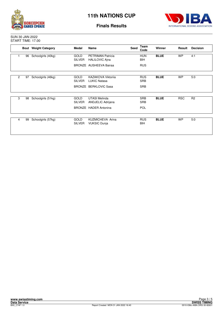



SUN 30 JAN 2022 START TIME: 17.00

|                |    | <b>Bout</b> Weight Category | <b>Medal</b>                 | Name                                              | Seed | Team<br>Code             | <b>Winner</b> | Result     | <b>Decision</b> |
|----------------|----|-----------------------------|------------------------------|---------------------------------------------------|------|--------------------------|---------------|------------|-----------------|
|                | 96 | Schoolgirls (40kg)          | <b>GOLD</b><br><b>SILVER</b> | <b>PETRIMAN Patricia</b><br><b>HALILOVIC Ajna</b> |      | <b>HUN</b><br><b>BIH</b> | <b>BLUE</b>   | <b>WP</b>  | 4:1             |
|                |    |                             |                              | BRONZE AUSHEEVA Bairaa                            |      | <b>RUS</b>               |               |            |                 |
| $\overline{c}$ | 97 | Schoolgirls (46kg)          | <b>GOLD</b><br><b>SILVER</b> | KAZAKOVA Viktorija<br><b>LUKIC Natasa</b>         |      | <b>RUS</b><br><b>SRB</b> | <b>BLUE</b>   | <b>WP</b>  | 5:0             |
|                |    |                             |                              | <b>BRONZE BERKLOVIC Sasa</b>                      |      | <b>SRB</b>               |               |            |                 |
| 3              | 98 | Schoolgirls (51kg)          | <b>GOLD</b><br><b>SILVER</b> | <b>UTASI Melinda</b><br>ANDJELIC Adrijana         |      | <b>SRB</b><br><b>SRB</b> | <b>BLUE</b>   | <b>RSC</b> | R2              |
|                |    |                             |                              | BRONZE HADER Antonina                             |      | POL                      |               |            |                 |
| 4              | 99 | Schoolgirls (57kg)          | <b>GOLD</b><br><b>SILVER</b> | <b>KUZMICHEVA Arina</b><br><b>VUKSIC Dunja</b>    |      | <b>RUS</b><br>BIH        | <b>BLUE</b>   | <b>WP</b>  | 5:0             |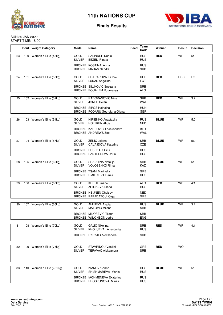



#### SUN 30 JAN 2022 START TIME: 18.00

|    | <b>Bout</b> Weight Category | Medal                        | Name                                                           | Seed | Team<br>Code             | Winner      | Result     | <b>Decision</b> |
|----|-----------------------------|------------------------------|----------------------------------------------------------------|------|--------------------------|-------------|------------|-----------------|
| 23 | 100 Women's Elite (48kg)    | GOLD<br><b>SILVER</b>        | <b>SALINDER Darija</b><br><b>BEZEL Rinata</b>                  |      | <b>RUS</b><br><b>RUS</b> | <b>RED</b>  | <b>WP</b>  | 5:0             |
|    |                             |                              | BRONZE KOSTINA Anna<br><b>BRONZE MARAN Sandra</b>              |      | <b>RUS</b><br><b>SRB</b> |             |            |                 |
|    |                             |                              |                                                                |      |                          |             |            |                 |
| 24 | 101 Women's Elite (50kg)    | <b>GOLD</b><br>SILVER        | SHARAPOVA Liubov<br>LUKAS Angelina                             |      | <b>RUS</b><br><b>FCT</b> | <b>RED</b>  | <b>RSC</b> | R2              |
|    |                             |                              | <b>BRONZE SILJKOVIC Snezana</b><br>BRONZE BOUALEM Roumaysa     |      | SRB<br><b>ALG</b>        |             |            |                 |
|    |                             |                              |                                                                |      |                          |             |            |                 |
| 25 | 102 Women's Elite (52kg)    | GOLD<br><b>SILVER</b>        | RADOVANOVIC Nina<br><b>JONES Helen</b>                         |      | <b>SRB</b><br><b>WAL</b> | <b>RED</b>  | <b>WP</b>  | 3:2             |
|    |                             |                              | <b>BRONZE</b> SIPOS Hajnalka<br>BRONZE PODARU Georgiana-Diana  |      | <b>HUN</b><br><b>GER</b> |             |            |                 |
|    |                             |                              |                                                                |      |                          |             |            |                 |
| 26 | 103 Women's Elite (54kg)    | <b>GOLD</b><br><b>SILVER</b> | KIRIENKO Anastasija<br><b>HOLZKEN Alicia</b>                   |      | <b>RUS</b><br>NED        | <b>BLUE</b> | <b>WP</b>  | 5:0             |
|    |                             |                              | BRONZE KARPOVICH Aliaksandra<br><b>BRONZE ANDREWS Zoe</b>      |      | <b>BLR</b><br><b>WAL</b> |             |            |                 |
|    |                             |                              |                                                                |      |                          |             |            |                 |
| 27 | 104 Women's Elite (57kg)    | <b>GOLD</b><br><b>SILVER</b> | <b>ZEKIC Jelena</b><br>CAVAJDOVA Katerina                      |      | <b>SRB</b><br><b>CZE</b> | <b>BLUE</b> | <b>WP</b>  | 5:0             |
|    |                             |                              | <b>BRONZE PUSHKAR Alina</b><br>BRONZE PANTELEEVA Daria         |      | <b>RUS</b><br><b>RUS</b> |             |            |                 |
|    |                             |                              |                                                                |      |                          |             |            |                 |
| 28 | 105 Women's Elite (60kg)    | <b>GOLD</b><br><b>SILVER</b> | SHADRINA Natalija<br>VOLOSENKO Rima                            |      | <b>SRB</b><br><b>KAZ</b> | <b>BLUE</b> | <b>WP</b>  | 5:0             |
|    |                             |                              | <b>BRONZE TSANI Marinella</b><br>BRONZE DMITRIEVA Dariia       |      | <b>GRE</b><br><b>RUS</b> |             |            |                 |
|    |                             |                              |                                                                |      |                          |             |            |                 |
| 29 | 106 Women's Elite (63kg)    | <b>GOLD</b><br><b>SILVER</b> | <b>KHELIF Imane</b><br>ZHILIAEVA Elena                         |      | <b>ALG</b><br><b>RUS</b> | <b>RED</b>  | <b>WP</b>  | 4:1             |
|    |                             |                              | <b>BRONZE HEIJNEN Chelsey</b><br>BRONZE PAPADATOU Olga         |      | <b>NED</b><br><b>GRE</b> |             |            |                 |
|    |                             |                              |                                                                |      |                          |             |            |                 |
| 30 | 107 Women's Elite (66kg)    | <b>GOLD</b><br><b>SILVER</b> | <b>AMINEVA Azalia</b><br><b>MATOVIC Milena</b>                 |      | <b>RUS</b><br><b>SRB</b> | <b>BLUE</b> | <b>WP</b>  | 3:1             |
|    |                             |                              | <b>BRONZE MILOSEVIC Tijana</b><br>BRONZE WILKINSON Jodie       |      | <b>SRB</b><br><b>ENG</b> |             |            |                 |
|    |                             |                              |                                                                |      |                          |             |            |                 |
| 31 | 108 Women's Elite (70kg)    | GOLD<br><b>SILVER</b>        | <b>GAJIC Nikolina</b><br>KHOLUEVA Anastasija                   |      | <b>SRB</b><br><b>RUS</b> | <b>RED</b>  | <b>WP</b>  | 4:1             |
|    |                             |                              | <b>BRONZE RAPAJIC Aleksandra</b>                               |      | <b>SRB</b>               |             |            |                 |
|    |                             |                              |                                                                |      |                          |             |            |                 |
| 32 | 109 Women's Elite (75kg)    | GOLD<br><b>SILVER</b>        | STAVRIDOU Vasiliki<br><b>TEPAVAC Aleksandra</b>                |      | GRE<br><b>SRB</b>        | <b>RED</b>  | <b>WO</b>  |                 |
|    |                             |                              |                                                                |      |                          |             |            |                 |
| 33 | 110 Women's Elite (+81kg)   | GOLD<br><b>SILVER</b>        | <b>IVANOVA Anna</b><br>SHISHMAREVA Mariia                      |      | <b>RUS</b><br><b>RUS</b> | <b>BLUE</b> | <b>WP</b>  | 5:0             |
|    |                             |                              | <b>BRONZE IACHMENEVA Ekaterina</b><br>BRONZE PROSKUNOVA Mariia |      | <b>RUS</b><br><b>RUS</b> |             |            |                 |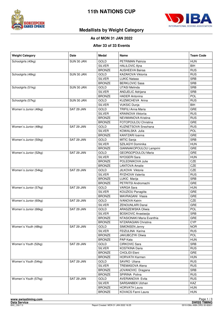



# **Medallists by Weight Category**

#### **As of MON 31 JAN 2022**

#### **After 33 of 33 Events**

| <b>Weight Category</b> | Date       | <b>Medal</b>  | Name                       | <b>Team Code</b> |
|------------------------|------------|---------------|----------------------------|------------------|
| Schoolgirls (40kg)     | SUN 30 JAN | GOLD          | PETRIMAN Patricia          | <b>HUN</b>       |
|                        |            | <b>SILVER</b> | <b>HALILOVIC Ajna</b>      | BIH              |
|                        |            | <b>BRONZE</b> | <b>AUSHEEVA Bairaa</b>     | <b>RUS</b>       |
| Schoolgirls (46kg)     | SUN 30 JAN | GOLD          | KAZAKOVA Viktoriia         | <b>RUS</b>       |
|                        |            | <b>SILVER</b> | <b>LUKIC Natasa</b>        | <b>SRB</b>       |
|                        |            | <b>BRONZE</b> | <b>BERKLOVIC Sasa</b>      | <b>SRB</b>       |
| Schoolgirls (51kg)     | SUN 30 JAN | GOLD          | <b>UTASI Melinda</b>       | <b>SRB</b>       |
|                        |            | <b>SILVER</b> | ANDJELIC Adrijana          | <b>SRB</b>       |
|                        |            | <b>BRONZE</b> | <b>HADER Antonina</b>      | <b>POL</b>       |
| Schoolgirls (57kg)     | SUN 30 JAN | GOLD          | KUZMICHEVA Arina           | <b>RUS</b>       |
|                        |            | <b>SILVER</b> | <b>VUKSIC Dunja</b>        | BIH              |
| Women's Junior (46kg)  | SAT 29 JAN | <b>GOLD</b>   | <b>TRIFILI Anna Maria</b>  | GRE              |
|                        |            | <b>SILVER</b> | <b>KRAINOVA Viktoriia</b>  | <b>RUS</b>       |
|                        |            | <b>BRONZE</b> | NEVMIANOVA Kristina        | <b>RUS</b>       |
|                        |            | <b>BRONZE</b> | FOTOPOULOU Christina       | GRE              |
| Women's Junior (48kg)  | SAT 29 JAN | GOLD          | <b>KUZNETSOVA Snezhana</b> | <b>RUS</b>       |
|                        |            | <b>SILVER</b> | KOWALSKA Julia             | <b>POL</b>       |
|                        |            | <b>BRONZE</b> | KANTZARI Ioanna            | GRE              |
| Women's Junior (50kg)  | SAT 29 JAN | GOLD          | MITIC Sanja                | <b>SRB</b>       |
|                        |            | <b>SILVER</b> | SZILAGYI Dominika          | <b>HUN</b>       |
|                        |            | <b>BRONZE</b> | GIANNAKOPOULOU Lamprini    | GRE              |
| Women's Junior (52kg)  | SAT 29 JAN | GOLD          | <b>GEORGOPOULOU Maria</b>  | <b>GRE</b>       |
|                        |            | <b>SILVER</b> | NYOGERI Sara               | <b>HUN</b>       |
|                        |            | <b>BRONZE</b> | POLEDNIKOVA Julie          | CZE              |
|                        |            | <b>BRONZE</b> | <b>LANTOVA Amalie</b>      | CZE              |
| Women's Junior (54kg)  | SAT 29 JAN | GOLD          | JILKOVA Viktorie           | CZE              |
|                        |            | <b>SILVER</b> | RYZHOVA Valeriia           | <b>RUS</b>       |
|                        |            | <b>BRONZE</b> | LUKIC Marija               | <b>SRB</b>       |
|                        |            | <b>BRONZE</b> | PETRITSI Andromachi        | GRE              |
| Women's Junior (57kg)  | SAT 29 JAN | <b>GOLD</b>   | <b>VARGA Sara</b>          | <b>HUN</b>       |
|                        |            | <b>SILVER</b> | KOUZIOU Panagiita          | GRE              |
|                        |            | <b>BRONZE</b> | MAVRAGANI Vlasia           | <b>GRE</b>       |
| Women's Junior (60kg)  | SAT 29 JAN | GOLD          | <b>IVANOVA Katrin</b>      | CZE              |
|                        |            | <b>SILVER</b> | ZENOUNLARI Danai           | GRE              |
| Women's Junior (66kg)  | SAT 29 JAN | GOLD          | ARASZEWSKA Oliwia          | POL              |
|                        |            | <b>SILVER</b> | <b>BOSKOVIC Anastasija</b> | <b>SRB</b>       |
|                        |            | <b>BRONZE</b> | NTASIONAKI Maria Evanthia  | GRE              |
|                        |            | <b>BRONZE</b> | NTZARAGIAN Christina       | <b>CYP</b>       |
| Women's Youth (48kg)   | SAT 29 JAN | <b>GOLD</b>   | SIMONSEN Jenny             | <b>NOR</b>       |
|                        |            | <b>SILVER</b> | FEIZULINA Karina           | <b>RUS</b>       |
|                        |            | <b>BRONZE</b> | JAKUBCZYK Oliwia           | <b>POL</b>       |
|                        |            | <b>BRONZE</b> | PAP Kata                   | <b>HUN</b>       |
| Women's Youth (52kg)   | SAT 29 JAN | <b>GOLD</b>   | CIRKOVIC Sara              | SRB              |
|                        |            | <b>SILVER</b> | KOSTKINA Daria             | <b>RUS</b>       |
|                        |            | <b>BRONZE</b> | CHOLIDI Eleni              | GRE              |
|                        |            | <b>BRONZE</b> | <b>HORVATH Karmen</b>      | <b>HUN</b>       |
| Women's Youth (54kg)   | SAT 29 JAN | <b>GOLD</b>   | SAVRO Uliana               | <b>RUS</b>       |
|                        |            | <b>SILVER</b> | <b>TREMASOVA Alena</b>     | <b>RUS</b>       |
|                        |            | <b>BRONZE</b> | JOVANOVIC Dragana          | SRB              |
|                        |            | <b>BRONZE</b> | SPIRINA Polina             | <b>RUS</b>       |
| Women's Youth (57kg)   | SAT 29 JAN | GOLD          | <b>AVERIANOVA Evita</b>    | <b>RUS</b>       |
|                        |            | <b>SILVER</b> | SARSANBEK Ulzhan           | KAZ              |
|                        |            | <b>BRONZE</b> | <b>HORVATH Laura</b>       | <b>HUN</b>       |
|                        |            | <b>BRONZE</b> | KOVACS Fanni Laura         | <b>HUN</b>       |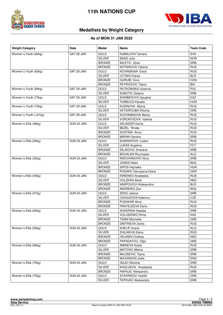



# **Medallists by Weight Category**

### **As of MON 31 JAN 2022**

| <b>Weight Category</b> | Date       | <b>Medal</b>  | <b>Name</b>                  | <b>Team Code</b> |
|------------------------|------------|---------------|------------------------------|------------------|
| Women's Youth (60kg)   | SAT 29 JAN | GOLD          | <b>KUBALOVA Tamara</b>       | <b>SVK</b>       |
|                        |            | <b>SILVER</b> | <b>ENGE Julie</b>            | <b>NOR</b>       |
|                        |            | <b>BRONZE</b> | MILETIC Djina                | <b>SRB</b>       |
|                        |            | <b>BRONZE</b> | SOTNIKOVA Tatiana            | <b>RUS</b>       |
| Women's Youth (63kg)   | SAT 29 JAN | GOLD          | NOVINSKAIA Daria             | <b>RUS</b>       |
|                        |            | <b>SILVER</b> | LETSKO Darya                 | <b>BLR</b>       |
|                        |            | <b>BRONZE</b> | <b>GURUBI Dora</b>           | <b>HUN</b>       |
|                        |            | <b>BRONZE</b> | PETRICEVIC Tijana            | BIH              |
| Women's Youth (66kg)   | SAT 29 JAN | GOLD          | RUTKOWSKA Julianna           | POL              |
|                        |            | <b>SILVER</b> | SUBOTIC Zeljana              | <b>SRB</b>       |
| Women's Youth (70kg)   | SAT 29 JAN | <b>GOLD</b>   | SHAIBEKOVA Gaughar           | KAZ              |
|                        |            | <b>SILVER</b> | <b>TURBUCZ Klaudia</b>       | <b>HUN</b>       |
| Women's Youth (75kg)   | SAT 29 JAN | GOLD          | KUDINOVA Albina              | <b>RUS</b>       |
|                        |            | <b>SILVER</b> | <b>KATSIROUBA Eftichia</b>   | GRE              |
| Women's Youth (+81kg)  | SAT 29 JAN | <b>GOLD</b>   | <b>KUCHMANOVA Marija</b>     | <b>RUS</b>       |
|                        |            | <b>SILVER</b> | VORONTSOVA Valerija          | <b>RUS</b>       |
| Women's Elite (48kg)   | SUN 30 JAN | GOLD          | <b>SALINDER Darija</b>       | <b>RUS</b>       |
|                        |            | <b>SILVER</b> | <b>BEZEL Rinata</b>          | <b>RUS</b>       |
|                        |            | <b>BRONZE</b> | KOSTINA Anna                 | <b>RUS</b>       |
|                        |            | <b>BRONZE</b> | <b>MARAN Sandra</b>          | <b>SRB</b>       |
| Women's Elite (50kg)   | SUN 30 JAN | GOLD          | SHARAPOVA Liubov             | <b>RUS</b>       |
|                        |            | <b>SILVER</b> | LUKAS Angelina               | <b>FCT</b>       |
|                        |            | <b>BRONZE</b> | SILJKOVIC Snezana            | <b>SRB</b>       |
|                        |            | <b>BRONZE</b> | <b>BOUALEM Roumaysa</b>      | <b>ALG</b>       |
| Women's Elite (52kg)   | SUN 30 JAN | GOLD          | RADOVANOVIC Nina             | <b>SRB</b>       |
|                        |            | <b>SILVER</b> | <b>JONES Helen</b>           | WAL              |
|                        |            | <b>BRONZE</b> | SIPOS Hajnalka               | <b>HUN</b>       |
|                        |            | <b>BRONZE</b> | PODARU Georgiana-Diana       | <b>GER</b>       |
| Women's Elite (54kg)   | SUN 30 JAN | GOLD          | KIRIENKO Anastasiia          | <b>RUS</b>       |
|                        |            | <b>SILVER</b> | <b>HOLZKEN Alicia</b>        | <b>NED</b>       |
|                        |            | <b>BRONZE</b> | <b>KARPOVICH Aliaksandra</b> | <b>BLR</b>       |
|                        |            | <b>BRONZE</b> | <b>ANDREWS Zoe</b>           | <b>WAL</b>       |
| Women's Elite (57kg)   | SUN 30 JAN | GOLD          | <b>ZEKIC Jelena</b>          | <b>SRB</b>       |
|                        |            | <b>SILVER</b> | CAVAJDOVA Katerina           | CZE              |
|                        |            | <b>BRONZE</b> | <b>PUSHKAR Alina</b>         | <b>RUS</b>       |
|                        |            | <b>BRONZE</b> | PANTELEEVA Daria             | <b>RUS</b>       |
| Women's Elite (60kg)   | SUN 30 JAN | <b>GOLD</b>   | SHADRINA Natalija            | <b>SRB</b>       |
|                        |            | <b>SILVER</b> | <b>VOLOSENKO Rima</b>        | KAZ              |
|                        |            | <b>BRONZE</b> | <b>TSANI Marinella</b>       | <b>GRE</b>       |
|                        |            | <b>BRONZE</b> | <b>DMITRIEVA Darija</b>      | <b>RUS</b>       |
| Women's Elite (63kg)   | SUN 30 JAN | <b>GOLD</b>   | <b>KHELIF Imane</b>          | <b>ALG</b>       |
|                        |            | <b>SILVER</b> | ZHILIAEVA Elena              | <b>RUS</b>       |
|                        |            | <b>BRONZE</b> | <b>HEIJNEN Chelsey</b>       | <b>NED</b>       |
|                        |            | <b>BRONZE</b> | PAPADATOU Olga               | <b>GRE</b>       |
| Women's Elite (66kg)   | SUN 30 JAN | GOLD          | <b>AMINEVA Azalia</b>        | <b>RUS</b>       |
|                        |            | <b>SILVER</b> | <b>MATOVIC Milena</b>        | SRB              |
|                        |            | <b>BRONZE</b> | MILOSEVIC Tijana             | SRB              |
|                        |            | <b>BRONZE</b> | <b>WILKINSON Jodie</b>       | <b>ENG</b>       |
| Women's Elite (70kg)   | SUN 30 JAN | GOLD          | <b>GAJIC Nikolina</b>        | <b>SRB</b>       |
|                        |            | <b>SILVER</b> | KHOLUEVA Anastasiia          | <b>RUS</b>       |
|                        |            | <b>BRONZE</b> | RAPAJIC Aleksandra           | SRB              |
| Women's Elite (75kg)   | SUN 30 JAN | GOLD          | STAVRIDOU Vasiliki           | <b>GRE</b>       |
|                        |            | SILVER        | <b>TEPAVAC Aleksandra</b>    | SRB              |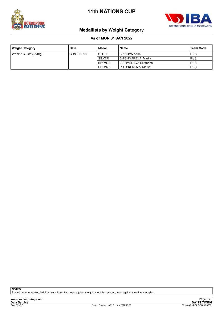



# **Medallists by Weight Category**

## **As of MON 31 JAN 2022**

| <b>Weight Category</b>  | <b>Date</b> | Medal         | Name                        | <b>Team Code</b> |
|-------------------------|-------------|---------------|-----------------------------|------------------|
| Women's Elite $(+81kg)$ | SUN 30 JAN  | <b>GOLD</b>   | IVANOVA Anna                | <b>RUS</b>       |
|                         |             | <b>SILVER</b> | SHISHMAREVA Marija          | <b>RUS</b>       |
|                         |             | <b>BRONZE</b> | <b>IACHMENEVA Ekaterina</b> | <b>RUS</b>       |
|                         |             | <b>BRONZE</b> | PROSKUNOVA Marija           | <b>RUS</b>       |

**NOTES**

Sorting order for ranked 3rd: from semifinals, first, loser against the gold medallist, second, loser against the silver medallist.

**www.swisstiming.com**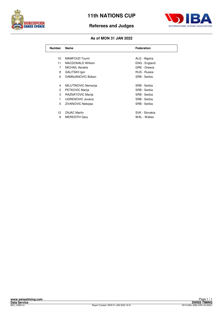

# **Referees and Judges**



## **As of MON 31 JAN 2022**

| <b>Number</b>  | Name                     | <b>Federation</b> |
|----------------|--------------------------|-------------------|
|                |                          |                   |
| 10             | <b>MAMFOUD Toumi</b>     | ALG - Algeria     |
| 11             | <b>MACDONALD William</b> | ENG - England     |
| 7              | <b>MICHAIL Aerakis</b>   | GRE - Greece      |
| 8              | <b>GALITSKII Igor</b>    | RUS - Russia      |
| 6              | DAMNJANOVIC Boban        | SRB - Serbia      |
|                |                          |                   |
| 4              | MILUTINOVIC Nemanja      | SRB - Serbia      |
| $\overline{c}$ | PETKOVIC Marija          | SRB - Serbia      |
| 3              | RAZNATOVIC Marija        | SRB - Serbia      |
| 1              | UGRENOVIC Jovana         | SRB - Serbia      |
| 5              | <b>ZIVANOVIC Nebojsa</b> | SRB - Serbia      |
|                |                          |                   |
| 12             | <b>ZAJAC Martin</b>      | SVK - Slovakia    |
| 9              | <b>MEREDITH Gary</b>     | WAL - Walles      |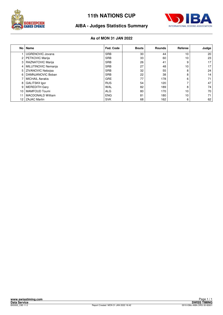



# **AIBA - Judges Statistics Summary**

## **As of MON 31 JAN 2022**

|                 | No   Name                | Fed. Code  | <b>Bouts</b> | <b>Rounds</b> | Referee | Judge           |
|-----------------|--------------------------|------------|--------------|---------------|---------|-----------------|
|                 | <b>UGRENOVIC Jovana</b>  | <b>SRB</b> | 30           | 44            | 10      | 20              |
| 2               | <b>PETKOVIC Marija</b>   | <b>SRB</b> | 33           | 60            | 10      | 23              |
| 3               | RAZNATOVIC Marija        | <b>SRB</b> | 26           | 41            | 9       | 17 <sup>1</sup> |
| 4               | MILUTINOVIC Nemanja      | <b>SRB</b> | 27           | 48            | 10      | 17 <sup>1</sup> |
| 5               | <b>ZIVANOVIC Neboisa</b> | <b>SRB</b> | 32           | 55            | 8       | 24              |
| 6               | DAMNJANOVIC Boban        | <b>SRB</b> | 22           | 38            | 8       | 14              |
|                 | <b>MICHAIL Aerakis</b>   | <b>GRE</b> | 77           | 178           | 6       | 71              |
| 8               | <b>GALITSKII Igor</b>    | <b>RUS</b> | 54           | 120           | -       | 47              |
| 9               | <b>MEREDITH Gary</b>     | <b>WAL</b> | 82           | 189           | 8       | 74              |
| 10              | <b>MAMFOUD Toumi</b>     | <b>ALG</b> | 80           | 170           | 10      | 70              |
| 11              | <b>MACDONALD William</b> | <b>ENG</b> | 81           | 180           | 10      | 71              |
| 12 <sup>2</sup> | <b>ZAJAC Martin</b>      | <b>SVK</b> | 68           | 162           | 6       | 62              |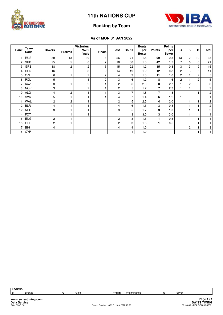



# **Ranking by Team**

## **As of MON 31 JAN 2022**

| Rank | Team<br>Code | <b>Boxers</b>  | <b>Victories</b> |                |                |                |              | <b>Bouts</b>        |                | <b>Points</b>       |                |                |                |                         |
|------|--------------|----------------|------------------|----------------|----------------|----------------|--------------|---------------------|----------------|---------------------|----------------|----------------|----------------|-------------------------|
|      |              |                | <b>Prelims</b>   | Semi<br>finals | <b>Finals</b>  | Lost           | <b>Bouts</b> | per<br><b>Boxer</b> | <b>Points</b>  | per<br><b>Boxer</b> | G              | s              | B              | <b>Total</b>            |
|      | <b>RUS</b>   | 39             | 13               | 19             | 13             | 26             | 71           | 1.8                 | 90             | 2.3                 | 13             | 10             | 10             | 33                      |
| 2    | <b>SRB</b>   | 25             | 5                | 8              | 7              | 18             | 38           | 1.5                 | 42             | 1.7                 | $\overline{7}$ | 6              | 8              | 21                      |
| 3    | GRE          | 18             | 2                | $\overline{c}$ | 3              | 15             | 22           | 1.2                 | 15             | 0.8                 | 3              | 3              | 9              | 15                      |
| Δ    | <b>HUN</b>   | 16             |                  | 3              | $\overline{c}$ | 14             | 19           | 1.2                 | 12             | 0.8                 | $\overline{2}$ | 3              | 6              | 11                      |
| 5    | CZE          | 6              |                  | $\overline{c}$ | $\overline{c}$ | 4              | 9            | 1.5                 | 11             | 1.8                 | $\overline{2}$ | 1              | $\overline{2}$ | 5                       |
| 6    | POL          | 5              |                  |                | 2              | 3              | 6            | 1.2                 | 8              | 1.6                 | $\overline{2}$ | $\overline{1}$ | $\overline{c}$ | $\mathbf 5$             |
|      | KAZ          | 3              |                  | $\overline{c}$ |                | $\overline{c}$ | 6            | 2.0                 | 8              | 2.7                 |                | $\overline{c}$ |                | 3                       |
| 8    | <b>NOR</b>   | 3              |                  | $\overline{c}$ |                | $\mathbf{2}$   | 5            | 1.7                 | 7              | 2.3                 |                |                |                | 2                       |
| 9    | <b>ALG</b>   | 4              | 2                |                |                | 3              | 7            | 1.8                 | $\overline{7}$ | 1.8                 |                |                |                | $\overline{c}$          |
| 10   | <b>SVK</b>   | 5              | $\overline{1}$   |                |                | 4              | 7            | 1.4                 | 6              | 1.2                 |                |                |                |                         |
| 11   | WAL          | $\overline{c}$ | $\overline{c}$   |                |                | $\overline{c}$ | 5            | 2.5                 | 4              | 2.0                 |                |                |                | $\overline{c}$          |
| 12   | <b>BLR</b>   | 4              |                  |                |                | 4              | 6            | 1.5                 | 3              | 0.8                 |                |                |                | $\overline{\mathbf{c}}$ |
| 12   | <b>NED</b>   | 3              |                  |                |                | 3              | 5            | 1.7                 | 3              | 1.0                 |                |                |                | 2                       |
| 14   | <b>FCT</b>   |                |                  |                |                | 1              | 3            | 3.0                 | 3              | 3.0                 |                |                |                |                         |
| 15   | <b>ENG</b>   | 2              | $\overline{1}$   |                |                | $\overline{c}$ | 3            | 1.5                 | 1              | 0.5                 |                |                |                |                         |
| 15   | <b>GER</b>   | $\overline{c}$ | $\overline{ }$   |                |                | $\overline{c}$ | 3            | 1.5                 |                | 0.5                 |                |                |                | $\overline{1}$          |
| 17   | BIH          | 4              |                  |                |                | 4              | 4            | 1.0                 |                |                     |                | 2              |                | 3                       |
| 18   | <b>CYP</b>   |                |                  |                |                |                |              | 1.0                 |                |                     |                |                |                | $\mathbf{1}$            |

**www.swisstiming.com Data Service SWISS TIMING** Page 171<br>
BXVISS TIMING<br>
8010-036c-AIBA.ORG-30-82601 0010-036c-AIBA.ORG-30-82601 0010-036c-AIBA.ORG-30-82601 **LEGEND B** Bronze **G** Gold **Prelim.** Preliminaries **S** Silver Page 1/1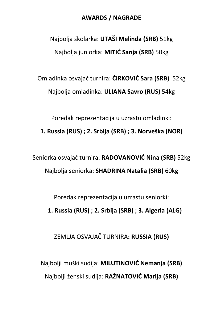## AWARDS / NAGRADE

Najbolja školarka: UTAŠI Melinda (SRB) 51kg Najbolja juniorka: MITIĆ Sanja (SRB) 50kg

Omladinka osvajač turnira: ĆIRKOVIĆ Sara (SRB) 52kg Najbolja omladinka: ULIANA Savro (RUS) 54kg

Poredak reprezentacija u uzrastu omladinki:

1. Russia (RUS) ; 2. Srbija (SRB) ; 3. Norveška (NOR)

Seniorka osvajač turnira: RADOVANOVIĆ Nina (SRB) 52kg Najbolja seniorka: SHADRINA Natalia (SRB) 60kg

Poredak reprezentacija u uzrastu seniorki:

1. Russia (RUS) ; 2. Srbija (SRB) ; 3. Algeria (ALG)

ZEMLJA OSVAJAČ TURNIRA: RUSSIA (RUS)

Najbolji muški sudija: MILUTINOVIĆ Nemanja (SRB) Najbolji ženski sudija: RAŽNATOVIĆ Marija (SRB)